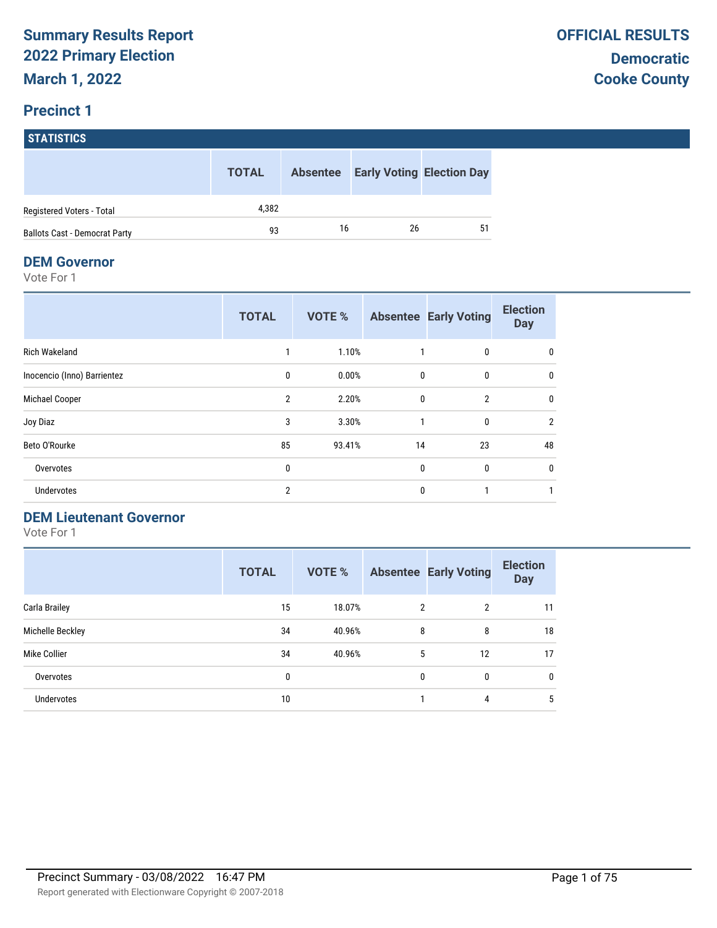# **STATISTICS**

|                                      | <b>TOTAL</b> | <b>Absentee</b> | <b>Early Voting Election Day</b> |    |
|--------------------------------------|--------------|-----------------|----------------------------------|----|
| Registered Voters - Total            | 4.382        |                 |                                  |    |
| <b>Ballots Cast - Democrat Party</b> | 93           | 16              | 26                               | 51 |

#### **DEM Governor**

Vote For 1

|                             | <b>TOTAL</b>   | <b>VOTE %</b> |              | <b>Absentee Early Voting</b> | <b>Election</b><br><b>Day</b> |
|-----------------------------|----------------|---------------|--------------|------------------------------|-------------------------------|
| Rich Wakeland               |                | 1.10%         |              | 0                            | 0                             |
| Inocencio (Inno) Barrientez | $\mathbf{0}$   | 0.00%         | $\mathbf{0}$ | $\mathbf{0}$                 | 0                             |
| Michael Cooper              | $\overline{2}$ | 2.20%         | $\mathbf 0$  | $\overline{2}$               | 0                             |
| Joy Diaz                    | 3              | 3.30%         | $\mathbf{1}$ | $\mathbf{0}$                 | $\overline{2}$                |
| Beto O'Rourke               | 85             | 93.41%        | 14           | 23                           | 48                            |
| Overvotes                   | 0              |               | $\mathbf{0}$ | $\mathbf{0}$                 | $\mathbf{0}$                  |
| Undervotes                  | $\overline{2}$ |               | 0            |                              |                               |

#### **DEM Lieutenant Governor**

|                   | <b>TOTAL</b> | VOTE % |                | <b>Absentee Early Voting</b> | <b>Election</b><br><b>Day</b> |
|-------------------|--------------|--------|----------------|------------------------------|-------------------------------|
| Carla Brailey     | 15           | 18.07% | $\overline{2}$ | 2                            | 11                            |
| Michelle Beckley  | 34           | 40.96% | 8              | 8                            | 18                            |
| Mike Collier      | 34           | 40.96% | 5              | 12                           | 17                            |
| Overvotes         | 0            |        | 0              | 0                            | 0                             |
| <b>Undervotes</b> | 10           |        |                | 4                            | 5                             |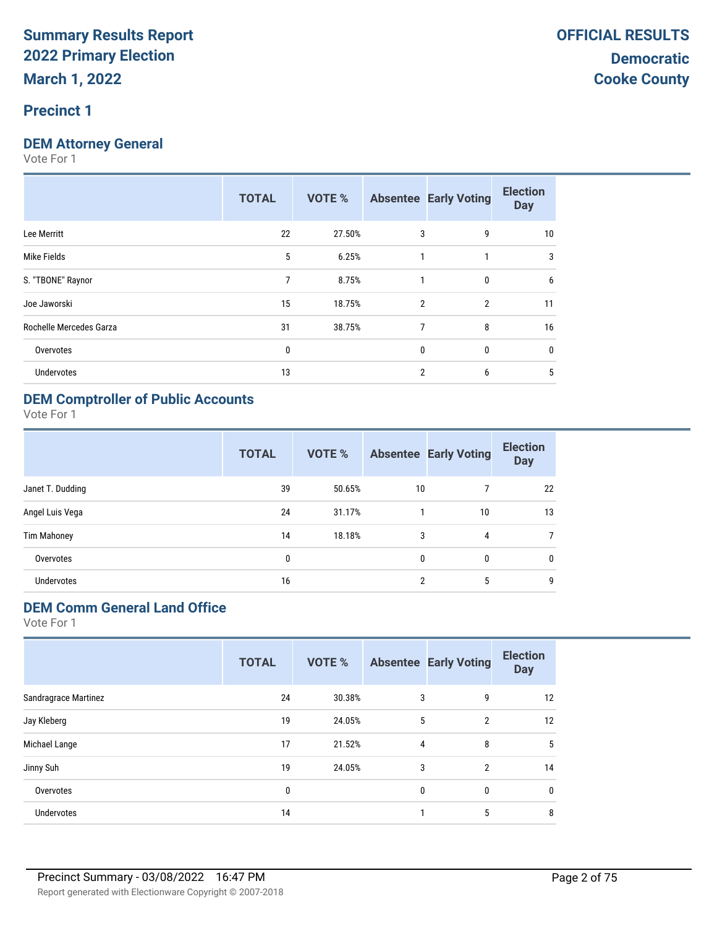#### **Precinct 1**

#### **DEM Attorney General**

Vote For 1

|                         | <b>TOTAL</b> | <b>VOTE %</b> |                | <b>Absentee Early Voting</b> | <b>Election</b><br><b>Day</b> |
|-------------------------|--------------|---------------|----------------|------------------------------|-------------------------------|
| Lee Merritt             | 22           | 27.50%        | 3              | 9                            | 10                            |
| Mike Fields             | 5            | 6.25%         | 1              | 1                            | 3                             |
| S. "TBONE" Raynor       | 7            | 8.75%         | 1              | $\mathbf{0}$                 | 6                             |
| Joe Jaworski            | 15           | 18.75%        | $\mathfrak{p}$ | $\overline{2}$               | 11                            |
| Rochelle Mercedes Garza | 31           | 38.75%        | 7              | 8                            | 16                            |
| Overvotes               | 0            |               | $\mathbf{0}$   | $\mathbf{0}$                 | $\mathbf{0}$                  |
| <b>Undervotes</b>       | 13           |               | 2              | 6                            | 5                             |
|                         |              |               |                |                              |                               |

#### **DEM Comptroller of Public Accounts**

Vote For 1

|                    | <b>TOTAL</b> | VOTE % |              | <b>Absentee Early Voting</b> | <b>Election</b><br><b>Day</b> |
|--------------------|--------------|--------|--------------|------------------------------|-------------------------------|
| Janet T. Dudding   | 39           | 50.65% | 10           |                              | 22                            |
| Angel Luis Vega    | 24           | 31.17% |              | 10                           | 13                            |
| <b>Tim Mahoney</b> | 14           | 18.18% | 3            | 4                            |                               |
| Overvotes          | 0            |        | $\mathbf{0}$ | 0                            | $\mathbf{0}$                  |
| <b>Undervotes</b>  | 16           |        | 2            | 5                            | 9                             |

#### **DEM Comm General Land Office**

|                      | <b>TOTAL</b> | VOTE % |   | <b>Absentee Early Voting</b> | <b>Election</b><br><b>Day</b> |
|----------------------|--------------|--------|---|------------------------------|-------------------------------|
| Sandragrace Martinez | 24           | 30.38% | 3 | 9                            | 12                            |
| Jay Kleberg          | 19           | 24.05% | 5 | $\overline{2}$               | 12                            |
| Michael Lange        | 17           | 21.52% | 4 | 8                            | 5                             |
| Jinny Suh            | 19           | 24.05% | 3 | $\overline{2}$               | 14                            |
| Overvotes            | 0            |        | 0 | 0                            | 0                             |
| <b>Undervotes</b>    | 14           |        |   | 5                            | 8                             |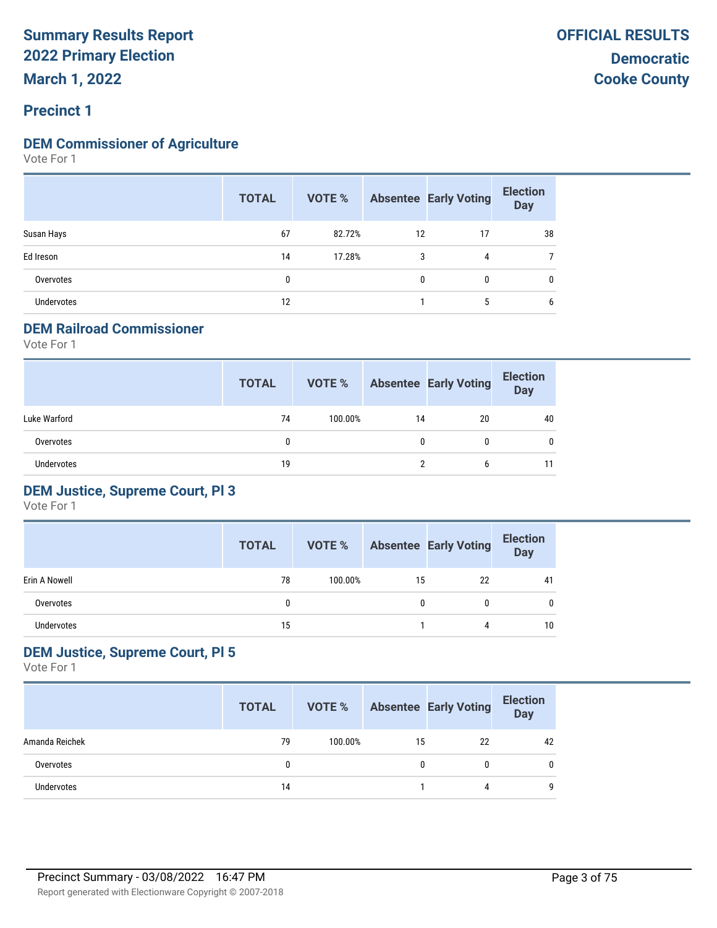#### **DEM Commissioner of Agriculture**

Vote For 1

|                   | <b>TOTAL</b> |        |              | <b>VOTE %</b> Absentee Early Voting | <b>Election</b><br><b>Day</b> |
|-------------------|--------------|--------|--------------|-------------------------------------|-------------------------------|
| Susan Hays        | 67           | 82.72% | 12           | 17                                  | 38                            |
| Ed Ireson         | 14           | 17.28% | 3            | 4                                   |                               |
| Overvotes         | 0            |        | $\mathbf{0}$ | $\mathbf{0}$                        | 0                             |
| <b>Undervotes</b> | 12           |        |              | 5                                   | 6                             |

#### **DEM Railroad Commissioner**

Vote For 1

|                   | <b>TOTAL</b> | VOTE %  |    | <b>Absentee Early Voting</b> | <b>Election</b><br>Day |
|-------------------|--------------|---------|----|------------------------------|------------------------|
| Luke Warford      | 74           | 100.00% | 14 | 20                           | 40                     |
| Overvotes         | 0            |         | 0  |                              | 0                      |
| <b>Undervotes</b> | 19           |         | າ  | 6                            | 11                     |

#### **DEM Justice, Supreme Court, Pl 3**

Vote For 1

|               | <b>TOTAL</b> | VOTE %  |    | <b>Absentee Early Voting</b> | <b>Election</b><br><b>Day</b> |
|---------------|--------------|---------|----|------------------------------|-------------------------------|
| Erin A Nowell | 78           | 100.00% | 15 | 22                           | 41                            |
| Overvotes     |              |         | 0  | 0                            |                               |
| Undervotes    | 15           |         |    |                              | 10                            |

#### **DEM Justice, Supreme Court, Pl 5**

|                | <b>TOTAL</b> | VOTE %  |    | <b>Absentee Early Voting</b> | <b>Election</b><br>Day |
|----------------|--------------|---------|----|------------------------------|------------------------|
| Amanda Reichek | 79           | 100.00% | 15 | 22                           | 42                     |
| Overvotes      |              |         | 0  |                              | 0                      |
| Undervotes     | 14           |         |    |                              | q                      |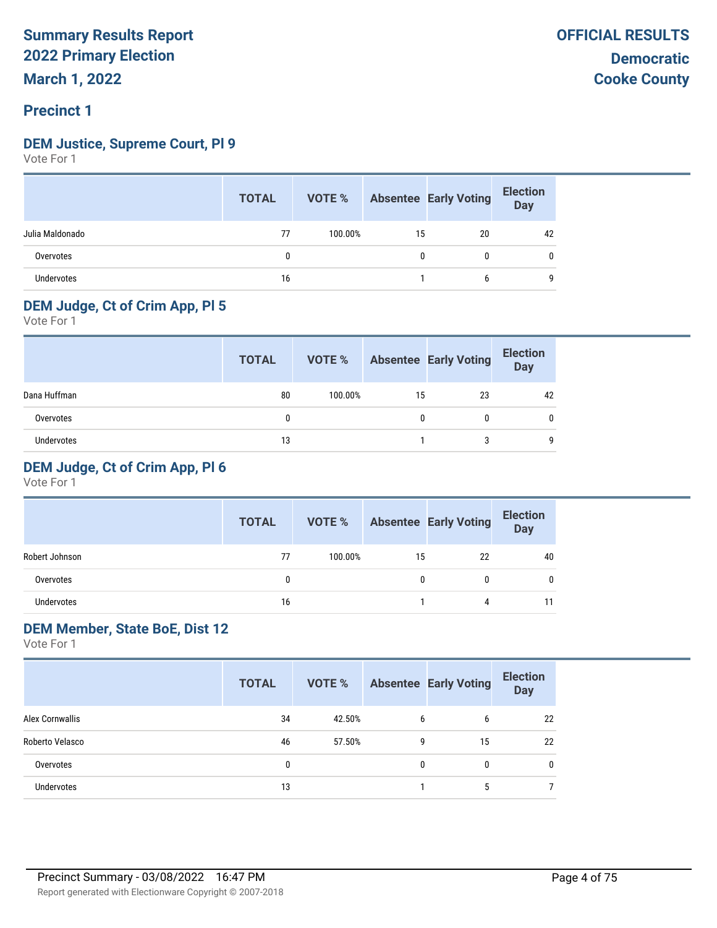#### **DEM Justice, Supreme Court, Pl 9**

Vote For 1

|                   | <b>TOTAL</b> |         |    | <b>VOTE %</b> Absentee Early Voting | <b>Election</b><br>Day |
|-------------------|--------------|---------|----|-------------------------------------|------------------------|
| Julia Maldonado   | 77           | 100.00% | 15 | 20                                  | 42                     |
| Overvotes         | 0            |         | 0  | 0                                   |                        |
| <b>Undervotes</b> | 16           |         |    | 6                                   | a                      |

#### **DEM Judge, Ct of Crim App, Pl 5**

Vote For 1

|              | <b>TOTAL</b> | VOTE %  |    | <b>Absentee Early Voting</b> | <b>Election</b><br><b>Day</b> |
|--------------|--------------|---------|----|------------------------------|-------------------------------|
| Dana Huffman | 80           | 100.00% | 15 | 23                           | 42                            |
| Overvotes    |              |         |    |                              | 0                             |
| Undervotes   | 13           |         |    |                              | q                             |

#### **DEM Judge, Ct of Crim App, Pl 6**

Vote For 1

|                | <b>TOTAL</b> | VOTE %  |    | <b>Absentee Early Voting</b> | <b>Election</b><br><b>Day</b> |
|----------------|--------------|---------|----|------------------------------|-------------------------------|
| Robert Johnson | 77           | 100.00% | 15 | 22                           | 40                            |
| Overvotes      | 0            |         | 0  |                              |                               |
| Undervotes     | 16           |         |    | 4                            |                               |

#### **DEM Member, State BoE, Dist 12**

|                   | <b>TOTAL</b> | VOTE % |   | <b>Absentee Early Voting</b> | <b>Election</b><br><b>Day</b> |
|-------------------|--------------|--------|---|------------------------------|-------------------------------|
| Alex Cornwallis   | 34           | 42.50% | 6 | 6                            | 22                            |
| Roberto Velasco   | 46           | 57.50% | 9 | 15                           | 22                            |
| Overvotes         | 0            |        | 0 | 0                            | 0                             |
| <b>Undervotes</b> | 13           |        |   | 5                            |                               |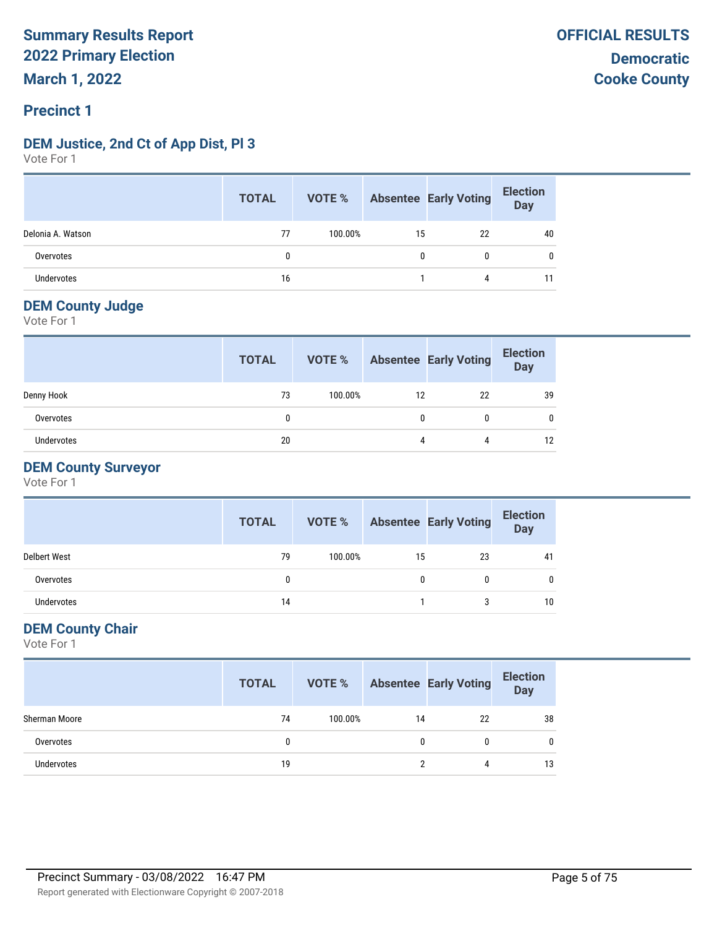#### **DEM Justice, 2nd Ct of App Dist, Pl 3**

Vote For 1

|                   | <b>TOTAL</b> |         |    | <b>VOTE %</b> Absentee Early Voting | <b>Election</b><br>Day |
|-------------------|--------------|---------|----|-------------------------------------|------------------------|
| Delonia A. Watson | 77           | 100.00% | 15 | 22                                  | 40                     |
| Overvotes         | $\mathbf{0}$ |         | 0  | 0                                   | 0                      |
| Undervotes        | 16           |         |    | 4                                   |                        |

#### **DEM County Judge**

Vote For 1

|            | <b>TOTAL</b> | VOTE %  |    | <b>Absentee Early Voting</b> | <b>Election</b><br><b>Day</b> |
|------------|--------------|---------|----|------------------------------|-------------------------------|
| Denny Hook | 73           | 100.00% | 12 | 22                           | 39                            |
| Overvotes  | 0            |         |    | 0                            |                               |
| Undervotes | 20           |         |    | 4                            | 12                            |

#### **DEM County Surveyor**

Vote For 1

|                     | <b>TOTAL</b> | VOTE %  |    | <b>Absentee Early Voting</b> | <b>Election</b><br><b>Day</b> |
|---------------------|--------------|---------|----|------------------------------|-------------------------------|
| <b>Delbert West</b> | 79           | 100.00% | 15 | 23                           | 41                            |
| Overvotes           |              |         |    | 0                            |                               |
| Undervotes          | 14           |         |    | 3                            | 10                            |

#### **DEM County Chair**

|                   | <b>TOTAL</b> |         |    | <b>VOTE %</b> Absentee Early Voting | <b>Election</b><br><b>Day</b> |
|-------------------|--------------|---------|----|-------------------------------------|-------------------------------|
| Sherman Moore     | 74           | 100.00% | 14 | 22                                  | 38                            |
| Overvotes         | 0            |         |    |                                     |                               |
| <b>Undervotes</b> | 19           |         |    |                                     | 13                            |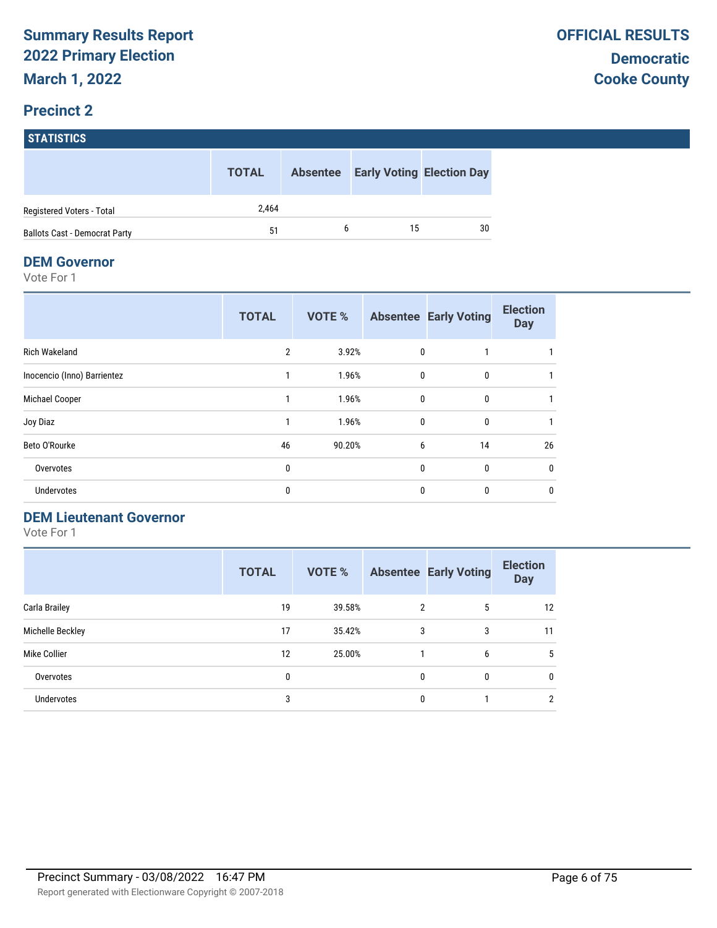# **STATISTICS**

|                                      | <b>TOTAL</b> |   | <b>Absentee Early Voting Election Day</b> |    |
|--------------------------------------|--------------|---|-------------------------------------------|----|
| Registered Voters - Total            | 2.464        |   |                                           |    |
| <b>Ballots Cast - Democrat Party</b> | 51           | 6 | 15                                        | 30 |

#### **DEM Governor**

Vote For 1

|                             | <b>TOTAL</b>   | <b>VOTE %</b> |              | <b>Absentee Early Voting</b> | <b>Election</b><br><b>Day</b> |
|-----------------------------|----------------|---------------|--------------|------------------------------|-------------------------------|
| <b>Rich Wakeland</b>        | $\overline{2}$ | 3.92%         | 0            |                              |                               |
| Inocencio (Inno) Barrientez |                | 1.96%         | $\mathbf{0}$ | $\mathbf{0}$                 |                               |
| Michael Cooper              |                | 1.96%         | $\mathbf 0$  | 0                            |                               |
| Joy Diaz                    |                | 1.96%         | $\mathbf{0}$ | $\mathbf{0}$                 |                               |
| Beto O'Rourke               | 46             | 90.20%        | 6            | 14                           | 26                            |
| Overvotes                   | 0              |               | $\mathbf{0}$ | $\mathbf{0}$                 | 0                             |
| Undervotes                  | 0              |               | $\mathbf{0}$ | $\mathbf{0}$                 | $\mathbf{0}$                  |

#### **DEM Lieutenant Governor**

|                   | <b>TOTAL</b> | <b>VOTE %</b> |                | <b>Absentee Early Voting</b> | <b>Election</b><br><b>Day</b> |
|-------------------|--------------|---------------|----------------|------------------------------|-------------------------------|
| Carla Brailey     | 19           | 39.58%        | $\overline{2}$ | 5                            | 12                            |
| Michelle Beckley  | 17           | 35.42%        | 3              | 3                            | 11                            |
| Mike Collier      | 12           | 25.00%        |                | 6                            | 5                             |
| Overvotes         | 0            |               | 0              | 0                            | 0                             |
| <b>Undervotes</b> | 3            |               | 0              |                              | 2                             |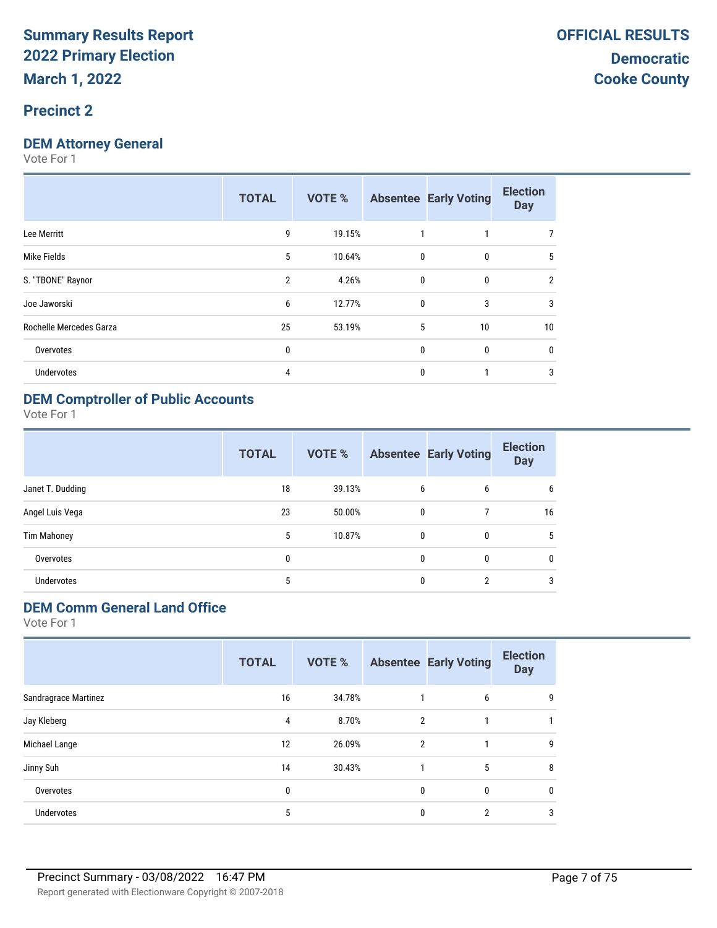#### **Precinct 2**

#### **DEM Attorney General**

Vote For 1

|                         | <b>TOTAL</b>   | <b>VOTE %</b> |              | <b>Absentee Early Voting</b> | <b>Election</b><br><b>Day</b> |
|-------------------------|----------------|---------------|--------------|------------------------------|-------------------------------|
| Lee Merritt             | 9              | 19.15%        |              |                              |                               |
| Mike Fields             | 5              | 10.64%        | $\mathbf{0}$ | $\mathbf{0}$                 | 5                             |
| S. "TBONE" Raynor       | $\overline{2}$ | 4.26%         | $\mathbf{0}$ | $\mathbf{0}$                 | $\overline{2}$                |
| Joe Jaworski            | 6              | 12.77%        | $\mathbf{0}$ | 3                            | 3                             |
| Rochelle Mercedes Garza | 25             | 53.19%        | 5            | 10                           | 10                            |
| Overvotes               | 0              |               | $\mathbf{0}$ | 0                            | 0                             |
| <b>Undervotes</b>       | 4              |               | $\mathbf{0}$ |                              | 3                             |
|                         |                |               |              |                              |                               |

#### **DEM Comptroller of Public Accounts**

Vote For 1

|                    | <b>TOTAL</b> | VOTE % |              | <b>Absentee Early Voting</b> | <b>Election</b><br><b>Day</b> |
|--------------------|--------------|--------|--------------|------------------------------|-------------------------------|
| Janet T. Dudding   | 18           | 39.13% | 6            | 6                            | 6                             |
| Angel Luis Vega    | 23           | 50.00% | $\mathbf{0}$ |                              | 16                            |
| <b>Tim Mahoney</b> | 5            | 10.87% | $\mathbf{0}$ | $\mathbf{0}$                 | 5                             |
| Overvotes          | 0            |        | $\mathbf{0}$ | 0                            | $\mathbf{0}$                  |
| <b>Undervotes</b>  | 5            |        | 0            | 2                            | 3                             |

## **DEM Comm General Land Office**

|                      | <b>TOTAL</b> | VOTE % |                | <b>Absentee Early Voting</b> | <b>Election</b><br><b>Day</b> |
|----------------------|--------------|--------|----------------|------------------------------|-------------------------------|
| Sandragrace Martinez | 16           | 34.78% |                | 6                            | 9                             |
| Jay Kleberg          | 4            | 8.70%  | $\overline{2}$ |                              |                               |
| Michael Lange        | 12           | 26.09% | $\overline{2}$ | 1                            | 9                             |
| Jinny Suh            | 14           | 30.43% |                | 5                            | 8                             |
| Overvotes            | 0            |        | 0              | $\mathbf{0}$                 | 0                             |
| Undervotes           | 5            |        | 0              | $\overline{2}$               | 3                             |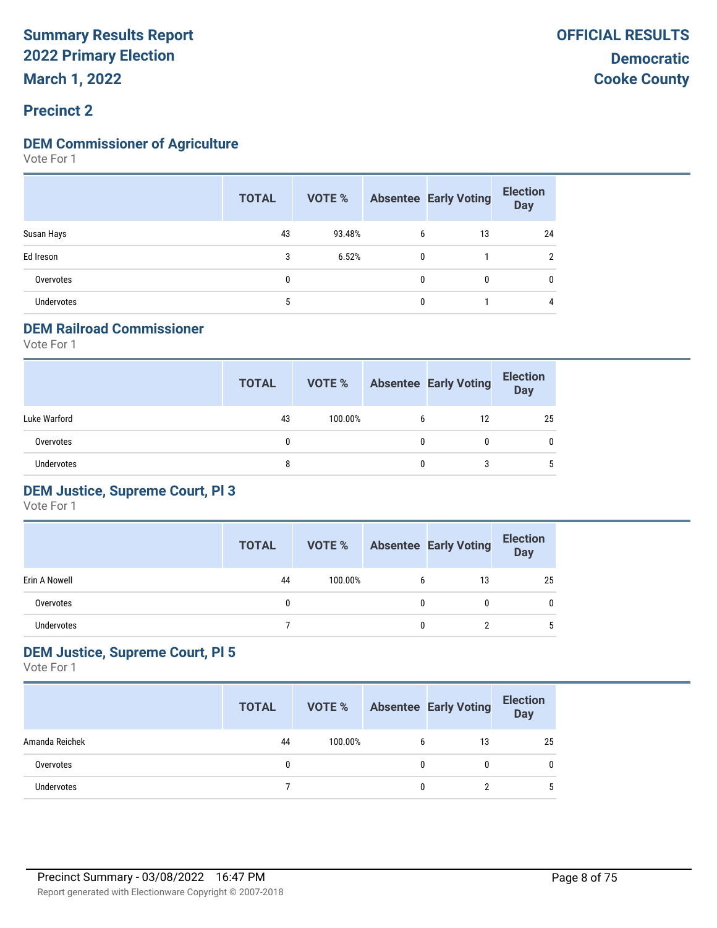#### **DEM Commissioner of Agriculture**

Vote For 1

|                   | <b>TOTAL</b> |        |              | <b>VOTE %</b> Absentee Early Voting | <b>Election</b><br>Day |
|-------------------|--------------|--------|--------------|-------------------------------------|------------------------|
| Susan Hays        | 43           | 93.48% | 6            | 13                                  | 24                     |
| Ed Ireson         |              | 6.52%  | $\mathbf{0}$ |                                     | C                      |
| Overvotes         |              |        | $\mathbf{0}$ | 0                                   | 0                      |
| <b>Undervotes</b> |              |        | 0            |                                     | 4                      |

#### **DEM Railroad Commissioner**

Vote For 1

|                   | <b>TOTAL</b> | VOTE %  |   | <b>Absentee Early Voting</b> | <b>Election</b><br><b>Day</b> |
|-------------------|--------------|---------|---|------------------------------|-------------------------------|
| Luke Warford      | 43           | 100.00% | 6 | 12                           | 25                            |
| Overvotes         | 0            |         | 0 |                              | 0                             |
| <b>Undervotes</b> | 8            |         | 0 |                              | 5                             |

#### **DEM Justice, Supreme Court, Pl 3**

Vote For 1

|               | <b>TOTAL</b> | VOTE %  |   | <b>Absentee Early Voting</b> | <b>Election</b><br>Day |
|---------------|--------------|---------|---|------------------------------|------------------------|
| Erin A Nowell | 44           | 100.00% | b | 13                           | 25                     |
| Overvotes     |              |         | 0 | 0                            | 0                      |
| Undervotes    |              |         | 0 |                              |                        |

#### **DEM Justice, Supreme Court, Pl 5**

|                   | <b>TOTAL</b> | VOTE %  |   | <b>Absentee Early Voting</b> | <b>Election</b><br>Day |
|-------------------|--------------|---------|---|------------------------------|------------------------|
| Amanda Reichek    | 44           | 100.00% | 6 | 13                           | 25                     |
| Overvotes         |              |         | 0 |                              | 0                      |
| <b>Undervotes</b> |              |         | 0 |                              | 5                      |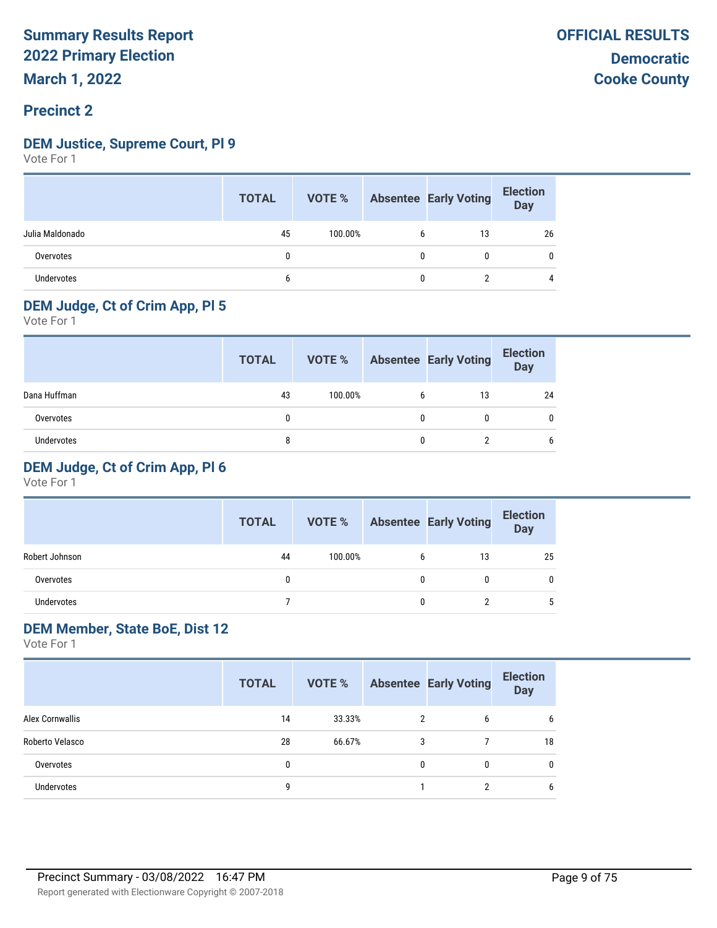## **DEM Justice, Supreme Court, Pl 9**

Vote For 1

|                 | <b>TOTAL</b> |         |   | <b>VOTE %</b> Absentee Early Voting | <b>Election</b><br>Day |
|-----------------|--------------|---------|---|-------------------------------------|------------------------|
| Julia Maldonado | 45           | 100.00% | 6 | 13                                  | 26                     |
| Overvotes       | 0            |         | 0 | 0                                   | 0                      |
| Undervotes      | b            |         | 0 |                                     |                        |

#### **DEM Judge, Ct of Crim App, Pl 5**

Vote For 1

|              | <b>TOTAL</b> | VOTE %  |   | <b>Absentee Early Voting</b> | <b>Election</b><br><b>Day</b> |
|--------------|--------------|---------|---|------------------------------|-------------------------------|
| Dana Huffman | 43           | 100.00% | b | 13                           | 24                            |
| Overvotes    | 0            |         |   | 0                            |                               |
| Undervotes   | 8            |         |   |                              | b                             |

#### **DEM Judge, Ct of Crim App, Pl 6**

Vote For 1

|                | <b>TOTAL</b> | VOTE %  |   | <b>Absentee Early Voting</b> | <b>Election</b><br>Day |
|----------------|--------------|---------|---|------------------------------|------------------------|
| Robert Johnson | 44           | 100.00% | 6 | 13                           | 25                     |
| Overvotes      | 0            |         |   | 0                            | 0                      |
| Undervotes     |              |         |   |                              | 5                      |

#### **DEM Member, State BoE, Dist 12**

|                   | <b>TOTAL</b> | VOTE % |   | <b>Absentee Early Voting</b> | <b>Election</b><br><b>Day</b> |
|-------------------|--------------|--------|---|------------------------------|-------------------------------|
| Alex Cornwallis   | 14           | 33.33% | 2 | 6                            | 6                             |
| Roberto Velasco   | 28           | 66.67% | 3 |                              | 18                            |
| Overvotes         | 0            |        | 0 | 0                            | 0                             |
| <b>Undervotes</b> | 9            |        |   | າ                            | 6                             |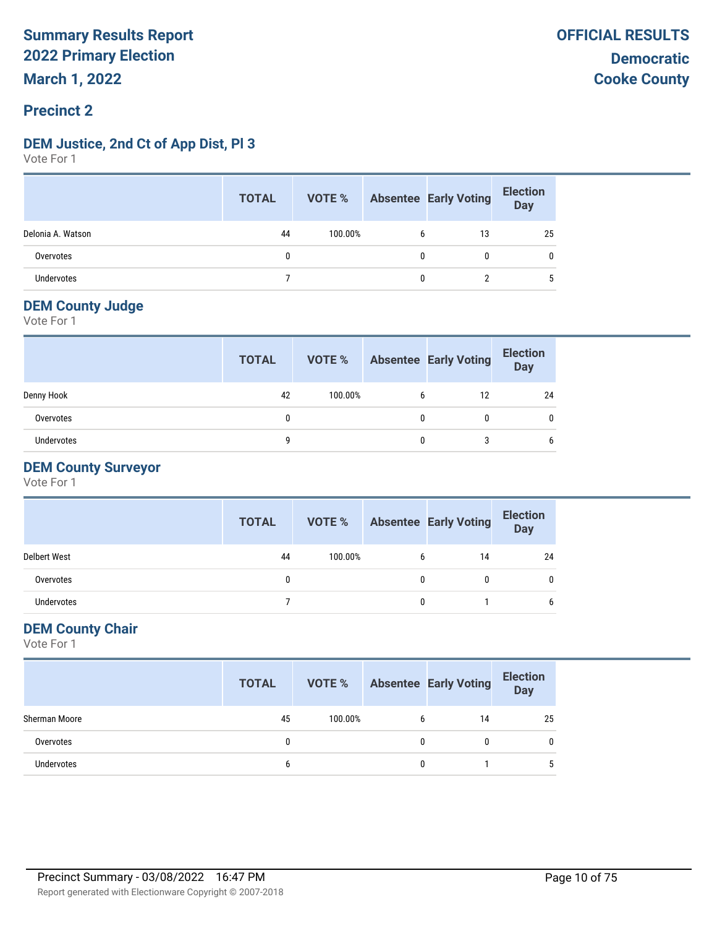#### **DEM Justice, 2nd Ct of App Dist, Pl 3**

Vote For 1

|                   | <b>TOTAL</b> |         | <b>VOTE %</b> Absentee Early Voting | <b>Election</b><br>Day |
|-------------------|--------------|---------|-------------------------------------|------------------------|
| Delonia A. Watson | 44           | 100.00% | 13                                  | 25                     |
| Overvotes         | 0            |         | $\mathbf{0}$                        |                        |
| <b>Undervotes</b> |              |         |                                     | b                      |

#### **DEM County Judge**

Vote For 1

|                   | <b>TOTAL</b> | VOTE %  |   | <b>Absentee Early Voting</b> | <b>Election</b><br><b>Day</b> |
|-------------------|--------------|---------|---|------------------------------|-------------------------------|
| Denny Hook        | 42           | 100.00% | 6 | 12                           | 24                            |
| Overvotes         | $\mathbf{0}$ |         | 0 | 0                            |                               |
| <b>Undervotes</b> | a            |         | 0 |                              |                               |

#### **DEM County Surveyor**

Vote For 1

|                     | <b>TOTAL</b> | VOTE %  |   | <b>Absentee Early Voting</b> | <b>Election</b><br><b>Day</b> |
|---------------------|--------------|---------|---|------------------------------|-------------------------------|
| <b>Delbert West</b> | 44           | 100.00% |   | 14                           | 24                            |
| Overvotes           |              |         |   | 0                            |                               |
| <b>Undervotes</b>   |              |         | n |                              |                               |

#### **DEM County Chair**

|               | <b>TOTAL</b> |         |   | <b>VOTE %</b> Absentee Early Voting | <b>Election</b><br>Day |
|---------------|--------------|---------|---|-------------------------------------|------------------------|
| Sherman Moore | 45           | 100.00% | 6 | 14                                  | 25                     |
| Overvotes     |              |         |   |                                     | 0                      |
| Undervotes    | b            |         |   |                                     | b                      |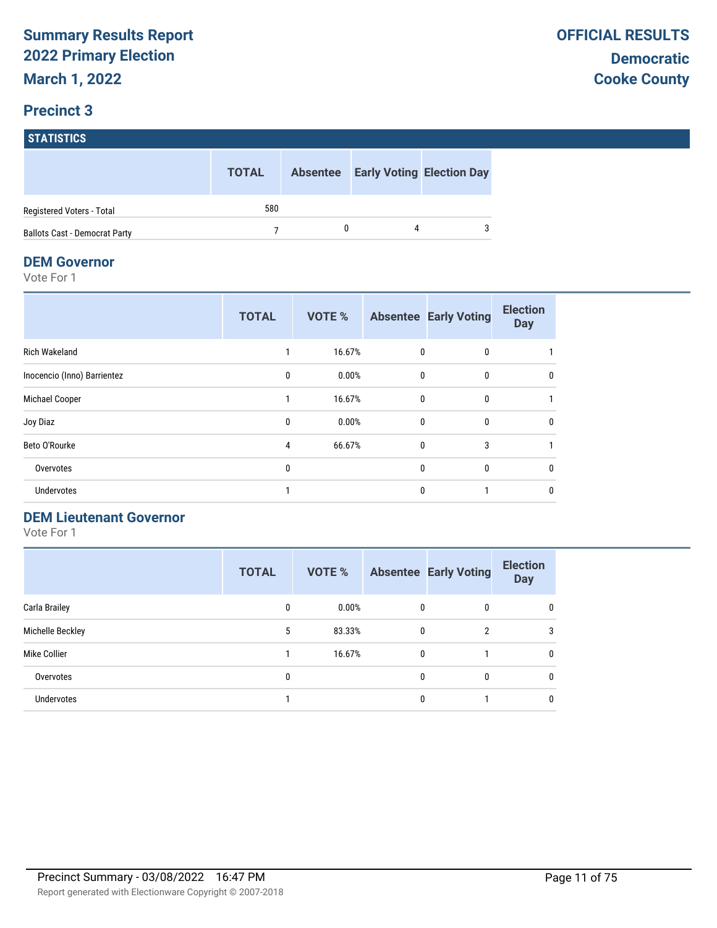## **STATISTICS TOTAL Absentee Early Voting Election Day** Registered Voters - Total 580 Ballots Cast - Democrat Party **7** 0 4 3

#### **DEM Governor**

Vote For 1

|                             | <b>TOTAL</b> | <b>VOTE %</b> |              | <b>Absentee Early Voting</b> | <b>Election</b><br><b>Day</b> |
|-----------------------------|--------------|---------------|--------------|------------------------------|-------------------------------|
| <b>Rich Wakeland</b>        |              | 16.67%        | 0            | 0                            |                               |
| Inocencio (Inno) Barrientez | $\mathbf{0}$ | 0.00%         | $\mathbf 0$  | $\mathbf{0}$                 | 0                             |
| Michael Cooper              |              | 16.67%        | $\mathbf 0$  | 0                            |                               |
| Joy Diaz                    | 0            | 0.00%         | $\mathbf{0}$ | $\mathbf 0$                  | 0                             |
| Beto O'Rourke               | 4            | 66.67%        | $\mathbf{0}$ | 3                            |                               |
| Overvotes                   | 0            |               | $\mathbf{0}$ | $\mathbf{0}$                 | 0                             |
| <b>Undervotes</b>           |              |               | $\mathbf{0}$ |                              | 0                             |

#### **DEM Lieutenant Governor**

|                   | <b>TOTAL</b> | <b>VOTE %</b> |   | <b>Absentee Early Voting</b> | <b>Election</b><br><b>Day</b> |
|-------------------|--------------|---------------|---|------------------------------|-------------------------------|
| Carla Brailey     | 0            | 0.00%         | 0 | 0                            | $\mathbf{0}$                  |
| Michelle Beckley  | 5            | 83.33%        | 0 | $\overline{2}$               | 3                             |
| Mike Collier      |              | 16.67%        | 0 |                              | $\mathbf{0}$                  |
| Overvotes         | 0            |               | 0 | 0                            | 0                             |
| <b>Undervotes</b> |              |               | 0 |                              | $\mathbf{0}$                  |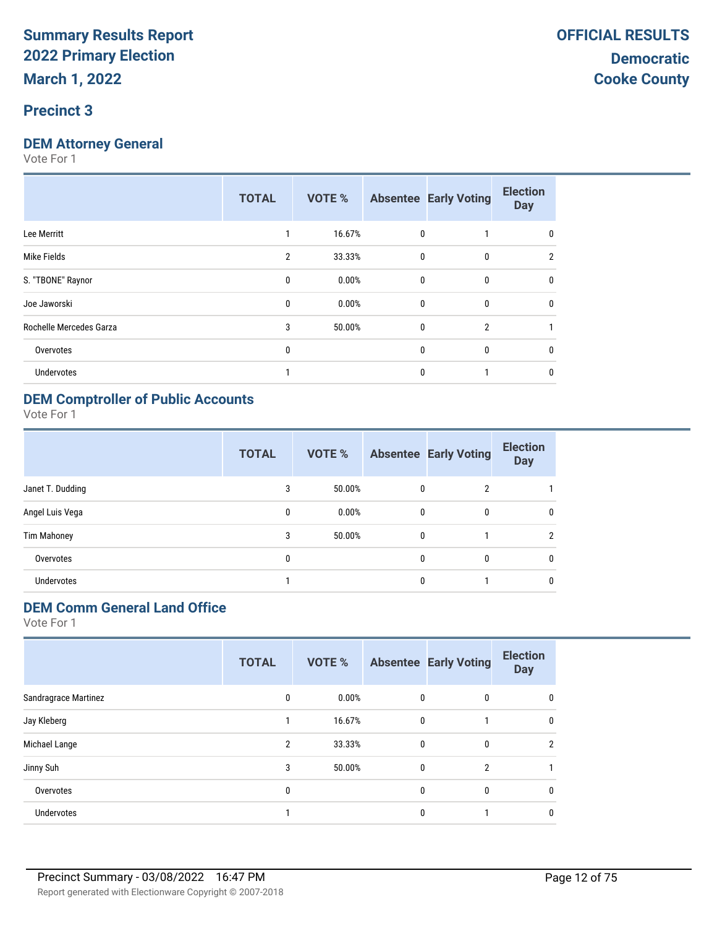#### **Precinct 3**

#### **DEM Attorney General**

Vote For 1

|                         | <b>TOTAL</b>   | <b>VOTE %</b> |              | <b>Absentee Early Voting</b> | <b>Election</b><br><b>Day</b> |
|-------------------------|----------------|---------------|--------------|------------------------------|-------------------------------|
| Lee Merritt             | 1              | 16.67%        | 0            |                              | 0                             |
| Mike Fields             | $\overline{2}$ | 33.33%        | $\mathbf{0}$ | 0                            | $\overline{2}$                |
| S. "TBONE" Raynor       | $\mathbf{0}$   | 0.00%         | $\mathbf{0}$ | 0                            | $\Omega$                      |
| Joe Jaworski            | 0              | 0.00%         | $\mathbf{0}$ | 0                            | 0                             |
| Rochelle Mercedes Garza | 3              | 50.00%        | $\mathbf{0}$ | $\overline{2}$               |                               |
| Overvotes               | 0              |               | $\mathbf{0}$ | 0                            | $\theta$                      |
| Undervotes              |                |               | $\mathbf{0}$ |                              | 0                             |
|                         |                |               |              |                              |                               |

#### **DEM Comptroller of Public Accounts**

Vote For 1

|                   | <b>TOTAL</b> | VOTE % |              | <b>Absentee Early Voting</b> | <b>Election</b><br><b>Day</b> |
|-------------------|--------------|--------|--------------|------------------------------|-------------------------------|
| Janet T. Dudding  | 3            | 50.00% | $\mathbf{0}$ | $\overline{2}$               |                               |
| Angel Luis Vega   | $\mathbf{0}$ | 0.00%  | $\mathbf{0}$ | 0                            | 0                             |
| Tim Mahoney       | 3            | 50.00% | $\mathbf{0}$ |                              | $\mathfrak{p}$                |
| Overvotes         | 0            |        | $\mathbf{0}$ | $\mathbf{0}$                 | $\mathbf{0}$                  |
| <b>Undervotes</b> |              |        | 0            |                              | $\mathbf{0}$                  |

## **DEM Comm General Land Office**

|                      | <b>TOTAL</b>   | VOTE % |              | <b>Absentee Early Voting</b> | <b>Election</b><br><b>Day</b> |
|----------------------|----------------|--------|--------------|------------------------------|-------------------------------|
| Sandragrace Martinez | 0              | 0.00%  | $\mathbf{0}$ | 0                            |                               |
| Jay Kleberg          |                | 16.67% | $\mathbf{0}$ |                              | 0                             |
| Michael Lange        | $\overline{2}$ | 33.33% | $\mathbf{0}$ | 0                            | 2                             |
| Jinny Suh            | 3              | 50.00% | 0            | $\overline{2}$               |                               |
| Overvotes            | 0              |        | 0            | 0                            | 0                             |
| <b>Undervotes</b>    |                |        | 0            |                              |                               |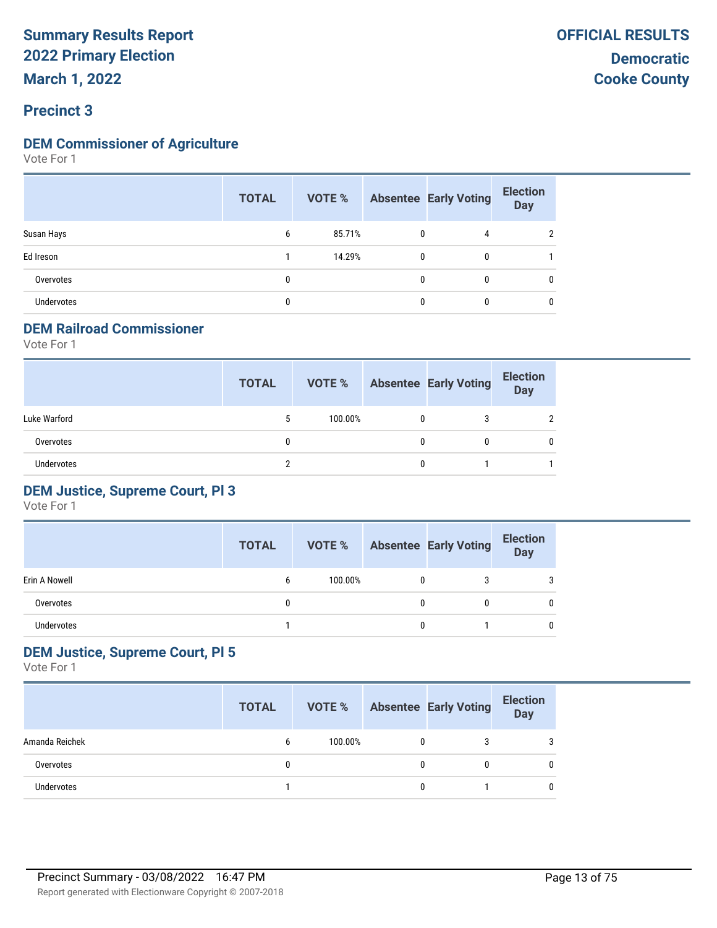#### **DEM Commissioner of Agriculture**

Vote For 1

|                   | <b>TOTAL</b> | VOTE % |              | <b>Absentee Early Voting</b> | <b>Election</b><br><b>Day</b> |
|-------------------|--------------|--------|--------------|------------------------------|-------------------------------|
| Susan Hays        | 6            | 85.71% | $\mathbf{0}$ | 4                            | າ                             |
| Ed Ireson         |              | 14.29% | $\mathbf{0}$ | 0                            |                               |
| Overvotes         | $\mathbf{0}$ |        | $\mathbf{0}$ | $\mathbf{0}$                 | 0                             |
| <b>Undervotes</b> | 0            |        | 0            | 0                            | 0                             |

#### **DEM Railroad Commissioner**

Vote For 1

|                   | <b>TOTAL</b> | VOTE %  |   | <b>Absentee Early Voting</b> | <b>Election</b><br><b>Day</b> |
|-------------------|--------------|---------|---|------------------------------|-------------------------------|
| Luke Warford      | 5            | 100.00% | 0 |                              | $\mathcal{P}$                 |
| Overvotes         |              |         | 0 |                              | 0                             |
| <b>Undervotes</b> |              |         | 0 |                              |                               |

#### **DEM Justice, Supreme Court, Pl 3**

Vote For 1

|               | <b>TOTAL</b> | VOTE %  |   | <b>Absentee Early Voting</b> | <b>Election</b><br>Day |
|---------------|--------------|---------|---|------------------------------|------------------------|
| Erin A Nowell | 6            | 100.00% | 0 |                              |                        |
| Overvotes     |              |         | 0 |                              |                        |
| Undervotes    |              |         | 0 |                              |                        |

#### **DEM Justice, Supreme Court, Pl 5**

|                   | <b>TOTAL</b> | VOTE %  |   | <b>Absentee Early Voting</b> | <b>Election</b><br><b>Day</b> |
|-------------------|--------------|---------|---|------------------------------|-------------------------------|
| Amanda Reichek    | b            | 100.00% | 0 |                              | 3                             |
| Overvotes         |              |         | 0 |                              | 0                             |
| <b>Undervotes</b> |              |         | 0 |                              | 0                             |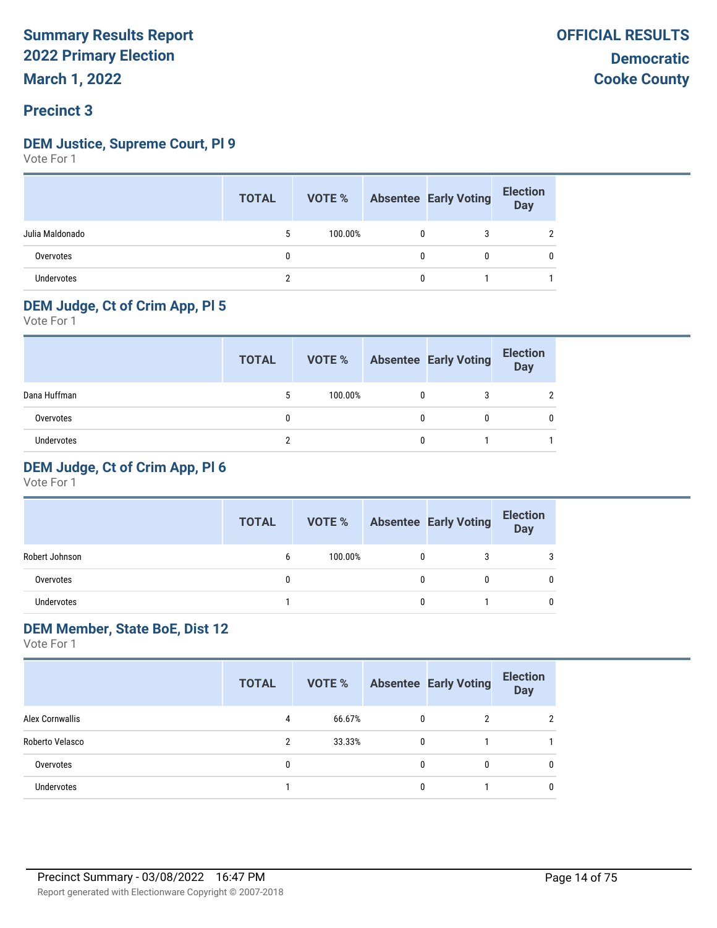#### **DEM Justice, Supreme Court, Pl 9**

Vote For 1

|                   | <b>TOTAL</b> |         |              | <b>VOTE %</b> Absentee Early Voting | <b>Election</b><br>Day |
|-------------------|--------------|---------|--------------|-------------------------------------|------------------------|
| Julia Maldonado   |              | 100.00% | 0            |                                     |                        |
| Overvotes         |              |         | $\mathbf{0}$ |                                     |                        |
| <b>Undervotes</b> |              |         | $\mathbf{0}$ |                                     |                        |

#### **DEM Judge, Ct of Crim App, Pl 5**

Vote For 1

|              | <b>TOTAL</b> | VOTE %  |   | <b>Absentee Early Voting</b> | <b>Election</b><br>Day |
|--------------|--------------|---------|---|------------------------------|------------------------|
| Dana Huffman | 5            | 100.00% | 0 |                              |                        |
| Overvotes    |              |         |   | 0                            |                        |
| Undervotes   |              |         |   |                              |                        |

#### **DEM Judge, Ct of Crim App, Pl 6**

Vote For 1

|                | <b>TOTAL</b> | VOTE %  | <b>Absentee Early Voting</b> | <b>Election</b><br><b>Day</b> |
|----------------|--------------|---------|------------------------------|-------------------------------|
| Robert Johnson | 6            | 100.00% |                              |                               |
| Overvotes      |              |         |                              |                               |
| Undervotes     |              |         |                              |                               |

#### **DEM Member, State BoE, Dist 12**

|                        | <b>TOTAL</b> |        |   | <b>VOTE % Absentee Early Voting</b> | <b>Election</b><br><b>Day</b> |
|------------------------|--------------|--------|---|-------------------------------------|-------------------------------|
| <b>Alex Cornwallis</b> | 4            | 66.67% | 0 | $\overline{2}$                      | C                             |
| Roberto Velasco        | 2            | 33.33% | 0 |                                     |                               |
| Overvotes              | 0            |        | 0 | $\mathbf{0}$                        | 0                             |
| Undervotes             |              |        | 0 |                                     | 0                             |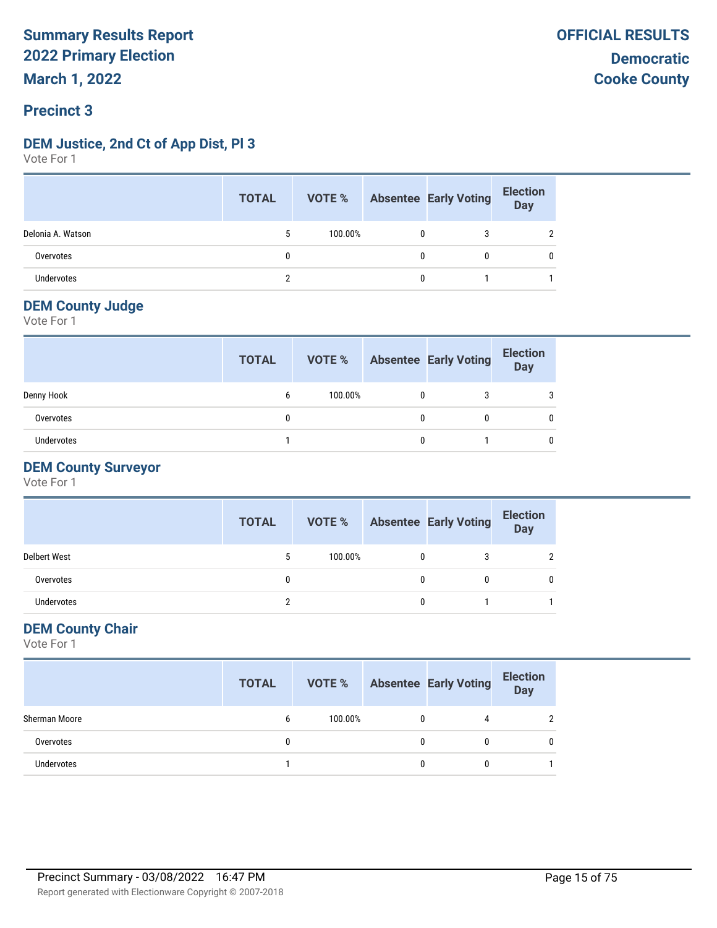#### **DEM Justice, 2nd Ct of App Dist, Pl 3**

Vote For 1

|                   | <b>TOTAL</b> |         |              | <b>VOTE %</b> Absentee Early Voting | <b>Election</b><br>Day |
|-------------------|--------------|---------|--------------|-------------------------------------|------------------------|
| Delonia A. Watson |              | 100.00% | $\mathbf{0}$ | 3                                   | n                      |
| Overvotes         |              |         | 0            | 0                                   | $\mathbf{0}$           |
| Undervotes        |              |         | $\mathbf{0}$ |                                     |                        |

#### **DEM County Judge**

Vote For 1

|                   | <b>TOTAL</b> | VOTE %  | <b>Absentee Early Voting</b> | <b>Election</b><br><b>Day</b> |
|-------------------|--------------|---------|------------------------------|-------------------------------|
| Denny Hook        | 6            | 100.00% |                              |                               |
| Overvotes         | 0            |         | 0                            |                               |
| <b>Undervotes</b> |              |         |                              |                               |

#### **DEM County Surveyor**

Vote For 1

|                     | <b>TOTAL</b> |         |   | <b>VOTE %</b> Absentee Early Voting | <b>Election</b><br>Day |
|---------------------|--------------|---------|---|-------------------------------------|------------------------|
| <b>Delbert West</b> | 5            | 100.00% |   |                                     |                        |
| Overvotes           |              |         | 0 |                                     |                        |
| Undervotes          | c            |         | 0 |                                     |                        |

#### **DEM County Chair**

|               | <b>TOTAL</b> |         |   | <b>VOTE %</b> Absentee Early Voting | <b>Election</b><br>Day |
|---------------|--------------|---------|---|-------------------------------------|------------------------|
| Sherman Moore | b            | 100.00% | 0 |                                     |                        |
| Overvotes     | 0            |         | 0 | 0                                   | 0                      |
| Undervotes    |              |         | 0 | 0                                   |                        |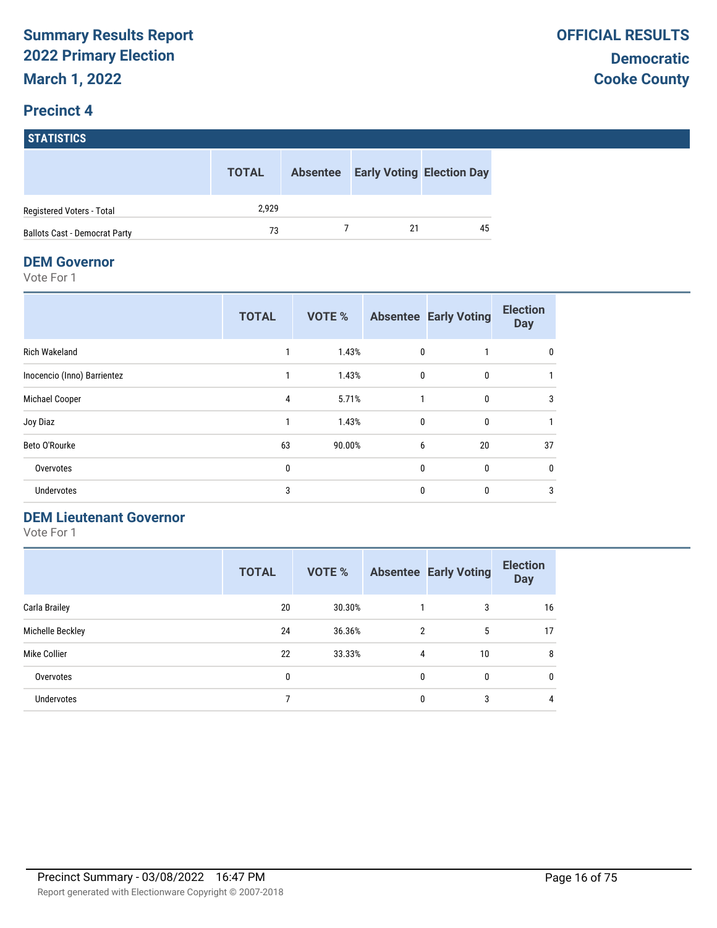# **STATISTICS**

|                                      | <b>TOTAL</b> | <b>Absentee</b> | <b>Early Voting Election Day</b> |
|--------------------------------------|--------------|-----------------|----------------------------------|
| Registered Voters - Total            | 2.929        |                 |                                  |
| <b>Ballots Cast - Democrat Party</b> | 73           |                 | 45                               |

#### **DEM Governor**

Vote For 1

|                             | <b>TOTAL</b> | <b>VOTE %</b> |              | <b>Absentee Early Voting</b> | <b>Election</b><br><b>Day</b> |
|-----------------------------|--------------|---------------|--------------|------------------------------|-------------------------------|
| <b>Rich Wakeland</b>        |              | 1.43%         | 0            |                              | 0                             |
| Inocencio (Inno) Barrientez |              | 1.43%         | $\mathbf{0}$ | $\mathbf{0}$                 |                               |
| Michael Cooper              | 4            | 5.71%         | 1            | 0                            | 3                             |
| Joy Diaz                    | 1            | 1.43%         | $\mathbf{0}$ | $\mathbf{0}$                 | $\mathbf{1}$                  |
| Beto O'Rourke               | 63           | 90.00%        | 6            | 20                           | 37                            |
| Overvotes                   | 0            |               | $\mathbf{0}$ | $\mathbf{0}$                 | 0                             |
| Undervotes                  | 3            |               | $\mathbf{0}$ | $\mathbf{0}$                 | 3                             |

#### **DEM Lieutenant Governor**

|                   | <b>TOTAL</b> | <b>VOTE %</b> |                | <b>Absentee Early Voting</b> | <b>Election</b><br><b>Day</b> |
|-------------------|--------------|---------------|----------------|------------------------------|-------------------------------|
| Carla Brailey     | 20           | 30.30%        |                | 3                            | 16                            |
| Michelle Beckley  | 24           | 36.36%        | $\overline{2}$ | 5                            | 17                            |
| Mike Collier      | 22           | 33.33%        | 4              | 10                           | 8                             |
| Overvotes         | 0            |               | 0              | 0                            | 0                             |
| <b>Undervotes</b> |              |               | 0              | 3                            | 4                             |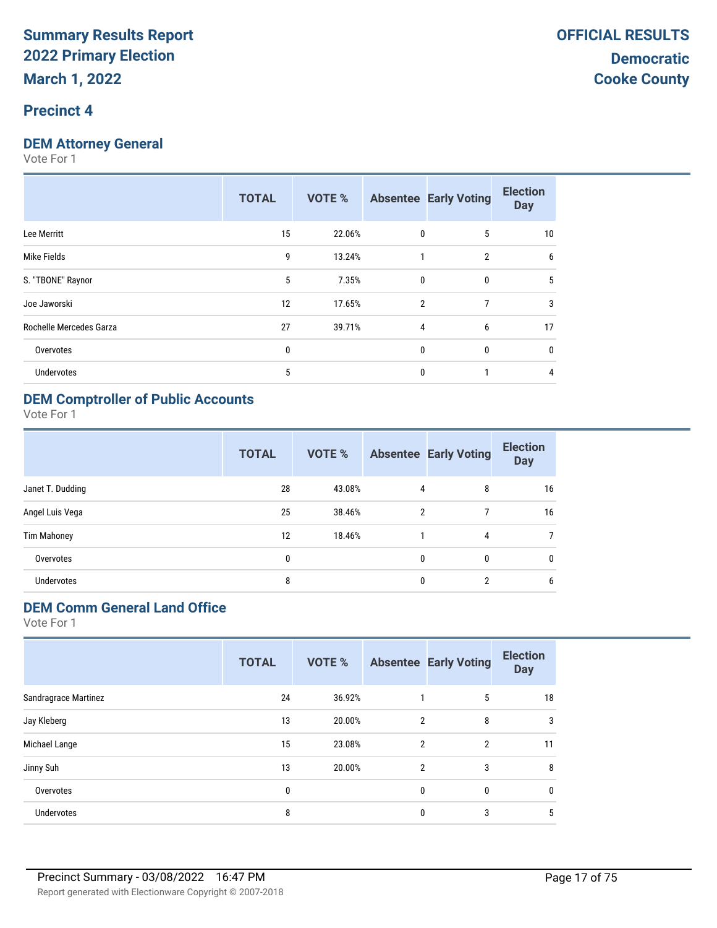#### **Precinct 4**

#### **DEM Attorney General**

Vote For 1

| <b>TOTAL</b> | <b>VOTE %</b> |   |                | <b>Election</b><br><b>Day</b>                                 |
|--------------|---------------|---|----------------|---------------------------------------------------------------|
| 15           | 22.06%        |   | 5              | 10                                                            |
| 9            | 13.24%        | 1 | $\overline{2}$ | 6                                                             |
| 5            | 7.35%         | 0 | $\mathbf{0}$   | 5                                                             |
| 12           | 17.65%        |   | 7              | 3                                                             |
| 27           | 39.71%        |   | 6              | 17                                                            |
| 0            |               |   | $\mathbf{0}$   | 0                                                             |
| 5            |               | 0 |                | 4                                                             |
|              |               |   |                | <b>Absentee Early Voting</b><br>0<br>$\overline{2}$<br>4<br>0 |

#### **DEM Comptroller of Public Accounts**

Vote For 1

|                    | <b>TOTAL</b> | VOTE % |               | <b>Absentee Early Voting</b> | <b>Election</b><br><b>Day</b> |
|--------------------|--------------|--------|---------------|------------------------------|-------------------------------|
| Janet T. Dudding   | 28           | 43.08% | 4             | 8                            | 16                            |
| Angel Luis Vega    | 25           | 38.46% | $\mathcal{P}$ | 7                            | 16                            |
| <b>Tim Mahoney</b> | 12           | 18.46% |               | 4                            |                               |
| Overvotes          | 0            |        | $\mathbf{0}$  | 0                            | $\mathbf{0}$                  |
| <b>Undervotes</b>  | 8            |        | $\mathbf{0}$  | $\overline{2}$               | 6                             |

#### **DEM Comm General Land Office**

|                      | <b>TOTAL</b> | <b>VOTE %</b> |                | <b>Absentee Early Voting</b> | <b>Election</b><br><b>Day</b> |
|----------------------|--------------|---------------|----------------|------------------------------|-------------------------------|
| Sandragrace Martinez | 24           | 36.92%        |                | 5                            | 18                            |
| Jay Kleberg          | 13           | 20.00%        | $\overline{2}$ | 8                            | 3                             |
| Michael Lange        | 15           | 23.08%        | $\overline{2}$ | 2                            | 11                            |
| Jinny Suh            | 13           | 20.00%        | $\overline{2}$ | 3                            | 8                             |
| Overvotes            | 0            |               | 0              | $\mathbf{0}$                 | 0                             |
| Undervotes           | 8            |               | 0              | 3                            | 5                             |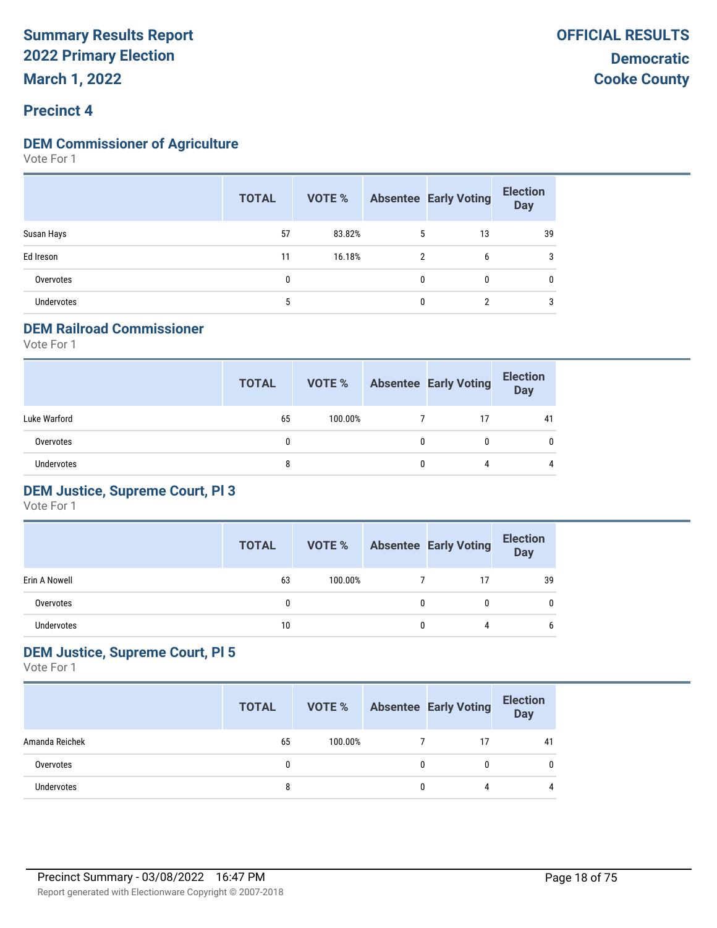#### **DEM Commissioner of Agriculture**

Vote For 1

|                   | <b>TOTAL</b> |        |                | <b>VOTE %</b> Absentee Early Voting | <b>Election</b><br><b>Day</b> |
|-------------------|--------------|--------|----------------|-------------------------------------|-------------------------------|
| Susan Hays        | 57           | 83.82% | 5              | 13                                  | 39                            |
| Ed Ireson         | 11           | 16.18% | $\overline{2}$ | 6                                   | 3                             |
| Overvotes         | 0            |        | $\mathbf{0}$   | 0                                   | 0                             |
| <b>Undervotes</b> | 5            |        | $\mathbf{0}$   |                                     | 3                             |

#### **DEM Railroad Commissioner**

Vote For 1

|              | <b>TOTAL</b> | VOTE %  |   | <b>Absentee Early Voting</b> | <b>Election</b><br><b>Day</b> |
|--------------|--------------|---------|---|------------------------------|-------------------------------|
| Luke Warford | 65           | 100.00% |   | 17                           | 41                            |
| Overvotes    | 0            |         |   |                              | $\mathbf{0}$                  |
| Undervotes   | 8            |         | 0 | Δ                            | 4                             |

#### **DEM Justice, Supreme Court, Pl 3**

Vote For 1

|               | <b>TOTAL</b> | VOTE %  |   | <b>Absentee Early Voting</b> | <b>Election</b><br>Day |
|---------------|--------------|---------|---|------------------------------|------------------------|
| Erin A Nowell | 63           | 100.00% |   |                              | 39                     |
| Overvotes     |              |         | 0 | 0                            | 0                      |
| Undervotes    | 10           |         | 0 |                              | 6                      |

#### **DEM Justice, Supreme Court, Pl 5**

|                   | <b>TOTAL</b> | VOTE %  |   | <b>Absentee Early Voting</b> | <b>Election</b><br>Day |
|-------------------|--------------|---------|---|------------------------------|------------------------|
| Amanda Reichek    | 65           | 100.00% |   |                              | 41                     |
| Overvotes         |              |         | 0 |                              | 0                      |
| <b>Undervotes</b> |              |         | 0 |                              |                        |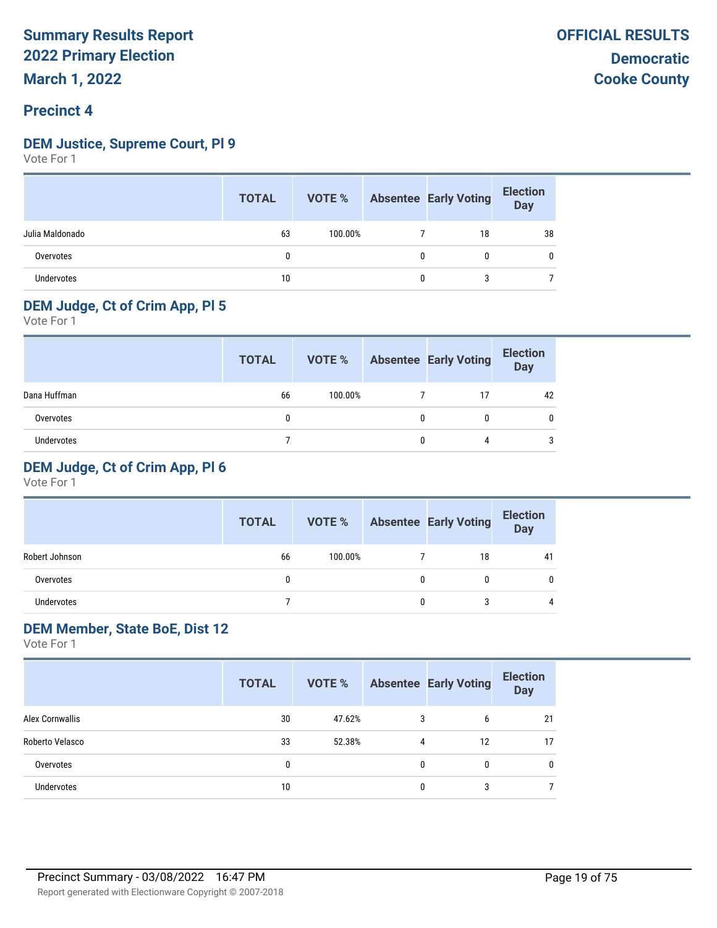#### **DEM Justice, Supreme Court, Pl 9**

Vote For 1

|                   | <b>TOTAL</b> | VOTE %  |   | <b>Absentee Early Voting</b> | <b>Election</b><br>Day |
|-------------------|--------------|---------|---|------------------------------|------------------------|
| Julia Maldonado   | 63           | 100.00% |   | 18                           | 38                     |
| Overvotes         | 0            |         | 0 | 0                            | 0                      |
| <b>Undervotes</b> | 10           |         | 0 | 3                            |                        |

#### **DEM Judge, Ct of Crim App, Pl 5**

Vote For 1

|              | <b>TOTAL</b> | VOTE %  | <b>Absentee Early Voting</b> | <b>Election</b><br>Day |
|--------------|--------------|---------|------------------------------|------------------------|
| Dana Huffman | 66           | 100.00% | 17                           | 42                     |
| Overvotes    | 0            |         | 0                            |                        |
| Undervotes   |              |         | 4                            | ◠                      |

#### **DEM Judge, Ct of Crim App, Pl 6**

Vote For 1

|                | <b>TOTAL</b> | VOTE %  |   | <b>Absentee Early Voting</b> | <b>Election</b><br>Day |
|----------------|--------------|---------|---|------------------------------|------------------------|
| Robert Johnson | 66           | 100.00% |   | 18                           | 41                     |
| Overvotes      | 0            |         | 0 |                              |                        |
| Undervotes     |              |         | 0 | 3                            | 4                      |

#### **DEM Member, State BoE, Dist 12**

|                   | <b>TOTAL</b> | VOTE % |   | <b>Absentee Early Voting</b> | <b>Election</b><br><b>Day</b> |
|-------------------|--------------|--------|---|------------------------------|-------------------------------|
| Alex Cornwallis   | 30           | 47.62% | 3 | 6                            | 21                            |
| Roberto Velasco   | 33           | 52.38% | 4 | 12                           | 17                            |
| Overvotes         | 0            |        | 0 | $\mathbf{0}$                 | 0                             |
| <b>Undervotes</b> | 10           |        | 0 | 3                            |                               |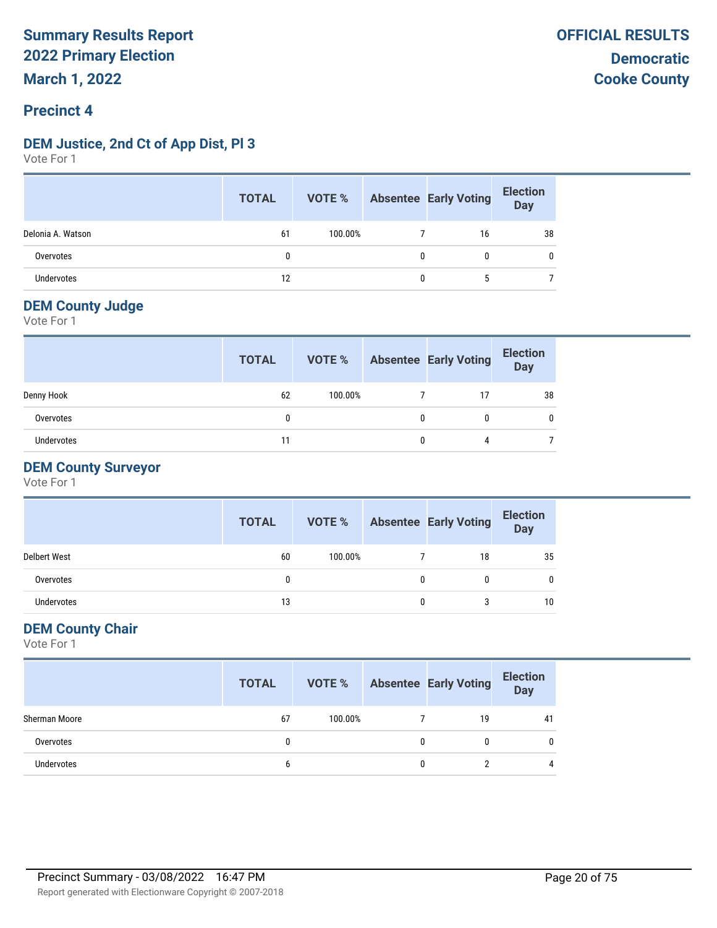#### **DEM Justice, 2nd Ct of App Dist, Pl 3**

Vote For 1

|                   | <b>TOTAL</b> |         |   | <b>VOTE %</b> Absentee Early Voting | <b>Election</b><br>Day |
|-------------------|--------------|---------|---|-------------------------------------|------------------------|
| Delonia A. Watson | 61           | 100.00% |   | 16                                  | 38                     |
| Overvotes         |              |         | 0 | 0                                   |                        |
| <b>Undervotes</b> | 12           |         | 0 | b.                                  |                        |

#### **DEM County Judge**

Vote For 1

|            | <b>TOTAL</b> | <b>VOTE %</b> | <b>Absentee Early Voting</b> | <b>Election</b><br><b>Day</b> |
|------------|--------------|---------------|------------------------------|-------------------------------|
| Denny Hook | 62           | 100.00%       |                              | 38                            |
| Overvotes  |              |               | 0                            |                               |
| Undervotes | 11           |               | 4                            |                               |

#### **DEM County Surveyor**

Vote For 1

|                     | <b>TOTAL</b> | VOTE %  |   | <b>Absentee Early Voting</b> | <b>Election</b><br><b>Day</b> |
|---------------------|--------------|---------|---|------------------------------|-------------------------------|
| <b>Delbert West</b> | 60           | 100.00% |   | 18                           | 35                            |
| Overvotes           |              |         | 0 |                              |                               |
| Undervotes          | 13           |         | 0 | 3                            | 10                            |

#### **DEM County Chair**

|               | <b>TOTAL</b> |         |   | <b>VOTE %</b> Absentee Early Voting | <b>Election</b><br>Day |
|---------------|--------------|---------|---|-------------------------------------|------------------------|
| Sherman Moore | 67           | 100.00% |   | 19                                  | 41                     |
| Overvotes     |              |         | 0 | 0                                   | 0                      |
| Undervotes    |              |         | 0 |                                     | 4                      |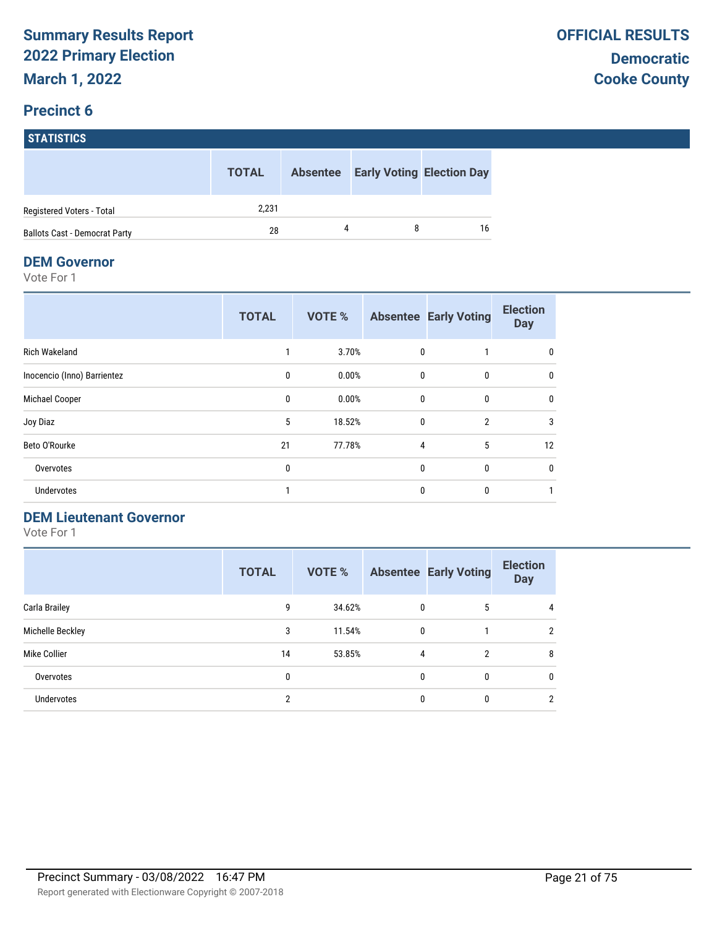## **STATISTICS TOTAL Absentee Early Voting Election Day** Registered Voters - Total 2,231 Ballots Cast - Democrat Party **28** 28 4 8 16

#### **DEM Governor**

Vote For 1

|                             | <b>TOTAL</b> | <b>VOTE %</b> |              | <b>Absentee Early Voting</b> | <b>Election</b><br><b>Day</b> |
|-----------------------------|--------------|---------------|--------------|------------------------------|-------------------------------|
| <b>Rich Wakeland</b>        |              | 3.70%         | 0            |                              | 0                             |
| Inocencio (Inno) Barrientez | 0            | 0.00%         | $\mathbf{0}$ | $\mathbf{0}$                 | 0                             |
| Michael Cooper              | 0            | 0.00%         | $\mathbf{0}$ | $\mathbf{0}$                 | 0                             |
| Joy Diaz                    | 5            | 18.52%        | $\mathbf{0}$ | $\overline{2}$               | 3                             |
| Beto O'Rourke               | 21           | 77.78%        | 4            | 5                            | 12                            |
| Overvotes                   | 0            |               | $\mathbf{0}$ | $\mathbf{0}$                 | 0                             |
| <b>Undervotes</b>           |              |               | 0            | 0                            |                               |

#### **DEM Lieutenant Governor**

|                   | <b>TOTAL</b> | <b>VOTE %</b> |   | <b>Absentee Early Voting</b> | <b>Election</b><br><b>Day</b> |
|-------------------|--------------|---------------|---|------------------------------|-------------------------------|
| Carla Brailey     | 9            | 34.62%        | 0 | 5                            | 4                             |
| Michelle Beckley  | 3            | 11.54%        | 0 |                              | 2                             |
| Mike Collier      | 14           | 53.85%        | 4 | 2                            | 8                             |
| Overvotes         | 0            |               | 0 | 0                            | 0                             |
| <b>Undervotes</b> | 2            |               | 0 | 0                            | 2                             |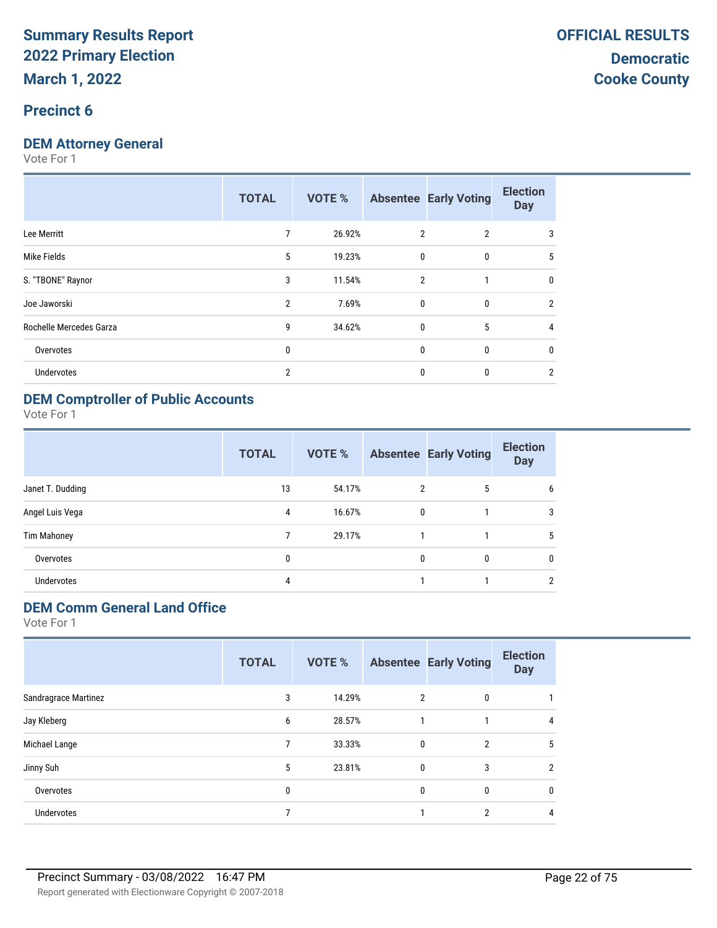#### **Precinct 6**

#### **DEM Attorney General**

Vote For 1

|                         | <b>TOTAL</b>   | <b>VOTE %</b> |                | <b>Absentee Early Voting</b> | <b>Election</b><br><b>Day</b> |
|-------------------------|----------------|---------------|----------------|------------------------------|-------------------------------|
| Lee Merritt             | 7              | 26.92%        | 2              | $\overline{2}$               | 3                             |
| Mike Fields             | 5              | 19.23%        | $\mathbf{0}$   | 0                            | 5                             |
| S. "TBONE" Raynor       | 3              | 11.54%        | $\overline{2}$ |                              | $\mathbf{0}$                  |
| Joe Jaworski            | $\overline{2}$ | 7.69%         | $\mathbf{0}$   | $\mathbf{0}$                 | $\overline{2}$                |
| Rochelle Mercedes Garza | 9              | 34.62%        | $\mathbf{0}$   | 5                            | 4                             |
| Overvotes               | $\mathbf{0}$   |               | $\mathbf{0}$   | 0                            | 0                             |
| <b>Undervotes</b>       | $\overline{2}$ |               | $\mathbf{0}$   | 0                            | 2                             |
|                         |                |               |                |                              |                               |

#### **DEM Comptroller of Public Accounts**

Vote For 1

|                    | <b>TOTAL</b> | <b>VOTE %</b> |              | <b>Absentee Early Voting</b> | <b>Election</b><br><b>Day</b> |
|--------------------|--------------|---------------|--------------|------------------------------|-------------------------------|
| Janet T. Dudding   | 13           | 54.17%        | 2            | 5                            | 6                             |
| Angel Luis Vega    | 4            | 16.67%        | $\mathbf{0}$ |                              | 3                             |
| <b>Tim Mahoney</b> |              | 29.17%        |              |                              | 5                             |
| Overvotes          | 0            |               | $\mathbf{0}$ | 0                            | $\mathbf{0}$                  |
| <b>Undervotes</b>  | 4            |               |              |                              | 2                             |

## **DEM Comm General Land Office**

|                      | <b>TOTAL</b> | <b>VOTE %</b> |             | <b>Absentee Early Voting</b> | <b>Election</b><br><b>Day</b> |
|----------------------|--------------|---------------|-------------|------------------------------|-------------------------------|
| Sandragrace Martinez | 3            | 14.29%        | 2           | 0                            |                               |
| Jay Kleberg          | 6            | 28.57%        |             |                              | 4                             |
| Michael Lange        | 7            | 33.33%        | $\mathbf 0$ | $\overline{2}$               | 5                             |
| Jinny Suh            | 5            | 23.81%        | 0           | 3                            | C                             |
| Overvotes            | 0            |               | 0           | 0                            | 0                             |
| <b>Undervotes</b>    |              |               |             | $\overline{2}$               | 4                             |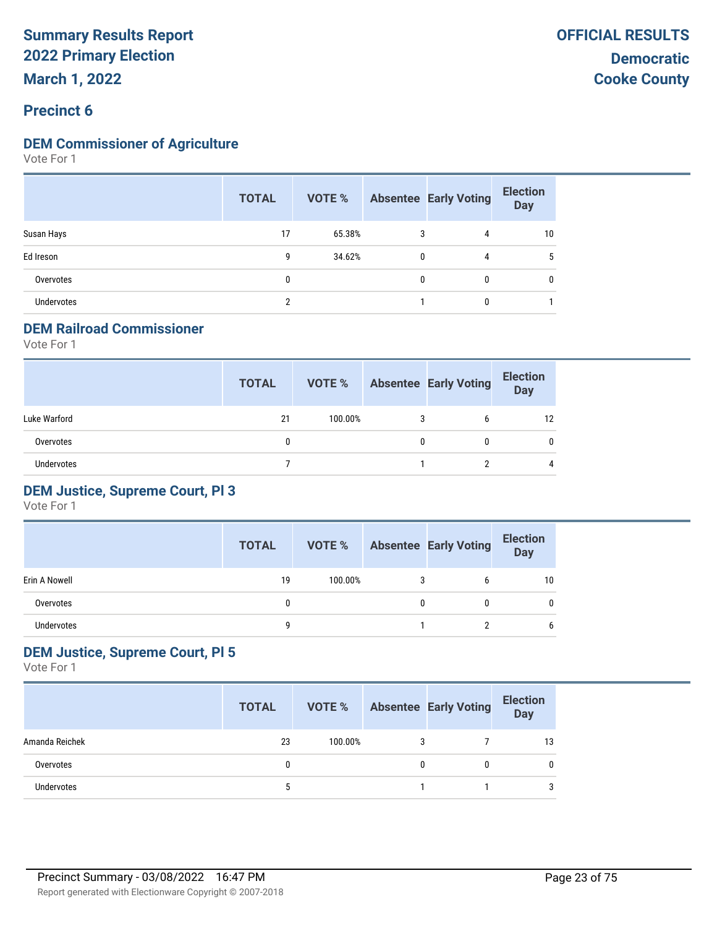#### **DEM Commissioner of Agriculture**

Vote For 1

|                   | <b>TOTAL</b> | VOTE % |              | <b>Absentee Early Voting</b> | <b>Election</b><br><b>Day</b> |
|-------------------|--------------|--------|--------------|------------------------------|-------------------------------|
| Susan Hays        | 17           | 65.38% | 3            | 4                            | 10                            |
| Ed Ireson         | 9            | 34.62% | $\mathbf{0}$ | 4                            | 5                             |
| Overvotes         | 0            |        | 0            | $\mathbf{0}$                 | 0                             |
| <b>Undervotes</b> | 2            |        |              | 0                            |                               |

#### **DEM Railroad Commissioner**

Vote For 1

|                   | <b>TOTAL</b> | VOTE %  |   | <b>Absentee Early Voting</b> | <b>Election</b><br><b>Day</b> |
|-------------------|--------------|---------|---|------------------------------|-------------------------------|
| Luke Warford      | 21           | 100.00% | 3 | 6                            | 12                            |
| Overvotes         | 0            |         | 0 |                              | 0                             |
| <b>Undervotes</b> |              |         |   |                              | $\overline{4}$                |

#### **DEM Justice, Supreme Court, Pl 3**

Vote For 1

|               | <b>TOTAL</b> | VOTE %  |   | <b>Absentee Early Voting</b> | <b>Election</b><br><b>Day</b> |
|---------------|--------------|---------|---|------------------------------|-------------------------------|
| Erin A Nowell | 19           | 100.00% |   |                              | 10                            |
| Overvotes     |              |         | 0 |                              |                               |
| Undervotes    |              |         |   |                              | 6                             |

#### **DEM Justice, Supreme Court, Pl 5**

|                   | <b>TOTAL</b> | VOTE %  |   | <b>Absentee Early Voting</b> | <b>Election</b><br><b>Day</b> |
|-------------------|--------------|---------|---|------------------------------|-------------------------------|
| Amanda Reichek    | 23           | 100.00% | 3 |                              | 13                            |
| Overvotes         |              |         | 0 |                              | 0                             |
| <b>Undervotes</b> |              |         |   |                              | 3                             |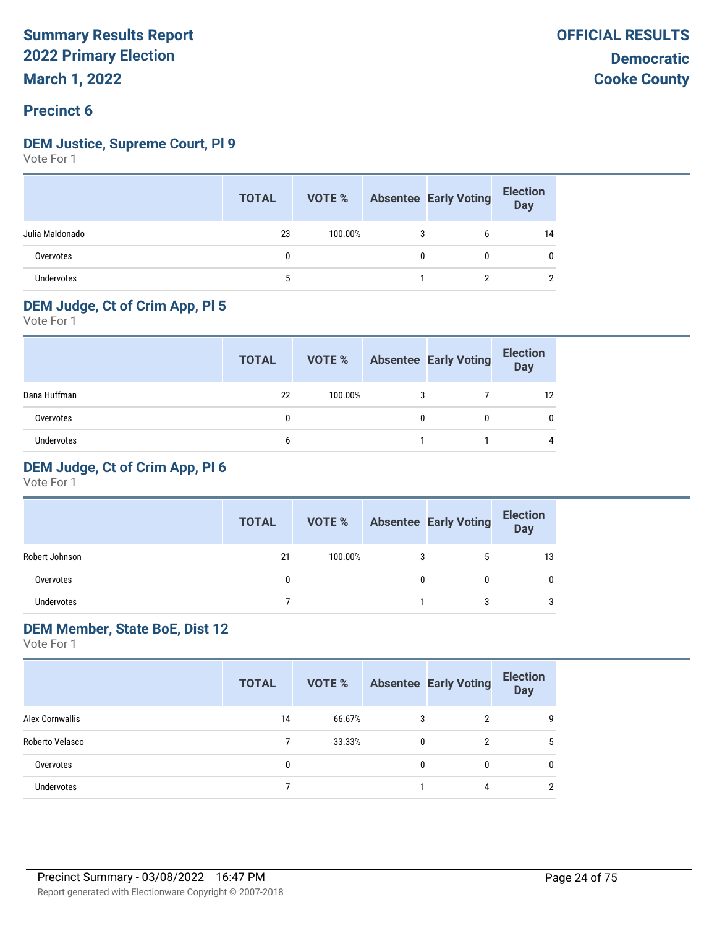#### **DEM Justice, Supreme Court, Pl 9**

Vote For 1

|                   | <b>TOTAL</b> | VOTE %  |   | <b>Absentee Early Voting</b> | <b>Election</b><br>Day |
|-------------------|--------------|---------|---|------------------------------|------------------------|
| Julia Maldonado   | 23           | 100.00% | 3 | b                            | 14                     |
| Overvotes         |              |         | 0 | 0                            | 0                      |
| <b>Undervotes</b> | 5            |         |   |                              |                        |

#### **DEM Judge, Ct of Crim App, Pl 5**

Vote For 1

|              | <b>TOTAL</b> | VOTE %  |   | <b>Absentee Early Voting</b> | <b>Election</b><br>Day |
|--------------|--------------|---------|---|------------------------------|------------------------|
| Dana Huffman | 22           | 100.00% | 3 |                              |                        |
| Overvotes    | 0            |         |   |                              |                        |
| Undervotes   | b            |         |   |                              |                        |

#### **DEM Judge, Ct of Crim App, Pl 6**

Vote For 1

|                | <b>TOTAL</b> | VOTE %  |   | <b>Absentee Early Voting</b> | <b>Election</b><br>Day |
|----------------|--------------|---------|---|------------------------------|------------------------|
| Robert Johnson | 21           | 100.00% | 3 |                              | 13                     |
| Overvotes      | 0            |         | 0 |                              |                        |
| Undervotes     |              |         |   | З                            | 3                      |

#### **DEM Member, State BoE, Dist 12**

|                   | <b>TOTAL</b> | <b>VOTE %</b> |   | <b>Absentee Early Voting</b> | <b>Election</b><br><b>Day</b> |
|-------------------|--------------|---------------|---|------------------------------|-------------------------------|
| Alex Cornwallis   | 14           | 66.67%        | 3 | າ                            | 9                             |
| Roberto Velasco   |              | 33.33%        | 0 | 2                            | 5                             |
| Overvotes         | 0            |               | 0 | $\bf{0}$                     | 0                             |
| <b>Undervotes</b> |              |               |   | 4                            | 2                             |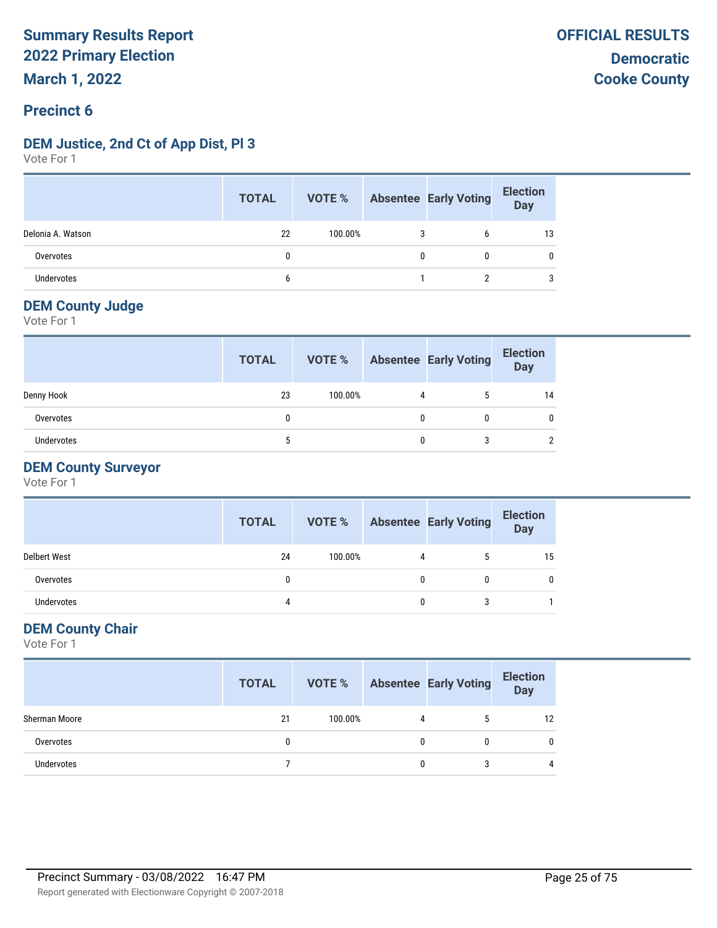#### **DEM Justice, 2nd Ct of App Dist, Pl 3**

Vote For 1

|                   | <b>TOTAL</b> |         |   | <b>VOTE %</b> Absentee Early Voting | <b>Election</b><br>Day |
|-------------------|--------------|---------|---|-------------------------------------|------------------------|
| Delonia A. Watson | 22           | 100.00% |   | b                                   | 13                     |
| Overvotes         |              |         | 0 |                                     |                        |
| Undervotes        |              |         |   |                                     |                        |

#### **DEM County Judge**

Vote For 1

|                   | <b>TOTAL</b> | VOTE %  |   | <b>Absentee Early Voting</b> | <b>Election</b><br>Day |
|-------------------|--------------|---------|---|------------------------------|------------------------|
| Denny Hook        | 23           | 100.00% | 4 |                              | 14                     |
| Overvotes         | 0            |         | 0 | 0                            |                        |
| <b>Undervotes</b> |              |         |   |                              |                        |

#### **DEM County Surveyor**

Vote For 1

|                     | <b>TOTAL</b> | VOTE %  |   | <b>Absentee Early Voting</b> | <b>Election</b><br><b>Day</b> |
|---------------------|--------------|---------|---|------------------------------|-------------------------------|
| <b>Delbert West</b> | 24           | 100.00% | 4 | 5                            | 15                            |
| Overvotes           |              |         |   |                              |                               |
| Undervotes          | 4            |         | 0 | 3                            |                               |

#### **DEM County Chair**

|               | <b>TOTAL</b> | VOTE %  |   | <b>Absentee Early Voting</b> | <b>Election</b><br><b>Day</b> |
|---------------|--------------|---------|---|------------------------------|-------------------------------|
| Sherman Moore | 21           | 100.00% | 4 | 5                            | 12                            |
| Overvotes     |              |         | 0 | 0                            |                               |
| Undervotes    |              |         | 0 |                              |                               |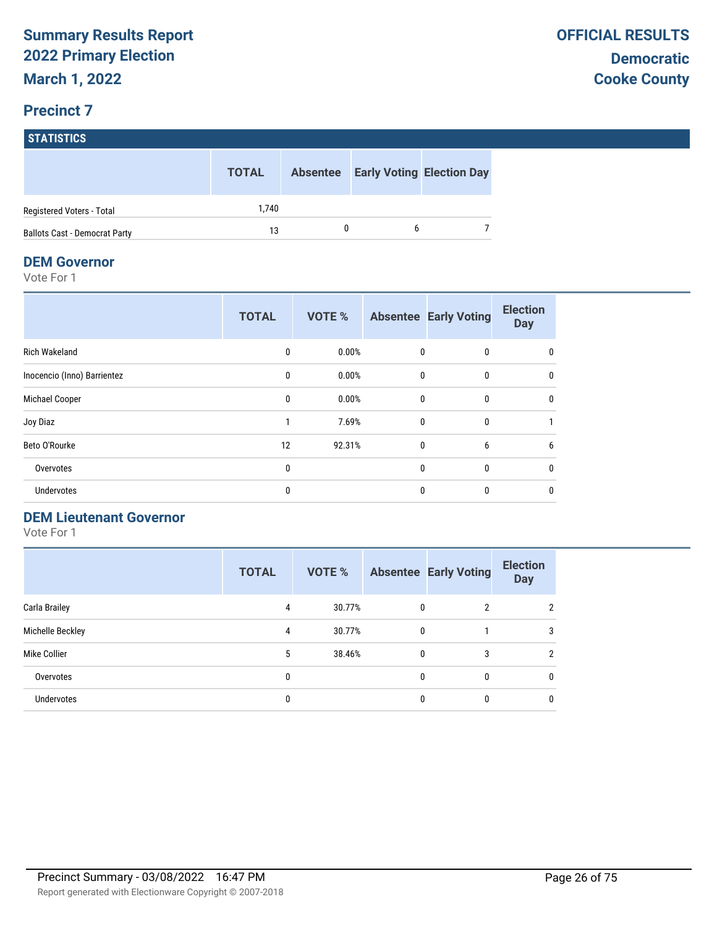# **STATISTICS TOTAL Absentee Early Voting Election Day**

| Registered Voters - Total     | 740 |  |  |
|-------------------------------|-----|--|--|
| Ballots Cast - Democrat Party |     |  |  |

#### **DEM Governor**

Vote For 1

|                             | <b>TOTAL</b> | <b>VOTE %</b> |              | <b>Absentee Early Voting</b> | <b>Election</b><br><b>Day</b> |
|-----------------------------|--------------|---------------|--------------|------------------------------|-------------------------------|
| <b>Rich Wakeland</b>        | 0            | 0.00%         | 0            | 0                            | 0                             |
| Inocencio (Inno) Barrientez | $\mathbf{0}$ | 0.00%         | $\mathbf 0$  | $\mathbf{0}$                 | 0                             |
| Michael Cooper              | 0            | 0.00%         | $\mathbf{0}$ | 0                            | 0                             |
| Joy Diaz                    |              | 7.69%         | $\mathbf{0}$ | $\mathbf{0}$                 |                               |
| Beto O'Rourke               | 12           | 92.31%        | $\mathbf{0}$ | 6                            | 6                             |
| Overvotes                   | $\mathbf{0}$ |               | $\mathbf{0}$ | $\mathbf{0}$                 | $\mathbf{0}$                  |
| <b>Undervotes</b>           | 0            |               | 0            | $\bf{0}$                     | 0                             |

#### **DEM Lieutenant Governor**

|                   | <b>TOTAL</b> | <b>VOTE %</b> |   | <b>Absentee Early Voting</b> | <b>Election</b><br><b>Day</b> |
|-------------------|--------------|---------------|---|------------------------------|-------------------------------|
| Carla Brailey     | 4            | 30.77%        | 0 | 2                            | 2                             |
| Michelle Beckley  | 4            | 30.77%        | 0 |                              | 3                             |
| Mike Collier      | 5            | 38.46%        | 0 | 3                            | $\mathfrak{p}$                |
| Overvotes         | 0            |               | 0 | 0                            | 0                             |
| <b>Undervotes</b> | 0            |               | 0 | 0                            | $\mathbf{0}$                  |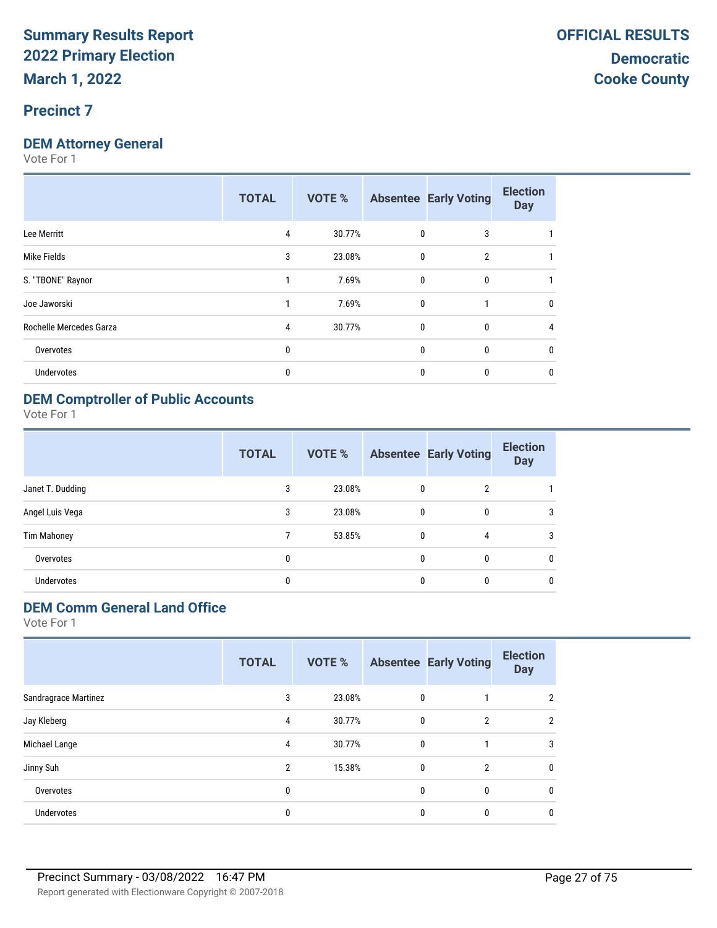#### **Precinct 7**

#### **DEM Attorney General**

Vote For 1

|                         | <b>TOTAL</b> | <b>VOTE %</b> |              | <b>Absentee Early Voting</b> | <b>Election</b><br><b>Day</b> |
|-------------------------|--------------|---------------|--------------|------------------------------|-------------------------------|
| Lee Merritt             | 4            | 30.77%        | 0            | 3                            |                               |
| Mike Fields             | 3            | 23.08%        | 0            | $\overline{2}$               |                               |
| S. "TBONE" Raynor       |              | 7.69%         | 0            | $\mathbf{0}$                 |                               |
| Joe Jaworski            |              | 7.69%         | $\mathbf{0}$ |                              | 0                             |
| Rochelle Mercedes Garza | 4            | 30.77%        | 0            | 0                            |                               |
| Overvotes               | 0            |               | 0            | 0                            | 0                             |
| Undervotes              | 0            |               | 0            | 0                            | 0                             |
|                         |              |               |              |                              |                               |

#### **DEM Comptroller of Public Accounts**

Vote For 1

|                    | <b>TOTAL</b> | VOTE % |              | <b>Absentee Early Voting</b> | <b>Election</b><br><b>Day</b> |
|--------------------|--------------|--------|--------------|------------------------------|-------------------------------|
| Janet T. Dudding   | 3            | 23.08% | $\mathbf{0}$ | 2                            |                               |
| Angel Luis Vega    | 3            | 23.08% | $\mathbf{0}$ | $\mathbf{0}$                 | 3                             |
| <b>Tim Mahoney</b> |              | 53.85% | $\mathbf{0}$ | 4                            | 3                             |
| Overvotes          | 0            |        | $\mathbf{0}$ | $\mathbf{0}$                 | $\mathbf{0}$                  |
| <b>Undervotes</b>  | 0            |        |              | $\mathbf{0}$                 | $\mathbf{0}$                  |

#### **DEM Comm General Land Office**

|                      | <b>TOTAL</b>   | VOTE % |              | <b>Absentee Early Voting</b> | <b>Election</b><br><b>Day</b> |
|----------------------|----------------|--------|--------------|------------------------------|-------------------------------|
| Sandragrace Martinez | 3              | 23.08% | $\mathbf 0$  |                              | າ                             |
| Jay Kleberg          | 4              | 30.77% | $\mathbf 0$  | $\overline{2}$               | 2                             |
| Michael Lange        | 4              | 30.77% | $\mathbf 0$  |                              | 3                             |
| Jinny Suh            | $\overline{2}$ | 15.38% | 0            | $\overline{2}$               | 0                             |
| Overvotes            | 0              |        | $\mathbf{0}$ | 0                            | 0                             |
| <b>Undervotes</b>    | 0              |        | 0            | 0                            | 0                             |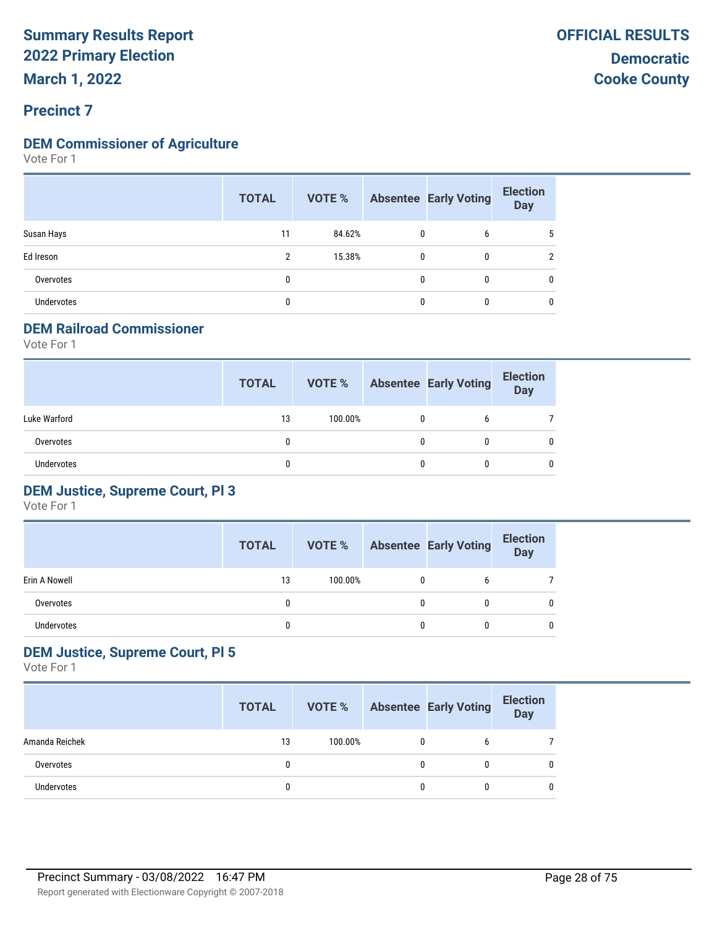#### **Precinct 7**

#### **DEM Commissioner of Agriculture**

Vote For 1

|                   | <b>TOTAL</b> | VOTE % |              | <b>Absentee Early Voting</b> | <b>Election</b><br><b>Day</b> |
|-------------------|--------------|--------|--------------|------------------------------|-------------------------------|
| Susan Hays        | 11           | 84.62% | 0            | 6                            | 5                             |
| Ed Ireson         | 2            | 15.38% | $\mathbf{0}$ | 0                            | ົ                             |
| Overvotes         | 0            |        | 0            | $\mathbf{0}$                 | 0                             |
| <b>Undervotes</b> | 0            |        | 0            | 0                            | 0                             |

#### **DEM Railroad Commissioner**

Vote For 1

|                   | <b>TOTAL</b> | VOTE %  |   | <b>Absentee Early Voting</b> | <b>Election</b><br><b>Day</b> |
|-------------------|--------------|---------|---|------------------------------|-------------------------------|
| Luke Warford      | 13           | 100.00% | 0 | 6                            |                               |
| Overvotes         | 0            |         | 0 |                              | 0                             |
| <b>Undervotes</b> |              |         | 0 |                              | 0                             |

#### **DEM Justice, Supreme Court, Pl 3**

Vote For 1

|               | <b>TOTAL</b> | VOTE %  |   | <b>Absentee Early Voting</b> | <b>Election</b><br><b>Day</b> |
|---------------|--------------|---------|---|------------------------------|-------------------------------|
| Erin A Nowell | 13           | 100.00% | 0 |                              |                               |
| Overvotes     |              |         | 0 |                              |                               |
| Undervotes    |              |         | 0 |                              | 0                             |

#### **DEM Justice, Supreme Court, Pl 5**

|                   | <b>TOTAL</b> | VOTE %  |   | <b>Absentee Early Voting</b> | <b>Election</b><br><b>Day</b> |
|-------------------|--------------|---------|---|------------------------------|-------------------------------|
| Amanda Reichek    | 13           | 100.00% | 0 | b                            |                               |
| Overvotes         |              |         | 0 |                              | 0                             |
| <b>Undervotes</b> |              |         | 0 |                              | 0                             |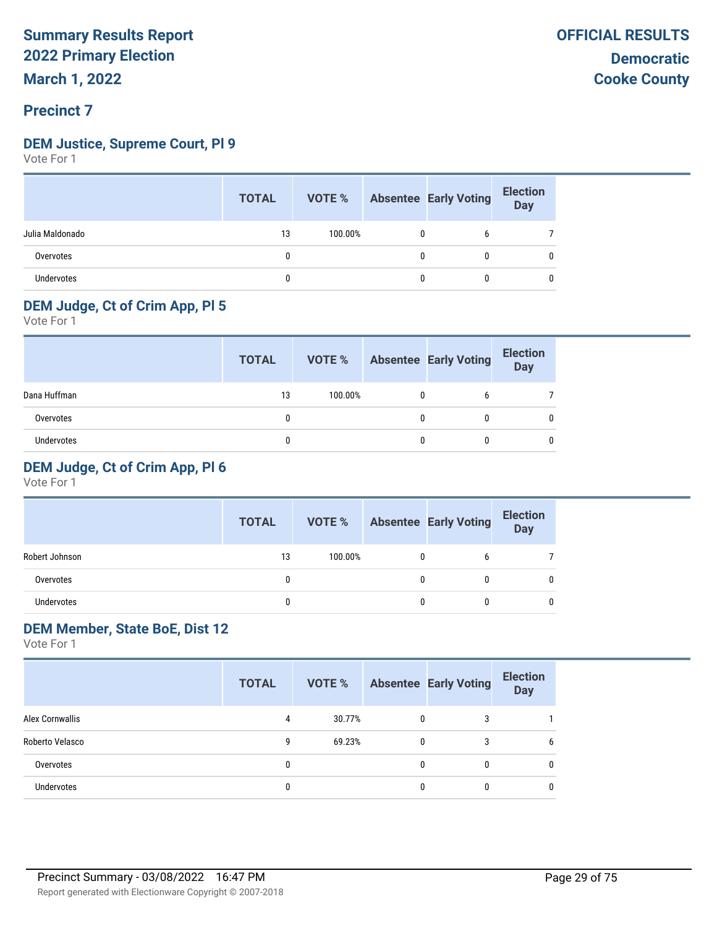#### **DEM Justice, Supreme Court, Pl 9**

Vote For 1

|                   | <b>TOTAL</b> |         |              | <b>VOTE %</b> Absentee Early Voting | <b>Election</b><br>Day |
|-------------------|--------------|---------|--------------|-------------------------------------|------------------------|
| Julia Maldonado   | 13           | 100.00% | $\mathbf{0}$ | b                                   |                        |
| Overvotes         |              |         | 0            |                                     |                        |
| <b>Undervotes</b> |              |         | 0            |                                     |                        |

#### **DEM Judge, Ct of Crim App, Pl 5**

Vote For 1

|                   | <b>TOTAL</b> | VOTE %  | <b>Absentee Early Voting</b> | <b>Election</b><br>Day |
|-------------------|--------------|---------|------------------------------|------------------------|
| Dana Huffman      | 13           | 100.00% | b                            |                        |
| Overvotes         |              |         |                              |                        |
| <b>Undervotes</b> |              |         |                              |                        |

#### **DEM Judge, Ct of Crim App, Pl 6**

Vote For 1

|                | <b>TOTAL</b> | VOTE %  |   | <b>Absentee Early Voting</b> | <b>Election</b><br><b>Day</b> |
|----------------|--------------|---------|---|------------------------------|-------------------------------|
| Robert Johnson | 13           | 100.00% | 0 |                              |                               |
| Overvotes      |              |         | 0 |                              |                               |
| Undervotes     | Ω            |         |   |                              |                               |

#### **DEM Member, State BoE, Dist 12**

|                        | <b>TOTAL</b> | VOTE % |              | <b>Absentee Early Voting</b> | <b>Election</b><br><b>Day</b> |
|------------------------|--------------|--------|--------------|------------------------------|-------------------------------|
| <b>Alex Cornwallis</b> | 4            | 30.77% | $\mathbf{0}$ | 3                            |                               |
| Roberto Velasco        | 9            | 69.23% | $\mathbf{0}$ | 3                            | b                             |
| Overvotes              | 0            |        | 0            | 0                            | 0                             |
| <b>Undervotes</b>      | 0            |        |              | 0                            | 0                             |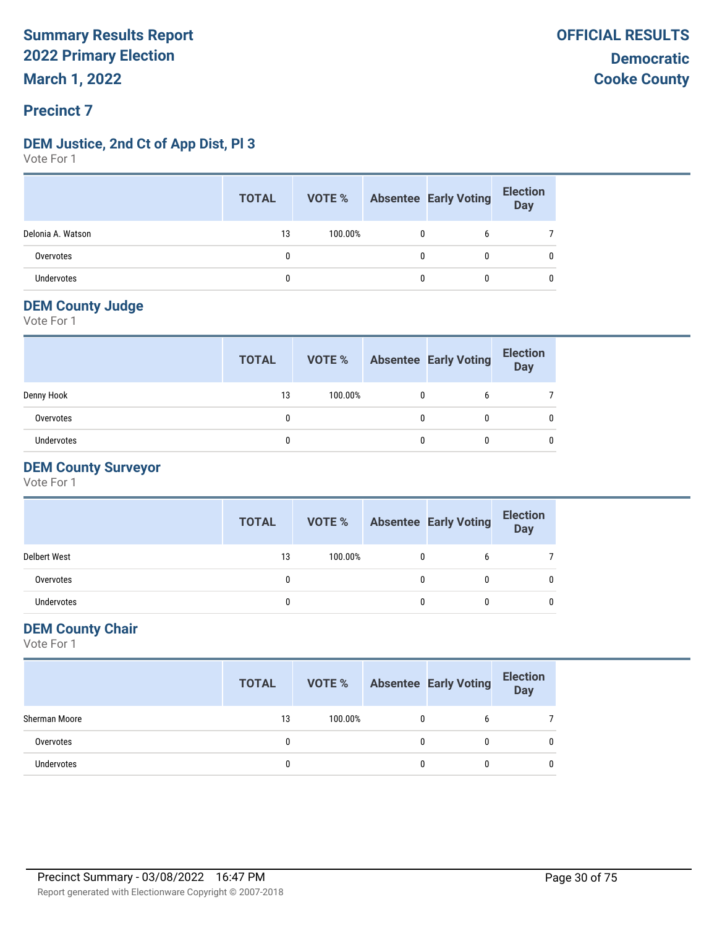#### **DEM Justice, 2nd Ct of App Dist, Pl 3**

Vote For 1

|                   | <b>TOTAL</b> | <b>VOTE %</b> Absentee Early Voting |   |   | <b>Election</b><br>Day |
|-------------------|--------------|-------------------------------------|---|---|------------------------|
| Delonia A. Watson | 13           | 100.00%                             | 0 |   |                        |
| Overvotes         |              |                                     | 0 | 0 | 0                      |
| Undervotes        |              |                                     | 0 | 0 | 0                      |

#### **DEM County Judge**

Vote For 1

|            | <b>TOTAL</b> | VOTE %  | <b>Absentee Early Voting</b> | <b>Election</b><br><b>Day</b> |
|------------|--------------|---------|------------------------------|-------------------------------|
| Denny Hook | 13           | 100.00% |                              |                               |
| Overvotes  | $\mathbf{0}$ |         |                              |                               |
| Undervotes |              |         |                              |                               |

#### **DEM County Surveyor**

Vote For 1

|                     | <b>TOTAL</b> | VOTE %  | <b>Absentee Early Voting</b> | <b>Election</b><br><b>Day</b> |
|---------------------|--------------|---------|------------------------------|-------------------------------|
| <b>Delbert West</b> | 13           | 100.00% | b                            |                               |
| Overvotes           |              |         | 0                            |                               |
| <b>Undervotes</b>   |              |         | 0                            |                               |

#### **DEM County Chair**

|                   | <b>TOTAL</b> |         |   | <b>VOTE %</b> Absentee Early Voting | <b>Election</b><br><b>Day</b> |
|-------------------|--------------|---------|---|-------------------------------------|-------------------------------|
| Sherman Moore     | 13           | 100.00% |   |                                     |                               |
| Overvotes         |              |         | 0 |                                     |                               |
| <b>Undervotes</b> |              |         |   |                                     |                               |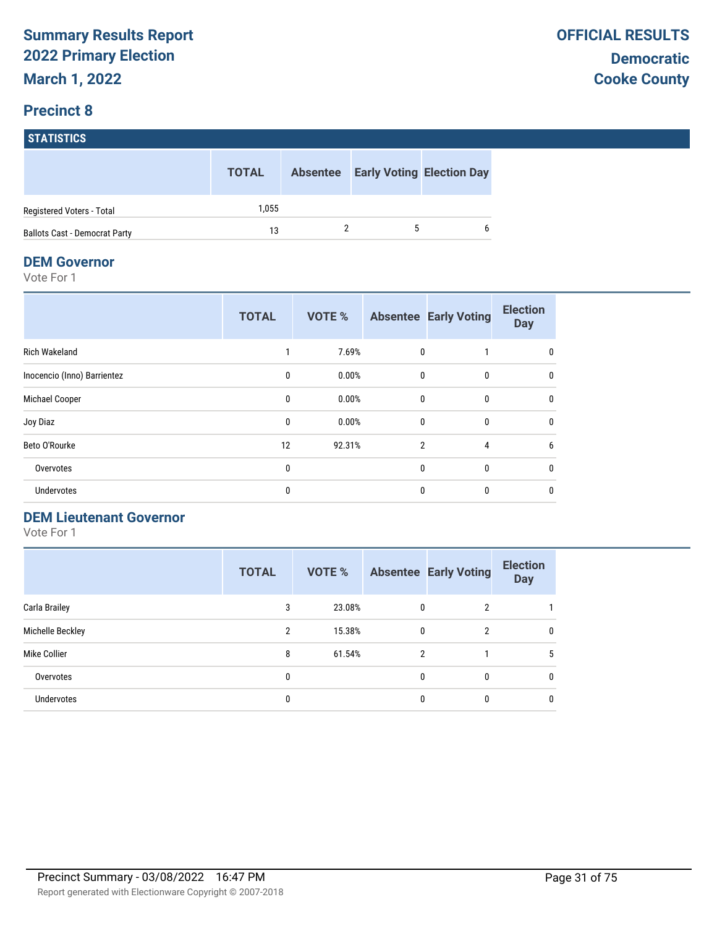# **STATISTICS**

|                                      | <b>TOTAL</b> |  | <b>Absentee Early Voting Election Day</b> |
|--------------------------------------|--------------|--|-------------------------------------------|
| Registered Voters - Total            | 1.055        |  |                                           |
| <b>Ballots Cast - Democrat Party</b> | 13           |  | 6                                         |

#### **DEM Governor**

Vote For 1

|                             | <b>TOTAL</b> | <b>VOTE %</b> |                | <b>Absentee Early Voting</b> | <b>Election</b><br><b>Day</b> |
|-----------------------------|--------------|---------------|----------------|------------------------------|-------------------------------|
| <b>Rich Wakeland</b>        |              | 7.69%         | $\mathbf{0}$   |                              | 0                             |
| Inocencio (Inno) Barrientez | $\mathbf{0}$ | 0.00%         | $\mathbf{0}$   | $\mathbf{0}$                 | 0                             |
| Michael Cooper              | 0            | 0.00%         | 0              | 0                            | 0                             |
| Joy Diaz                    | 0            | 0.00%         | $\mathbf{0}$   | 0                            | 0                             |
| Beto O'Rourke               | 12           | 92.31%        | $\overline{2}$ | 4                            | 6                             |
| Overvotes                   | 0            |               | $\mathbf{0}$   | $\mathbf{0}$                 | 0                             |
| Undervotes                  | 0            |               | $\mathbf{0}$   | $\mathbf{0}$                 | $\mathbf 0$                   |

#### **DEM Lieutenant Governor**

|                   | <b>TOTAL</b>   | <b>VOTE %</b> |                | <b>Absentee Early Voting</b> | <b>Election</b><br><b>Day</b> |
|-------------------|----------------|---------------|----------------|------------------------------|-------------------------------|
| Carla Brailey     | 3              | 23.08%        | 0              | 2                            |                               |
| Michelle Beckley  | $\overline{2}$ | 15.38%        | 0              | 2                            | $\mathbf{0}$                  |
| Mike Collier      | 8              | 61.54%        | $\overline{2}$ |                              | 5                             |
| Overvotes         | 0              |               | 0              | 0                            | 0                             |
| <b>Undervotes</b> | 0              |               | 0              | 0                            | $\mathbf{0}$                  |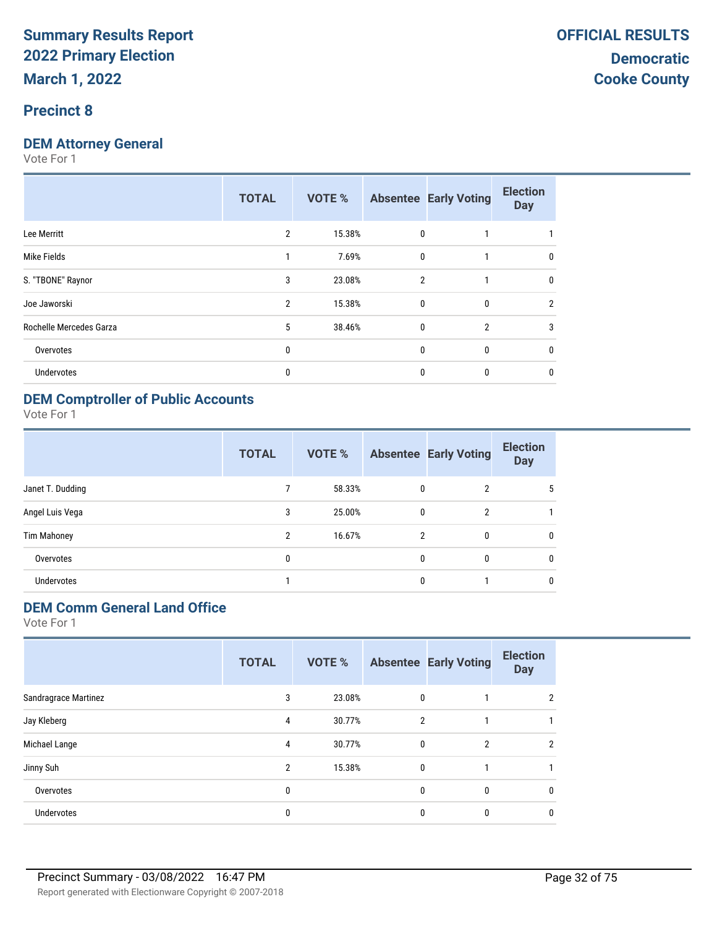#### **Precinct 8**

#### **DEM Attorney General**

Vote For 1

|                         | <b>TOTAL</b>   | <b>VOTE %</b> |                | <b>Absentee Early Voting</b> | <b>Election</b><br><b>Day</b> |
|-------------------------|----------------|---------------|----------------|------------------------------|-------------------------------|
| Lee Merritt             | $\overline{2}$ | 15.38%        | $\mathbf{0}$   |                              |                               |
| Mike Fields             | 1              | 7.69%         | $\mathbf{0}$   |                              | 0                             |
| S. "TBONE" Raynor       | 3              | 23.08%        | $\overline{2}$ |                              | $\mathbf{0}$                  |
| Joe Jaworski            | 2              | 15.38%        | $\mathbf{0}$   | $\mathbf{0}$                 | 2                             |
| Rochelle Mercedes Garza | 5              | 38.46%        | $\mathbf{0}$   | $\overline{2}$               | 3                             |
| Overvotes               | 0              |               | $\Omega$       | 0                            | 0                             |
| <b>Undervotes</b>       | 0              |               | $\mathbf{0}$   | 0                            | 0                             |
|                         |                |               |                |                              |                               |

#### **DEM Comptroller of Public Accounts**

Vote For 1

|                  | <b>TOTAL</b>   | VOTE % |              | <b>Absentee Early Voting</b> | <b>Election</b><br><b>Day</b> |
|------------------|----------------|--------|--------------|------------------------------|-------------------------------|
| Janet T. Dudding | 7              | 58.33% | 0            | $\overline{2}$               | 5                             |
| Angel Luis Vega  | 3              | 25.00% | 0            | $\overline{2}$               |                               |
| Tim Mahoney      | $\overline{2}$ | 16.67% | 2            | 0                            | 0                             |
| Overvotes        | 0              |        | $\mathbf{0}$ | 0                            | $\mathbf{0}$                  |
| Undervotes       |                |        | 0            |                              | 0                             |

#### **DEM Comm General Land Office**

|                      | <b>TOTAL</b> | VOTE % |              | <b>Absentee Early Voting</b> | <b>Election</b><br><b>Day</b> |
|----------------------|--------------|--------|--------------|------------------------------|-------------------------------|
| Sandragrace Martinez | 3            | 23.08% | $\mathbf 0$  |                              | 2                             |
| Jay Kleberg          | 4            | 30.77% | 2            |                              |                               |
| Michael Lange        | 4            | 30.77% | $\mathbf{0}$ | $\overline{2}$               | 2                             |
| Jinny Suh            | 2            | 15.38% | $\mathbf{0}$ |                              |                               |
| Overvotes            | $\mathbf{0}$ |        | $\mathbf{0}$ | $\mathbf{0}$                 | 0                             |
| Undervotes           | 0            |        | 0            | 0                            |                               |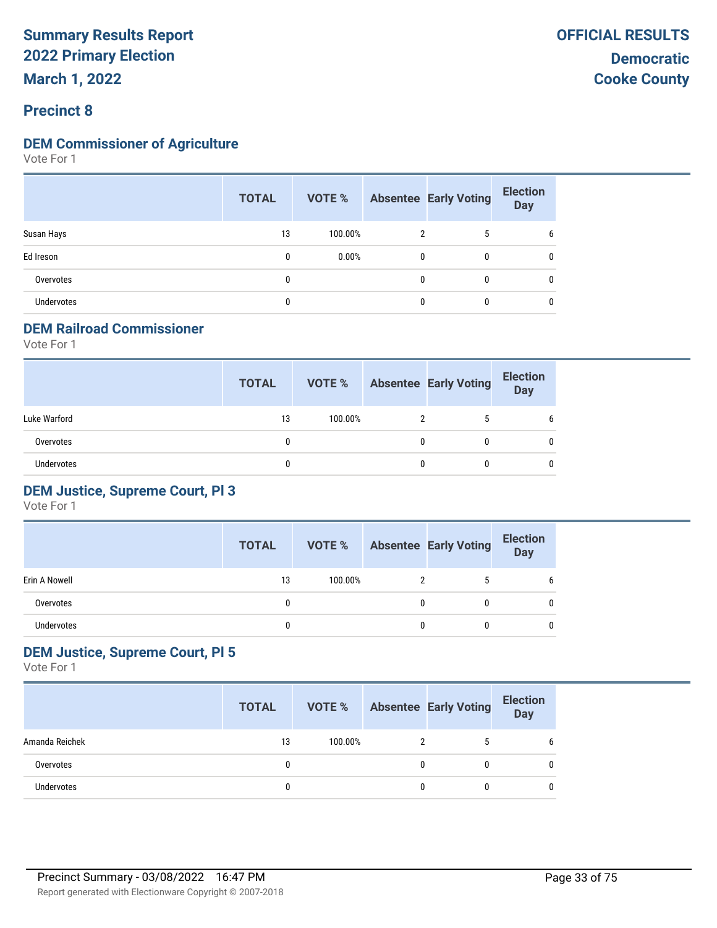#### **DEM Commissioner of Agriculture**

Vote For 1

|            | <b>TOTAL</b> | VOTE %  |              | <b>Absentee Early Voting</b> | <b>Election</b><br><b>Day</b> |
|------------|--------------|---------|--------------|------------------------------|-------------------------------|
| Susan Hays | 13           | 100.00% |              | 5                            | b                             |
| Ed Ireson  | $\mathbf{0}$ | 0.00%   | $\mathbf{0}$ | 0                            | 0                             |
| Overvotes  | 0            |         | $\mathbf{0}$ | $\mathbf{0}$                 | 0                             |
| Undervotes | 0            |         | $\mathbf{0}$ | 0                            | 0                             |

#### **DEM Railroad Commissioner**

Vote For 1

|                   | <b>TOTAL</b> | VOTE %  | <b>Absentee Early Voting</b> | <b>Election</b><br><b>Day</b> |
|-------------------|--------------|---------|------------------------------|-------------------------------|
| Luke Warford      | 13           | 100.00% | 5                            | 6                             |
| Overvotes         | 0            |         |                              |                               |
| <b>Undervotes</b> |              |         |                              | 0                             |

#### **DEM Justice, Supreme Court, Pl 3**

Vote For 1

|               | <b>TOTAL</b> | <b>VOTE %</b> | <b>Absentee Early Voting</b> | <b>Election</b><br>Day |
|---------------|--------------|---------------|------------------------------|------------------------|
| Erin A Nowell | 13           | 100.00%       |                              |                        |
| Overvotes     |              |               |                              | n                      |
| Undervotes    |              |               |                              | n                      |

#### **DEM Justice, Supreme Court, Pl 5**

|                   | <b>TOTAL</b> | VOTE %  |   | <b>Absentee Early Voting</b> | <b>Election</b><br><b>Day</b> |
|-------------------|--------------|---------|---|------------------------------|-------------------------------|
| Amanda Reichek    | 13           | 100.00% |   |                              | 6                             |
| Overvotes         |              |         | 0 |                              | 0                             |
| <b>Undervotes</b> |              |         | 0 |                              | <sup>0</sup>                  |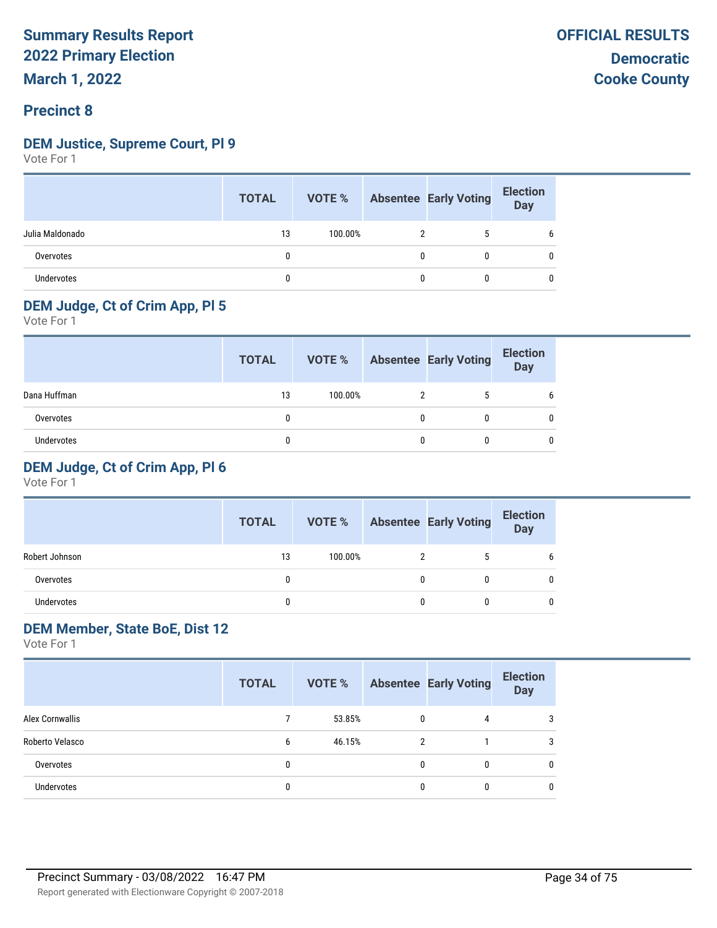#### **DEM Justice, Supreme Court, Pl 9**

Vote For 1

|                   | <b>TOTAL</b> | VOTE %  |   | <b>Absentee Early Voting</b> | <b>Election</b><br>Day |
|-------------------|--------------|---------|---|------------------------------|------------------------|
| Julia Maldonado   | 13           | 100.00% |   | b                            | 6                      |
| Overvotes         |              |         | 0 | 0                            | 0                      |
| <b>Undervotes</b> |              |         | 0 | 0                            | 0                      |

#### **DEM Judge, Ct of Crim App, Pl 5**

Vote For 1

|              | <b>TOTAL</b> | VOTE %  |   | <b>Absentee Early Voting</b> | <b>Election</b><br>Day |
|--------------|--------------|---------|---|------------------------------|------------------------|
| Dana Huffman | 13           | 100.00% |   |                              |                        |
| Overvotes    |              |         | 0 |                              |                        |
| Undervotes   |              |         |   |                              |                        |

#### **DEM Judge, Ct of Crim App, Pl 6**

Vote For 1

|                   | <b>TOTAL</b> | VOTE %  | <b>Absentee Early Voting</b> | <b>Election</b><br><b>Day</b> |
|-------------------|--------------|---------|------------------------------|-------------------------------|
| Robert Johnson    | 13           | 100.00% | 5                            |                               |
| Overvotes         |              |         |                              |                               |
| <b>Undervotes</b> |              |         |                              |                               |

#### **DEM Member, State BoE, Dist 12**

|                   | <b>TOTAL</b> |        |   | <b>VOTE %</b> Absentee Early Voting | <b>Election</b><br><b>Day</b> |
|-------------------|--------------|--------|---|-------------------------------------|-------------------------------|
| Alex Cornwallis   |              | 53.85% | 0 | 4                                   | 3                             |
| Roberto Velasco   | 6            | 46.15% |   |                                     | 3                             |
| Overvotes         | 0            |        |   | $\mathbf{0}$                        | 0                             |
| <b>Undervotes</b> | 0            |        |   | 0                                   | 0                             |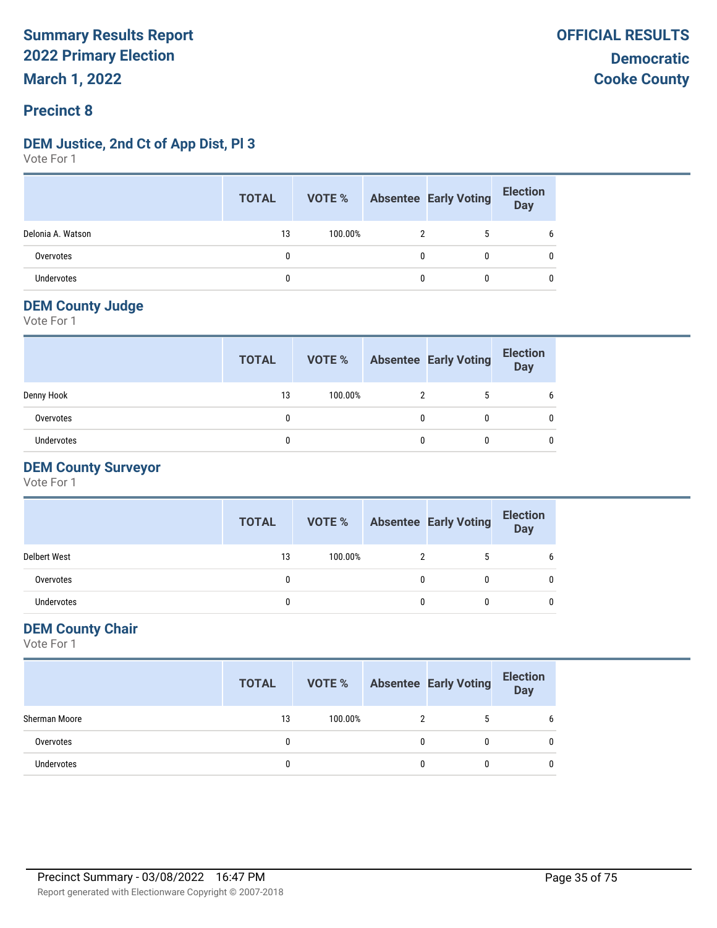#### **DEM Justice, 2nd Ct of App Dist, Pl 3**

Vote For 1

|                   | <b>TOTAL</b> | VOTE %  | <b>Absentee Early Voting</b> | <b>Election</b><br>Day |
|-------------------|--------------|---------|------------------------------|------------------------|
| Delonia A. Watson | 13           | 100.00% |                              | b                      |
| Overvotes         |              |         |                              |                        |
| Undervotes        |              |         |                              |                        |

#### **DEM County Judge**

Vote For 1

|                   | <b>TOTAL</b> | VOTE %  |   | <b>Absentee Early Voting</b> | <b>Election</b><br><b>Day</b> |
|-------------------|--------------|---------|---|------------------------------|-------------------------------|
| Denny Hook        | 13           | 100.00% |   |                              |                               |
| Overvotes         | 0            |         | 0 | 0                            |                               |
| <b>Undervotes</b> |              |         |   |                              |                               |

#### **DEM County Surveyor**

Vote For 1

|                     | <b>TOTAL</b> | VOTE %  |   | <b>Absentee Early Voting</b> | <b>Election</b><br><b>Day</b> |
|---------------------|--------------|---------|---|------------------------------|-------------------------------|
| <b>Delbert West</b> | 13           | 100.00% |   | 5                            | h                             |
| Overvotes           | 0            |         |   | 0                            |                               |
| Undervotes          | 0            |         | 0 | 0                            |                               |

#### **DEM County Chair**

|               | <b>TOTAL</b> | VOTE %  | <b>Absentee Early Voting</b> | <b>Election</b><br>Day |
|---------------|--------------|---------|------------------------------|------------------------|
| Sherman Moore | 13           | 100.00% | 5                            | b                      |
| Overvotes     | 0            |         |                              | 0                      |
| Undervotes    |              |         |                              | 0                      |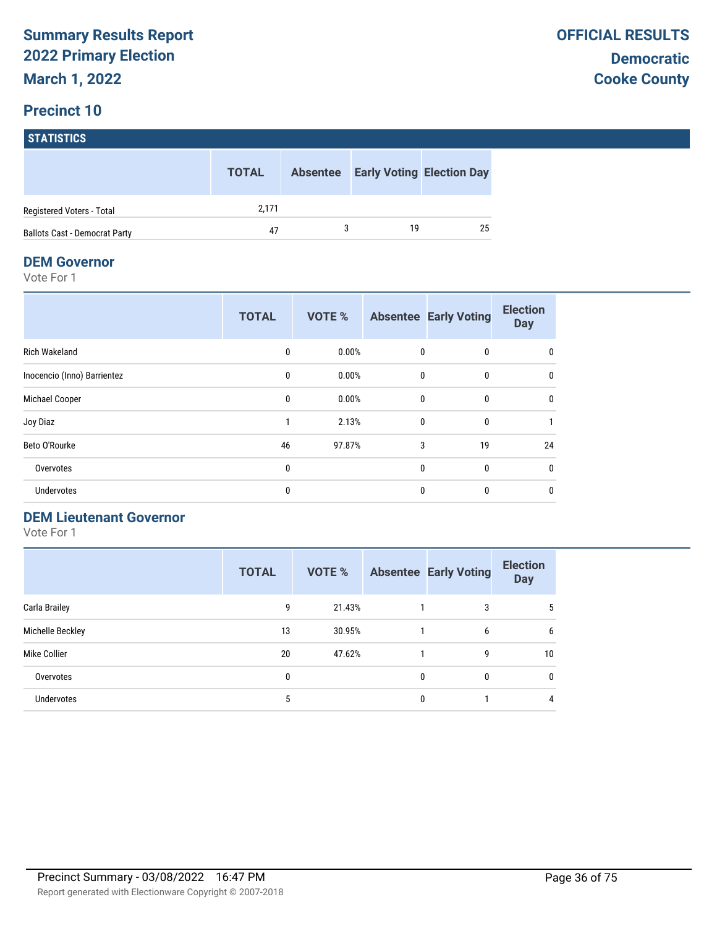## **STATISTICS**

|                                      | <b>TOTAL</b> | <b>Absentee</b> |    | <b>Early Voting Election Day</b> |
|--------------------------------------|--------------|-----------------|----|----------------------------------|
| Registered Voters - Total            | 2.171        |                 |    |                                  |
| <b>Ballots Cast - Democrat Party</b> | 47           |                 | 19 | 25                               |

#### **DEM Governor**

Vote For 1

|                             | <b>TOTAL</b> | <b>VOTE %</b> |              | <b>Absentee Early Voting</b> | <b>Election</b><br><b>Day</b> |
|-----------------------------|--------------|---------------|--------------|------------------------------|-------------------------------|
| <b>Rich Wakeland</b>        | $\mathbf{0}$ | 0.00%         | $\mathbf{0}$ | 0                            | 0                             |
| Inocencio (Inno) Barrientez | $\mathbf{0}$ | 0.00%         | $\mathbf{0}$ | $\mathbf{0}$                 | 0                             |
| Michael Cooper              | 0            | 0.00%         | 0            | 0                            | 0                             |
| Joy Diaz                    |              | 2.13%         | $\mathbf{0}$ | 0                            |                               |
| Beto O'Rourke               | 46           | 97.87%        | 3            | 19                           | 24                            |
| Overvotes                   | 0            |               | $\mathbf{0}$ | $\mathbf{0}$                 | 0                             |
| Undervotes                  | 0            |               | $\mathbf{0}$ | $\mathbf{0}$                 | $\mathbf 0$                   |

#### **DEM Lieutenant Governor**

|                   | <b>TOTAL</b> | <b>VOTE %</b> |   | <b>Absentee Early Voting</b> | <b>Election</b><br><b>Day</b> |
|-------------------|--------------|---------------|---|------------------------------|-------------------------------|
| Carla Brailey     | 9            | 21.43%        |   | 3                            | 5                             |
| Michelle Beckley  | 13           | 30.95%        |   | 6                            | 6                             |
| Mike Collier      | 20           | 47.62%        |   | 9                            | 10                            |
| Overvotes         | 0            |               | 0 | $\mathbf{0}$                 | $\mathbf 0$                   |
| <b>Undervotes</b> | 5            |               | 0 |                              | 4                             |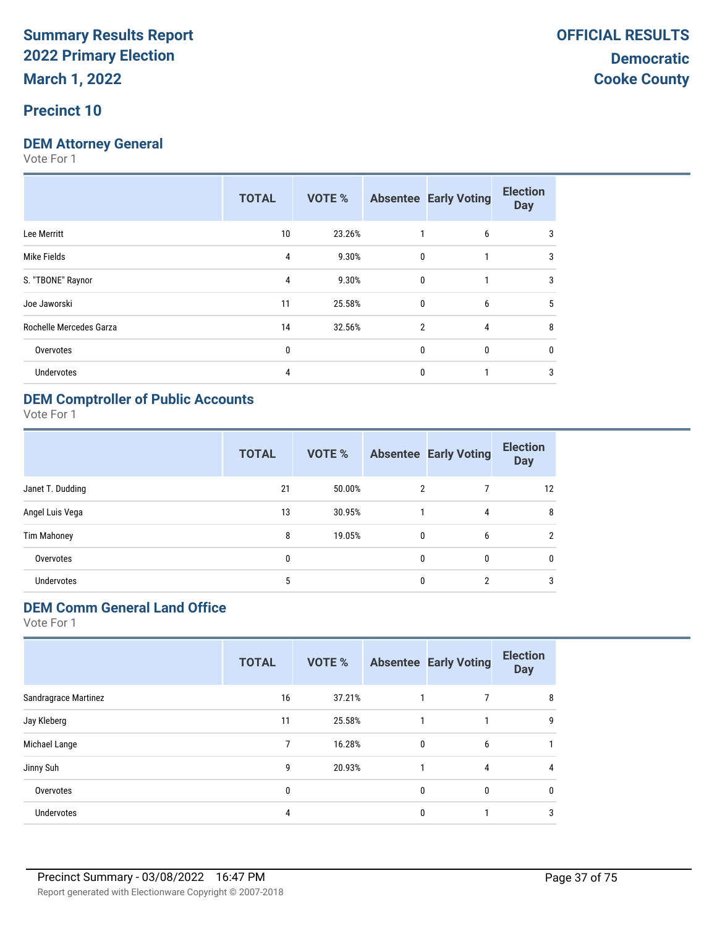#### **Precinct 10**

#### **DEM Attorney General**

Vote For 1

|                         | <b>TOTAL</b> | VOTE % |                | <b>Absentee Early Voting</b> | <b>Election</b><br><b>Day</b> |
|-------------------------|--------------|--------|----------------|------------------------------|-------------------------------|
| Lee Merritt             | 10           | 23.26% |                | 6                            | 3                             |
| Mike Fields             | 4            | 9.30%  | $\mathbf{0}$   | 1                            | 3                             |
| S. "TBONE" Raynor       | 4            | 9.30%  | $\mathbf{0}$   |                              | 3                             |
| Joe Jaworski            | 11           | 25.58% | $\mathbf{0}$   | 6                            | 5                             |
| Rochelle Mercedes Garza | 14           | 32.56% | $\overline{2}$ | 4                            | 8                             |
| Overvotes               | 0            |        | $\mathbf{0}$   | $\Omega$                     | 0                             |
| Undervotes              | 4            |        | $\mathbf{0}$   |                              | 3                             |
|                         |              |        |                |                              |                               |

#### **DEM Comptroller of Public Accounts**

Vote For 1

|                    | <b>TOTAL</b> | VOTE % |                | <b>Absentee Early Voting</b> | <b>Election</b><br><b>Day</b> |
|--------------------|--------------|--------|----------------|------------------------------|-------------------------------|
| Janet T. Dudding   | 21           | 50.00% | $\overline{2}$ |                              | 12                            |
| Angel Luis Vega    | 13           | 30.95% |                | 4                            | 8                             |
| <b>Tim Mahoney</b> | 8            | 19.05% | $\mathbf{0}$   | 6                            | $\overline{2}$                |
| Overvotes          | 0            |        | $\mathbf{0}$   | 0                            | $\mathbf{0}$                  |
| <b>Undervotes</b>  | 5            |        | $\mathbf{0}$   | $\overline{2}$               | 3                             |

### **DEM Comm General Land Office**

|                      | <b>TOTAL</b> | VOTE % |             | <b>Absentee Early Voting</b> | <b>Election</b><br><b>Day</b> |
|----------------------|--------------|--------|-------------|------------------------------|-------------------------------|
| Sandragrace Martinez | 16           | 37.21% |             |                              | 8                             |
| Jay Kleberg          | 11           | 25.58% |             |                              | 9                             |
| Michael Lange        | 7            | 16.28% | $\mathbf 0$ | 6                            |                               |
| Jinny Suh            | 9            | 20.93% |             | 4                            | 4                             |
| Overvotes            | 0            |        | 0           | 0                            | 0                             |
| <b>Undervotes</b>    | 4            |        | 0           |                              | 3                             |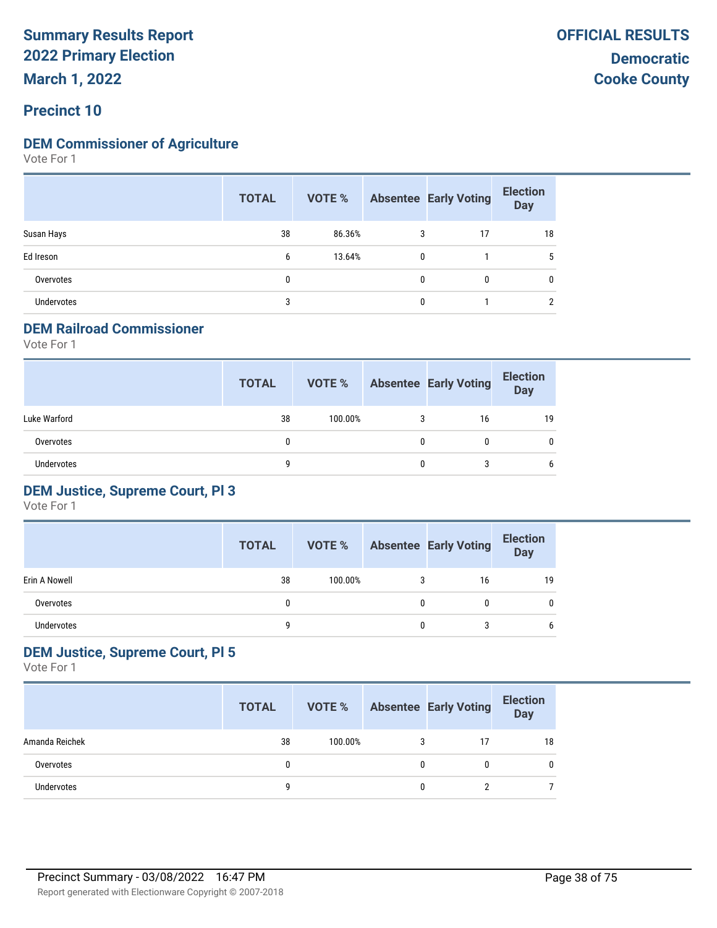**March 1, 2022**

#### **Precinct 10**

#### **DEM Commissioner of Agriculture**

Vote For 1

|                   | <b>TOTAL</b> |        |   | <b>VOTE %</b> Absentee Early Voting | <b>Election</b><br>Day |
|-------------------|--------------|--------|---|-------------------------------------|------------------------|
| Susan Hays        | 38           | 86.36% | 3 | 17                                  | 18                     |
| Ed Ireson         | 6            | 13.64% | 0 |                                     | 5                      |
| Overvotes         | 0            |        | 0 | $\mathbf{0}$                        | 0                      |
| <b>Undervotes</b> | 3            |        | 0 |                                     | ∩                      |

#### **DEM Railroad Commissioner**

Vote For 1

|                   | <b>TOTAL</b> | VOTE %  |   | <b>Absentee Early Voting</b> | <b>Election</b><br><b>Day</b> |
|-------------------|--------------|---------|---|------------------------------|-------------------------------|
| Luke Warford      | 38           | 100.00% | 3 | 16                           | 19                            |
| Overvotes         | 0            |         | 0 |                              | 0                             |
| <b>Undervotes</b> |              |         | 0 |                              | 6                             |

#### **DEM Justice, Supreme Court, Pl 3**

Vote For 1

|               | <b>TOTAL</b> | VOTE %  |   | <b>Absentee Early Voting</b> | <b>Election</b><br>Day |
|---------------|--------------|---------|---|------------------------------|------------------------|
| Erin A Nowell | 38           | 100.00% |   | 16                           | 19                     |
| Overvotes     |              |         | 0 | 0                            | 0                      |
| Undervotes    |              |         | 0 |                              | 6                      |

#### **DEM Justice, Supreme Court, Pl 5**

|                   | <b>TOTAL</b> | VOTE %  |   | <b>Absentee Early Voting</b> | <b>Election</b><br><b>Day</b> |
|-------------------|--------------|---------|---|------------------------------|-------------------------------|
| Amanda Reichek    | 38           | 100.00% | 3 |                              | 18                            |
| Overvotes         |              |         | 0 |                              | 0                             |
| <b>Undervotes</b> |              |         | 0 |                              |                               |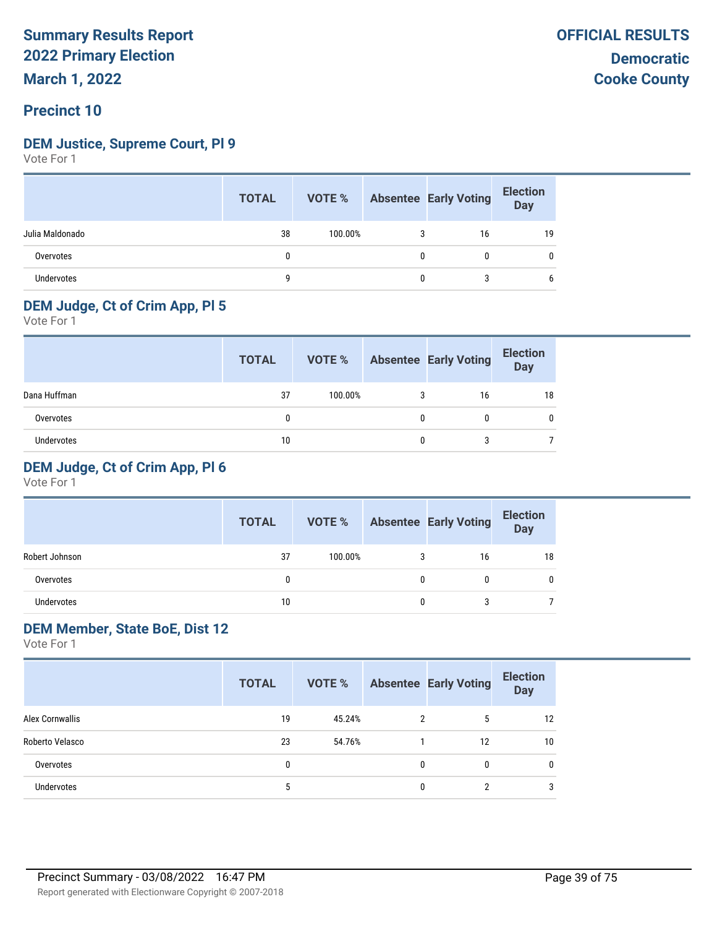#### **DEM Justice, Supreme Court, Pl 9**

Vote For 1

|                   | <b>TOTAL</b> |         |   | <b>VOTE %</b> Absentee Early Voting | <b>Election</b><br>Day |
|-------------------|--------------|---------|---|-------------------------------------|------------------------|
| Julia Maldonado   | 38           | 100.00% |   | 16                                  | 19                     |
| Overvotes         |              |         | 0 |                                     |                        |
| <b>Undervotes</b> |              |         | 0 | 3                                   | b                      |

#### **DEM Judge, Ct of Crim App, Pl 5**

Vote For 1

|                   | <b>TOTAL</b> | VOTE %  |   | <b>Absentee Early Voting</b> | <b>Election</b><br>Day |
|-------------------|--------------|---------|---|------------------------------|------------------------|
| Dana Huffman      | 37           | 100.00% | 3 | 16                           | 18                     |
| Overvotes         |              |         | 0 |                              |                        |
| <b>Undervotes</b> | 10           |         | U |                              |                        |

#### **DEM Judge, Ct of Crim App, Pl 6**

Vote For 1

|                | <b>TOTAL</b> | VOTE %  |   | <b>Absentee Early Voting</b> | <b>Election</b><br><b>Day</b> |
|----------------|--------------|---------|---|------------------------------|-------------------------------|
| Robert Johnson | 37           | 100.00% | 3 | 16                           | 18                            |
| Overvotes      | Ω            |         | 0 |                              |                               |
| Undervotes     | 10           |         |   |                              |                               |

#### **DEM Member, State BoE, Dist 12**

|                        | <b>TOTAL</b> | VOTE % |   | <b>Absentee Early Voting</b> | <b>Election</b><br><b>Day</b> |
|------------------------|--------------|--------|---|------------------------------|-------------------------------|
| <b>Alex Cornwallis</b> | 19           | 45.24% | C | 5                            | 12                            |
| Roberto Velasco        | 23           | 54.76% |   | 12                           | 10                            |
| Overvotes              | 0            |        | 0 | 0                            |                               |
| <b>Undervotes</b>      | 5            |        | 0 | C.                           | 3                             |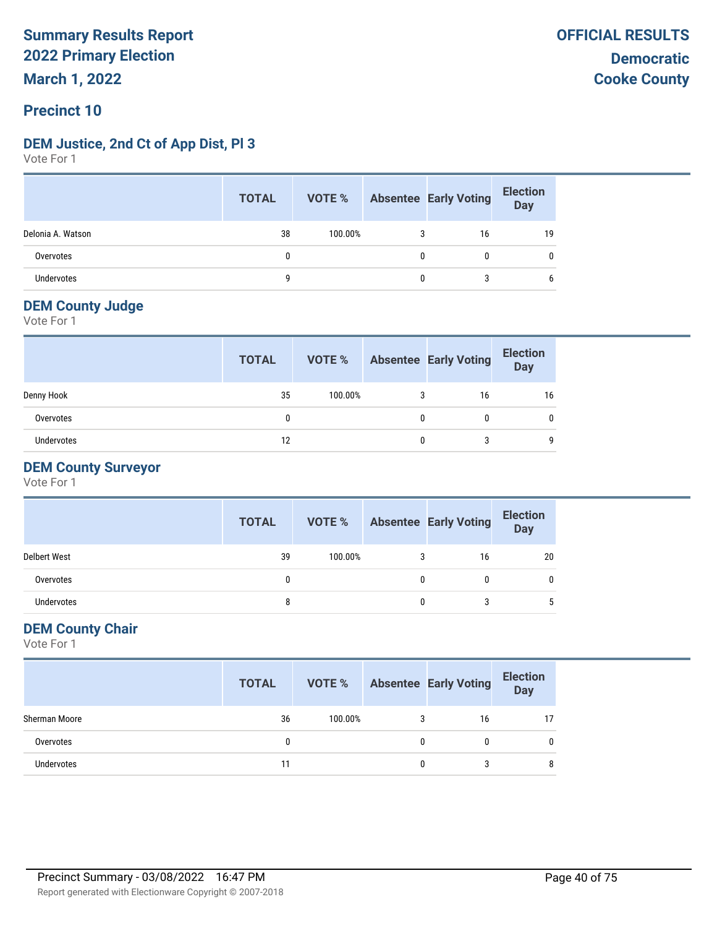#### **Precinct 10**

#### **DEM Justice, 2nd Ct of App Dist, Pl 3**

Vote For 1

|                   | <b>TOTAL</b> |         |   | <b>VOTE %</b> Absentee Early Voting | <b>Election</b><br>Day |
|-------------------|--------------|---------|---|-------------------------------------|------------------------|
| Delonia A. Watson | 38           | 100.00% |   | 16                                  | 19                     |
| Overvotes         | 0            |         |   |                                     | 0                      |
| Undervotes        | q            |         | 0 |                                     | b                      |

#### **DEM County Judge**

Vote For 1

|                   | <b>TOTAL</b> | VOTE %  |   | <b>Absentee Early Voting</b> | <b>Election</b><br>Day |
|-------------------|--------------|---------|---|------------------------------|------------------------|
| Denny Hook        | 35           | 100.00% | 3 | 16                           | 16                     |
| Overvotes         | 0            |         | 0 | 0                            |                        |
| <b>Undervotes</b> | 12           |         |   |                              |                        |

#### **DEM County Surveyor**

Vote For 1

|                     | <b>TOTAL</b> | VOTE %  | <b>Absentee Early Voting</b> | <b>Election</b><br><b>Day</b> |
|---------------------|--------------|---------|------------------------------|-------------------------------|
| <b>Delbert West</b> | 39           | 100.00% | 16                           | 20                            |
| Overvotes           |              |         | 0                            |                               |
| <b>Undervotes</b>   | 8            |         | 3                            |                               |

#### **DEM County Chair**

|                   | <b>TOTAL</b> |         |   | <b>VOTE %</b> Absentee Early Voting | <b>Election</b><br><b>Day</b> |
|-------------------|--------------|---------|---|-------------------------------------|-------------------------------|
| Sherman Moore     | 36           | 100.00% | 3 | 16                                  | 17                            |
| Overvotes         | 0            |         |   |                                     |                               |
| <b>Undervotes</b> |              |         |   |                                     |                               |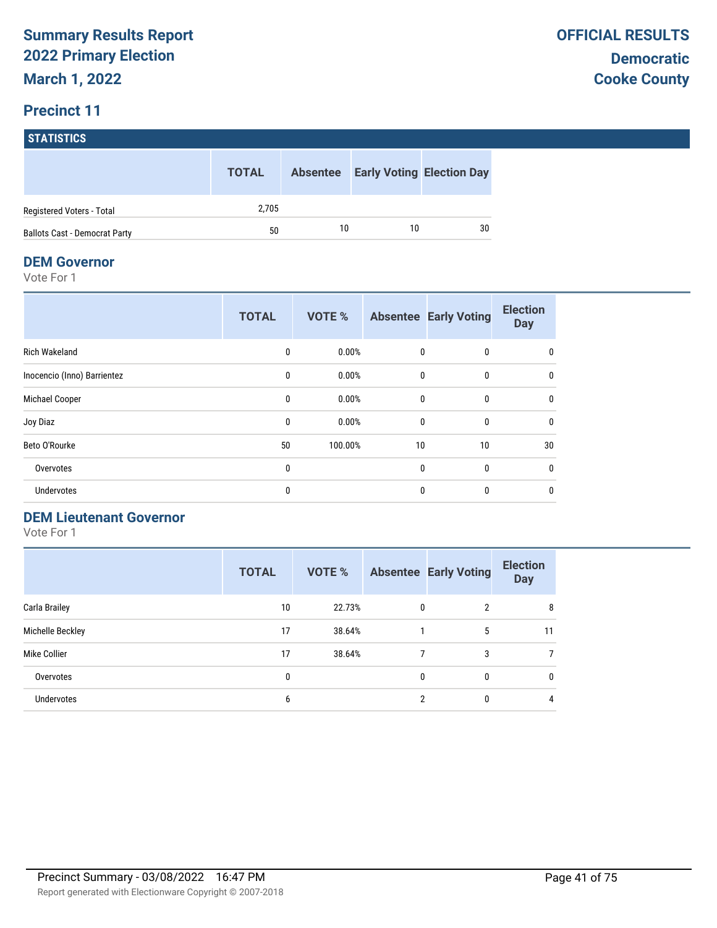# **STATISTICS TOTAL Absentee Early Voting Election Day** Registered Voters - Total 2,705 Ballots Cast - Democrat Party 10 10 10 30

#### **DEM Governor**

Vote For 1

|                             | <b>TOTAL</b> | <b>VOTE %</b> |              | <b>Absentee Early Voting</b> | <b>Election</b><br><b>Day</b> |
|-----------------------------|--------------|---------------|--------------|------------------------------|-------------------------------|
| <b>Rich Wakeland</b>        | 0            | 0.00%         | 0            | $\bf{0}$                     | $\mathbf{0}$                  |
| Inocencio (Inno) Barrientez | 0            | 0.00%         | $\mathbf{0}$ | $\mathbf{0}$                 | 0                             |
| Michael Cooper              | 0            | 0.00%         | 0            | $\mathbf{0}$                 | 0                             |
| Joy Diaz                    | 0            | 0.00%         | $\mathbf{0}$ | $\mathbf{0}$                 | $\mathbf{0}$                  |
| Beto O'Rourke               | 50           | 100.00%       | 10           | 10                           | 30                            |
| Overvotes                   | 0            |               | $\mathbf{0}$ | $\mathbf{0}$                 | $\mathbf{0}$                  |
| Undervotes                  | 0            |               | 0            | 0                            | $\mathbf{0}$                  |

#### **DEM Lieutenant Governor**

|                   | <b>TOTAL</b> | <b>VOTE %</b> |   | <b>Absentee Early Voting</b> | <b>Election</b><br><b>Day</b> |
|-------------------|--------------|---------------|---|------------------------------|-------------------------------|
| Carla Brailey     | 10           | 22.73%        | 0 | 2                            | 8                             |
| Michelle Beckley  | 17           | 38.64%        |   | 5                            | 11                            |
| Mike Collier      | 17           | 38.64%        | 7 | 3                            | 7                             |
| Overvotes         | 0            |               | 0 | 0                            | $\mathbf 0$                   |
| <b>Undervotes</b> | 6            |               | 2 | 0                            | 4                             |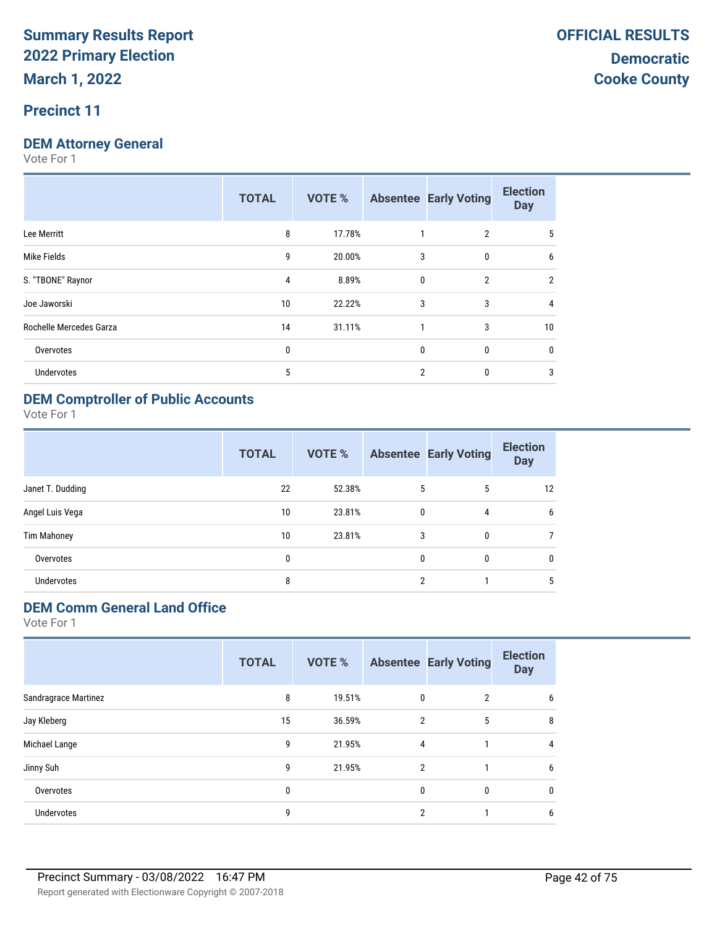#### **Precinct 11**

#### **DEM Attorney General**

Vote For 1

|                         | <b>TOTAL</b> | <b>VOTE %</b> |                | <b>Absentee Early Voting</b> | <b>Election</b><br><b>Day</b> |
|-------------------------|--------------|---------------|----------------|------------------------------|-------------------------------|
| Lee Merritt             | 8            | 17.78%        |                | 2                            | 5                             |
| Mike Fields             | 9            | 20.00%        | 3              | $\mathbf{0}$                 | 6                             |
| S. "TBONE" Raynor       | 4            | 8.89%         | $\mathbf{0}$   | $\overline{2}$               | $\overline{2}$                |
| Joe Jaworski            | 10           | 22.22%        | 3              | 3                            | 4                             |
| Rochelle Mercedes Garza | 14           | 31.11%        |                | 3                            | 10                            |
| Overvotes               | 0            |               | 0              | 0                            | 0                             |
| <b>Undervotes</b>       | 5            |               | $\overline{2}$ | 0                            | 3                             |
|                         |              |               |                |                              |                               |

### **DEM Comptroller of Public Accounts**

Vote For 1

|                    | <b>TOTAL</b> | VOTE % |              | <b>Absentee Early Voting</b> | <b>Election</b><br><b>Day</b> |
|--------------------|--------------|--------|--------------|------------------------------|-------------------------------|
| Janet T. Dudding   | 22           | 52.38% | 5            | 5                            | 12                            |
| Angel Luis Vega    | 10           | 23.81% | 0            | 4                            | 6                             |
| <b>Tim Mahoney</b> | 10           | 23.81% | 3            | 0                            |                               |
| Overvotes          | 0            |        | $\mathbf{0}$ | 0                            | $\mathbf{0}$                  |
| Undervotes         | 8            |        | 2            |                              | 5                             |

### **DEM Comm General Land Office**

|                      | <b>TOTAL</b> | VOTE % |                | <b>Absentee Early Voting</b> | <b>Election</b><br><b>Day</b> |
|----------------------|--------------|--------|----------------|------------------------------|-------------------------------|
| Sandragrace Martinez | 8            | 19.51% | 0              | $\overline{2}$               | 6                             |
| Jay Kleberg          | 15           | 36.59% | $\overline{2}$ | 5                            | 8                             |
| Michael Lange        | 9            | 21.95% | 4              |                              | 4                             |
| Jinny Suh            | 9            | 21.95% | $\overline{2}$ |                              | 6                             |
| Overvotes            | 0            |        | 0              | $\mathbf{0}$                 | 0                             |
| Undervotes           | 9            |        | 2              |                              | 6                             |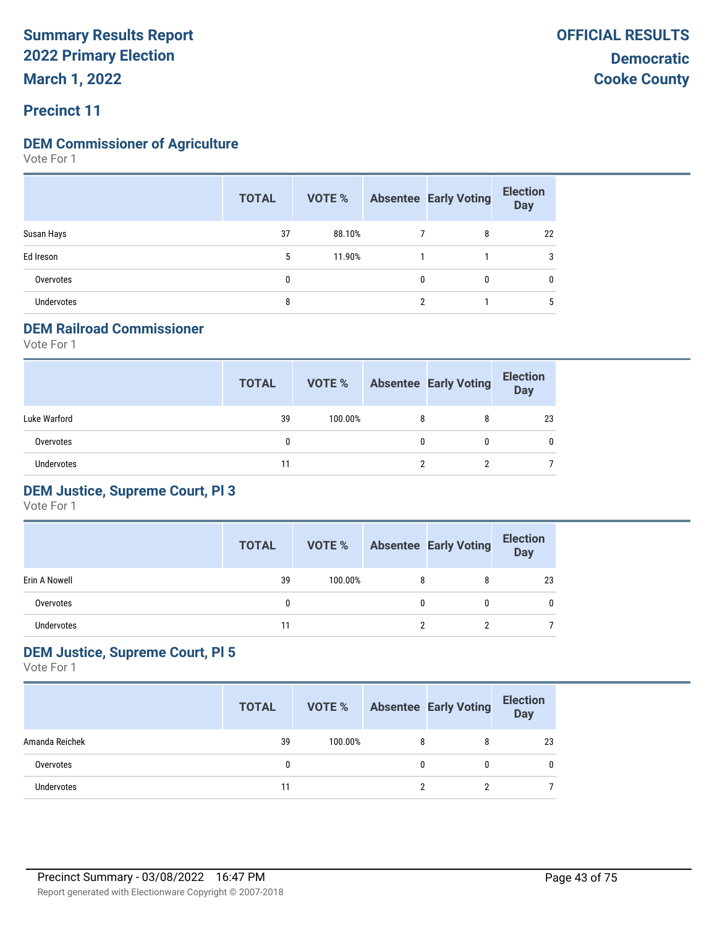## **Precinct 11**

#### **DEM Commissioner of Agriculture**

Vote For 1

|                   | <b>TOTAL</b> | VOTE % |              | <b>Absentee Early Voting</b> | <b>Election</b><br><b>Day</b> |
|-------------------|--------------|--------|--------------|------------------------------|-------------------------------|
| Susan Hays        | 37           | 88.10% |              | 8                            | 22                            |
| Ed Ireson         | 5            | 11.90% |              |                              | 3                             |
| Overvotes         | 0            |        | $\mathbf{0}$ | $\mathbf{0}$                 | 0                             |
| <b>Undervotes</b> | 8            |        | ົ            |                              | 5                             |

#### **DEM Railroad Commissioner**

Vote For 1

|                   | <b>TOTAL</b> | VOTE %  |   | <b>Absentee Early Voting</b> | <b>Election</b><br><b>Day</b> |
|-------------------|--------------|---------|---|------------------------------|-------------------------------|
| Luke Warford      | 39           | 100.00% | 8 | 8                            | 23                            |
| Overvotes         | 0            |         | 0 | 0                            | 0                             |
| <b>Undervotes</b> | 11           |         |   |                              |                               |

#### **DEM Justice, Supreme Court, Pl 3**

Vote For 1

|               | <b>TOTAL</b> | VOTE %  |   | <b>Absentee Early Voting</b> | <b>Election</b><br>Day |
|---------------|--------------|---------|---|------------------------------|------------------------|
| Erin A Nowell | 39           | 100.00% | 8 |                              | 23                     |
| Overvotes     |              |         | 0 | 0                            | 0                      |
| Undervotes    | 11           |         |   |                              |                        |

#### **DEM Justice, Supreme Court, Pl 5**

|                   | <b>TOTAL</b> | VOTE %  |   | <b>Absentee Early Voting</b> | <b>Election</b><br><b>Day</b> |
|-------------------|--------------|---------|---|------------------------------|-------------------------------|
| Amanda Reichek    | 39           | 100.00% | 8 | 8                            | 23                            |
| Overvotes         |              |         | 0 |                              | 0                             |
| <b>Undervotes</b> | 11           |         | ↑ |                              |                               |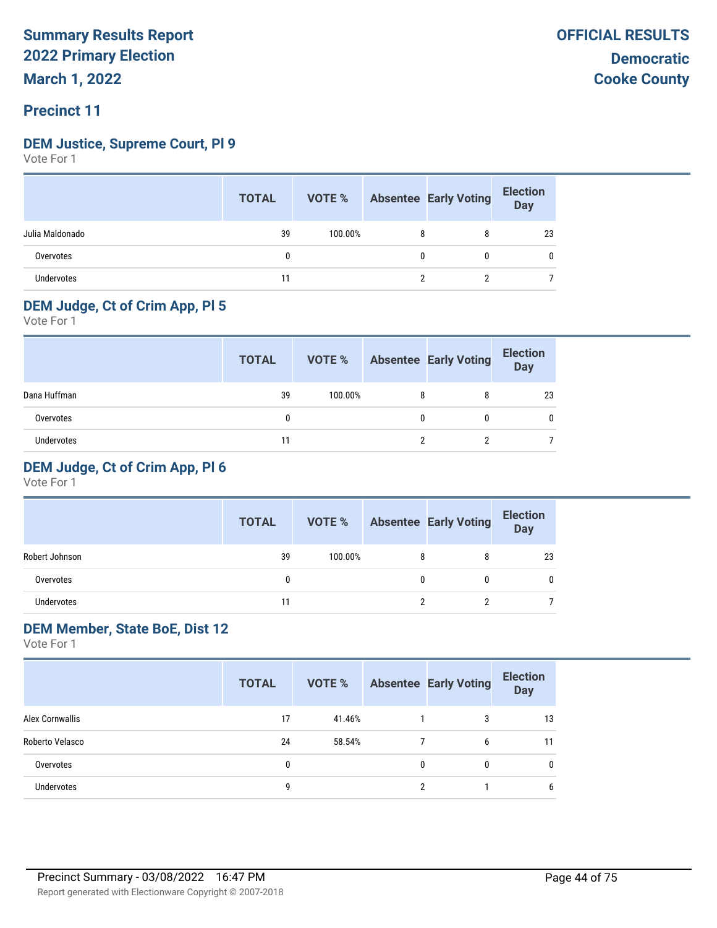#### **Precinct 11**

#### **DEM Justice, Supreme Court, Pl 9**

Vote For 1

|                 | <b>TOTAL</b> |         |   | <b>VOTE %</b> Absentee Early Voting | <b>Election</b><br>Day |
|-----------------|--------------|---------|---|-------------------------------------|------------------------|
| Julia Maldonado | 39           | 100.00% | 8 | 8                                   | 23                     |
| Overvotes       |              |         | 0 | 0                                   | C                      |
| Undervotes      | 11           |         |   |                                     |                        |

#### **DEM Judge, Ct of Crim App, Pl 5**

Vote For 1

|              | <b>TOTAL</b> | VOTE %  |   | <b>Absentee Early Voting</b> | <b>Election</b><br>Day |
|--------------|--------------|---------|---|------------------------------|------------------------|
| Dana Huffman | 39           | 100.00% | 8 |                              | 23                     |
| Overvotes    | 0            |         |   |                              |                        |
| Undervotes   | 11           |         |   |                              |                        |

#### **DEM Judge, Ct of Crim App, Pl 6**

Vote For 1

|                   | <b>TOTAL</b> | VOTE %  |   | <b>Absentee Early Voting</b> | <b>Election</b><br><b>Day</b> |
|-------------------|--------------|---------|---|------------------------------|-------------------------------|
| Robert Johnson    | 39           | 100.00% | 8 |                              | 23                            |
| Overvotes         |              |         | 0 |                              |                               |
| <b>Undervotes</b> | 11           |         |   | ∩                            |                               |

#### **DEM Member, State BoE, Dist 12**

|                   | <b>TOTAL</b> | VOTE % |   | <b>Absentee Early Voting</b> | <b>Election</b><br><b>Day</b> |
|-------------------|--------------|--------|---|------------------------------|-------------------------------|
| Alex Cornwallis   | 17           | 41.46% |   | 3                            | 13                            |
| Roberto Velasco   | 24           | 58.54% |   | 6                            | 11                            |
| Overvotes         | 0            |        | 0 | 0                            | 0                             |
| <b>Undervotes</b> | 9            |        | 2 |                              | 6                             |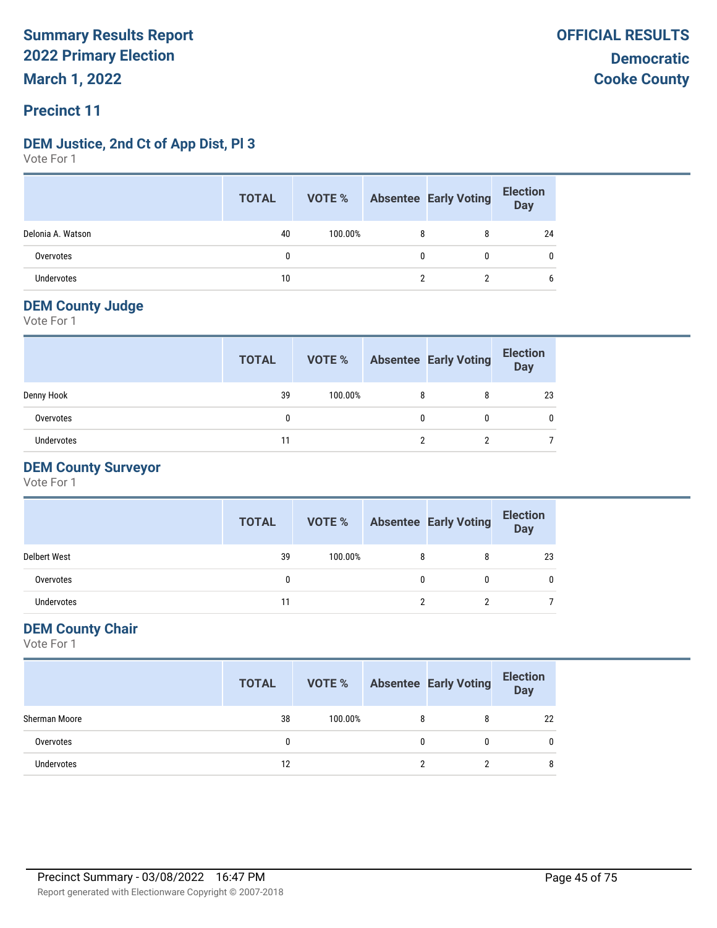### **Precinct 11**

#### **DEM Justice, 2nd Ct of App Dist, Pl 3**

Vote For 1

|                   | <b>TOTAL</b> | <b>VOTE %</b> |   | Absentee Early Voting | <b>Election</b><br>Day |
|-------------------|--------------|---------------|---|-----------------------|------------------------|
| Delonia A. Watson | 40           | 100.00%       | 8 | 8                     | 24                     |
| Overvotes         | 0            |               | 0 |                       | 0                      |
| <b>Undervotes</b> | 10           |               |   |                       | b                      |

#### **DEM County Judge**

Vote For 1

|            | <b>TOTAL</b> | VOTE %  |   | <b>Absentee Early Voting</b> | <b>Election</b><br><b>Day</b> |
|------------|--------------|---------|---|------------------------------|-------------------------------|
| Denny Hook | 39           | 100.00% | 8 | 8                            | 23                            |
| Overvotes  |              |         |   | 0                            |                               |
| Undervotes | 11           |         | ົ |                              |                               |

#### **DEM County Surveyor**

Vote For 1

|                     | <b>TOTAL</b> | VOTE %  |   | <b>Absentee Early Voting</b> | <b>Election</b><br><b>Day</b> |
|---------------------|--------------|---------|---|------------------------------|-------------------------------|
| <b>Delbert West</b> | 39           | 100.00% | 8 | 8                            | 23                            |
| Overvotes           |              |         | 0 | 0                            |                               |
| Undervotes          | 11           |         | ŋ |                              |                               |

#### **DEM County Chair**

|               | <b>TOTAL</b> |         |   | <b>VOTE %</b> Absentee Early Voting | <b>Election</b><br>Day |
|---------------|--------------|---------|---|-------------------------------------|------------------------|
| Sherman Moore | 38           | 100.00% | 8 | 8                                   | 22                     |
| Overvotes     |              |         |   |                                     | 0                      |
| Undervotes    | 12           |         |   |                                     | 8                      |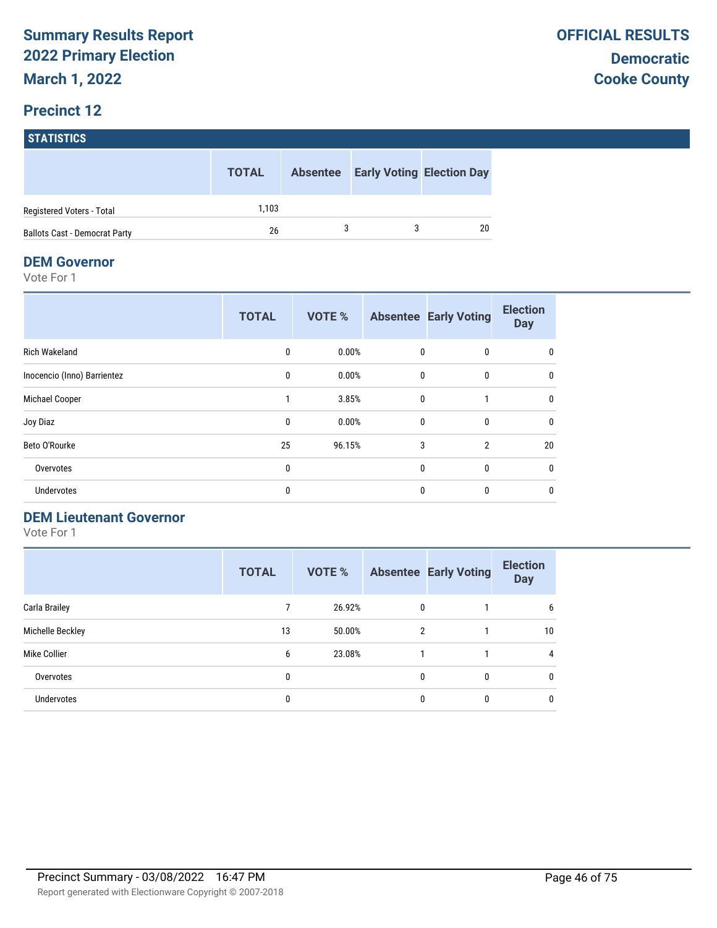#### **STATISTICS**

|                                      | <b>TOTAL</b> | <b>Absentee</b> | <b>Early Voting Election Day</b> |
|--------------------------------------|--------------|-----------------|----------------------------------|
| Registered Voters - Total            | 1.103        |                 |                                  |
| <b>Ballots Cast - Democrat Party</b> | 26           |                 | 20                               |

#### **DEM Governor**

Vote For 1

|                             | <b>TOTAL</b> | <b>VOTE %</b> |              | <b>Absentee Early Voting</b> | <b>Election</b><br><b>Day</b> |
|-----------------------------|--------------|---------------|--------------|------------------------------|-------------------------------|
| <b>Rich Wakeland</b>        | 0            | 0.00%         | 0            | 0                            | 0                             |
| Inocencio (Inno) Barrientez | $\mathbf{0}$ | 0.00%         | $\mathbf{0}$ | $\mathbf{0}$                 | 0                             |
| Michael Cooper              |              | 3.85%         | $\mathbf{0}$ |                              | 0                             |
| Joy Diaz                    | 0            | 0.00%         | $\mathbf{0}$ | $\mathbf{0}$                 | 0                             |
| Beto O'Rourke               | 25           | 96.15%        | 3            | $\overline{2}$               | 20                            |
| Overvotes                   | 0            |               | $\mathbf{0}$ | $\mathbf{0}$                 | 0                             |
| Undervotes                  | 0            |               | $\mathbf{0}$ | $\mathbf{0}$                 | $\mathbf{0}$                  |

#### **DEM Lieutenant Governor**

|                   | <b>TOTAL</b> | <b>VOTE %</b> |                | <b>Absentee Early Voting</b> | <b>Election</b><br><b>Day</b> |
|-------------------|--------------|---------------|----------------|------------------------------|-------------------------------|
| Carla Brailey     |              | 26.92%        | 0              |                              | 6                             |
| Michelle Beckley  | 13           | 50.00%        | $\overline{2}$ |                              | 10                            |
| Mike Collier      | 6            | 23.08%        |                |                              | 4                             |
| Overvotes         | 0            |               | 0              | 0                            | 0                             |
| <b>Undervotes</b> | 0            |               | 0              | 0                            | 0                             |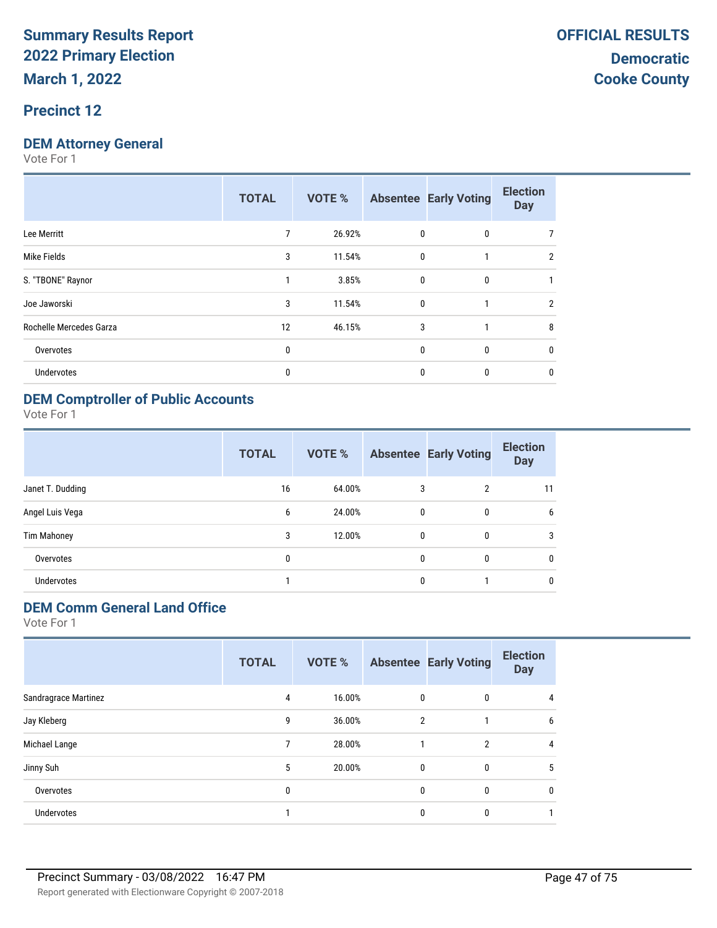#### **Precinct 12**

#### **DEM Attorney General**

Vote For 1

|                         | <b>TOTAL</b> | <b>VOTE %</b> |              | <b>Absentee Early Voting</b> | <b>Election</b><br><b>Day</b> |
|-------------------------|--------------|---------------|--------------|------------------------------|-------------------------------|
| Lee Merritt             | 7            | 26.92%        | 0            | 0                            |                               |
| Mike Fields             | 3            | 11.54%        | $\mathbf 0$  | 1                            | $\overline{2}$                |
| S. "TBONE" Raynor       | 1            | 3.85%         | $\mathbf{0}$ | 0                            |                               |
| Joe Jaworski            | 3            | 11.54%        | $\mathbf 0$  |                              | $\overline{2}$                |
| Rochelle Mercedes Garza | 12           | 46.15%        | 3            |                              | 8                             |
| Overvotes               | 0            |               | 0            | 0                            | 0                             |
| <b>Undervotes</b>       | 0            |               | 0            | 0                            | 0                             |
|                         |              |               |              |                              |                               |

#### **DEM Comptroller of Public Accounts**

Vote For 1

|                    | <b>TOTAL</b> | VOTE % |              | <b>Absentee Early Voting</b> | <b>Election</b><br><b>Day</b> |
|--------------------|--------------|--------|--------------|------------------------------|-------------------------------|
| Janet T. Dudding   | 16           | 64.00% | 3            | 2                            | 11                            |
| Angel Luis Vega    | 6            | 24.00% | 0            | 0                            | 6                             |
| <b>Tim Mahoney</b> | 3            | 12.00% | $\mathbf{0}$ | 0                            | 3                             |
| Overvotes          | 0            |        | $\mathbf{0}$ | 0                            | 0                             |
| <b>Undervotes</b>  |              |        | $\mathbf{0}$ |                              | 0                             |

### **DEM Comm General Land Office**

|                      | <b>TOTAL</b> | VOTE % |                | <b>Absentee Early Voting</b> | <b>Election</b><br><b>Day</b> |
|----------------------|--------------|--------|----------------|------------------------------|-------------------------------|
| Sandragrace Martinez | 4            | 16.00% | $\mathbf{0}$   | 0                            | 4                             |
| Jay Kleberg          | 9            | 36.00% | $\overline{2}$ |                              | 6                             |
| Michael Lange        | 7            | 28.00% |                | $\overline{2}$               | 4                             |
| Jinny Suh            | 5            | 20.00% | $\mathbf{0}$   | 0                            | 5                             |
| Overvotes            | 0            |        | 0              | 0                            | $\mathbf{0}$                  |
| <b>Undervotes</b>    |              |        | 0              | 0                            |                               |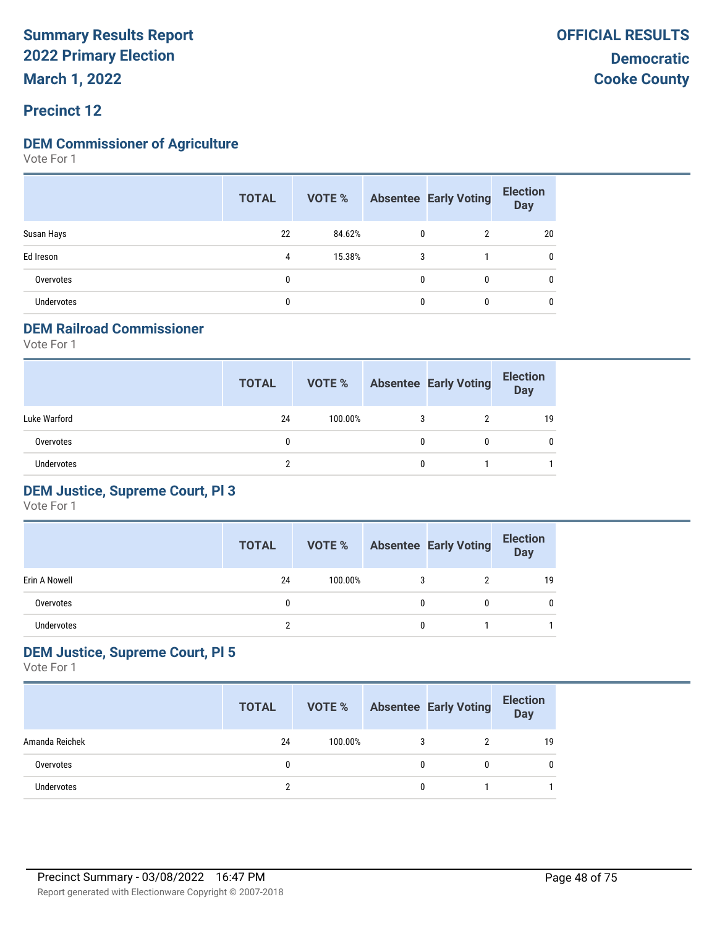**March 1, 2022**

#### **Precinct 12**

#### **DEM Commissioner of Agriculture**

Vote For 1

|                   | <b>TOTAL</b> | VOTE % |              | <b>Absentee Early Voting</b> | <b>Election</b><br><b>Day</b> |
|-------------------|--------------|--------|--------------|------------------------------|-------------------------------|
| Susan Hays        | 22           | 84.62% | 0            | 2                            | 20                            |
| Ed Ireson         | 4            | 15.38% | 3            |                              | 0                             |
| Overvotes         | 0            |        | $\mathbf{0}$ | 0                            |                               |
| <b>Undervotes</b> | 0            |        | 0            | 0                            |                               |

#### **DEM Railroad Commissioner**

Vote For 1

|                   | <b>TOTAL</b> | VOTE %  |   | <b>Absentee Early Voting</b> | <b>Election</b><br><b>Day</b> |
|-------------------|--------------|---------|---|------------------------------|-------------------------------|
| Luke Warford      | 24           | 100.00% | 3 |                              | 19                            |
| Overvotes         | 0            |         | 0 |                              | 0                             |
| <b>Undervotes</b> |              |         | 0 |                              |                               |

#### **DEM Justice, Supreme Court, Pl 3**

Vote For 1

|               | <b>TOTAL</b> | VOTE %  |   | <b>Absentee Early Voting</b> | <b>Election</b><br>Day |
|---------------|--------------|---------|---|------------------------------|------------------------|
| Erin A Nowell | 24           | 100.00% |   |                              | 19                     |
| Overvotes     |              |         | 0 |                              |                        |
| Undervotes    |              |         | 0 |                              |                        |

#### **DEM Justice, Supreme Court, Pl 5**

|                   | <b>TOTAL</b> | VOTE %  |   | <b>Absentee Early Voting</b> | <b>Election</b><br><b>Day</b> |
|-------------------|--------------|---------|---|------------------------------|-------------------------------|
| Amanda Reichek    | 24           | 100.00% | 3 | າ                            | 19                            |
| Overvotes         |              |         | 0 |                              | 0                             |
| <b>Undervotes</b> |              |         | 0 |                              |                               |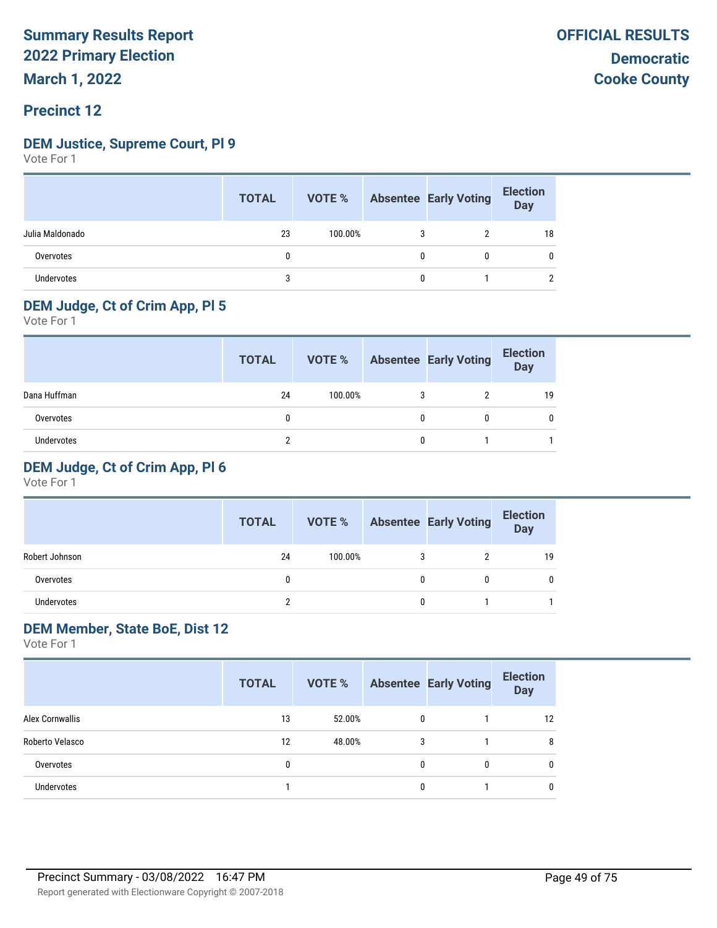#### **Precinct 12**

#### **DEM Justice, Supreme Court, Pl 9**

Vote For 1

|                 | <b>TOTAL</b> |         |   | <b>VOTE %</b> Absentee Early Voting | <b>Election</b><br>Day |
|-----------------|--------------|---------|---|-------------------------------------|------------------------|
| Julia Maldonado | 23           | 100.00% | 3 |                                     | 18                     |
| Overvotes       |              |         | 0 |                                     | 0                      |
| Undervotes      |              |         | 0 |                                     |                        |

### **DEM Judge, Ct of Crim App, Pl 5**

Vote For 1

|              | <b>TOTAL</b> | VOTE %  |   | <b>Absentee Early Voting</b> | <b>Election</b><br>Day |
|--------------|--------------|---------|---|------------------------------|------------------------|
| Dana Huffman | 24           | 100.00% | 3 |                              | 19                     |
| Overvotes    |              |         |   | 0                            |                        |
| Undervotes   |              |         |   |                              |                        |

#### **DEM Judge, Ct of Crim App, Pl 6**

Vote For 1

|                | <b>TOTAL</b> | VOTE %  |   | <b>Absentee Early Voting</b> | <b>Election</b><br><b>Day</b> |
|----------------|--------------|---------|---|------------------------------|-------------------------------|
| Robert Johnson | 24           | 100.00% | 3 |                              | 19                            |
| Overvotes      | 0            |         |   |                              | 0                             |
| Undervotes     |              |         |   |                              |                               |

#### **DEM Member, State BoE, Dist 12**

|                   | <b>TOTAL</b> |        |              | <b>VOTE %</b> Absentee Early Voting | <b>Election</b><br><b>Day</b> |
|-------------------|--------------|--------|--------------|-------------------------------------|-------------------------------|
| Alex Cornwallis   | 13           | 52.00% | $\mathbf{0}$ |                                     | 12                            |
| Roberto Velasco   | 12           | 48.00% | 3            |                                     | 8                             |
| Overvotes         | 0            |        | 0            | 0                                   | 0                             |
| <b>Undervotes</b> |              |        | 0            |                                     | 0                             |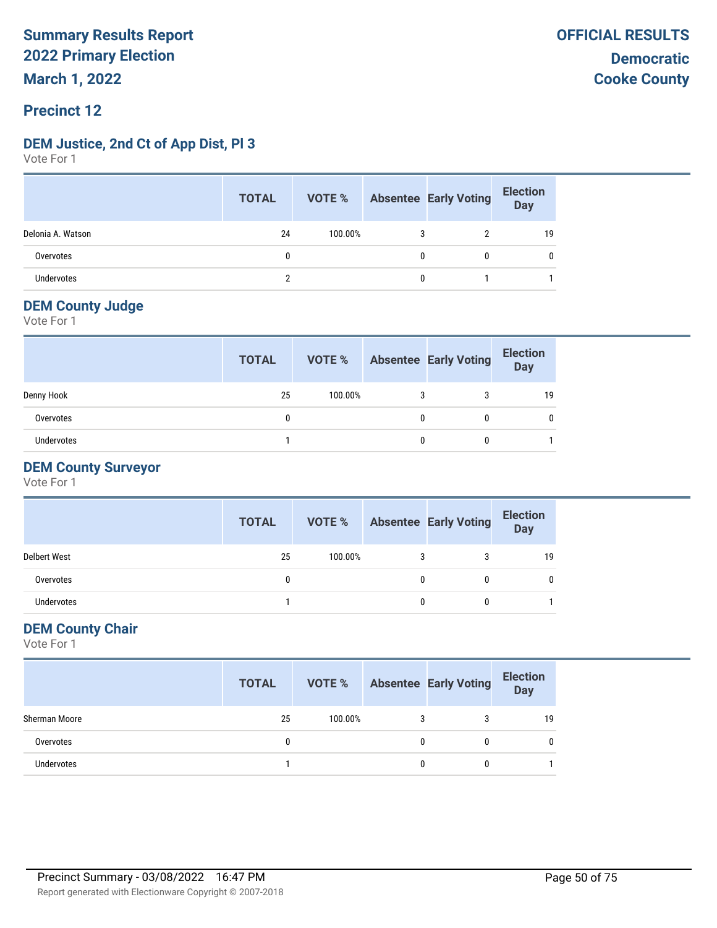#### **Precinct 12**

#### **DEM Justice, 2nd Ct of App Dist, Pl 3**

Vote For 1

|                   | <b>TOTAL</b> |         |   | <b>VOTE %</b> Absentee Early Voting | <b>Election</b><br>Day |
|-------------------|--------------|---------|---|-------------------------------------|------------------------|
| Delonia A. Watson | 24           | 100.00% | 3 |                                     | 19                     |
| Overvotes         |              |         | 0 |                                     | 0                      |
| Undervotes        |              |         | 0 |                                     |                        |

#### **DEM County Judge**

Vote For 1

|                   | <b>TOTAL</b> | VOTE %  | <b>Absentee Early Voting</b> | <b>Election</b><br><b>Day</b> |
|-------------------|--------------|---------|------------------------------|-------------------------------|
| Denny Hook        | 25           | 100.00% |                              | 19                            |
| Overvotes         | 0            |         | 0                            |                               |
| <b>Undervotes</b> |              |         |                              |                               |

#### **DEM County Surveyor**

Vote For 1

|                     | <b>TOTAL</b> | VOTE %  |   | <b>Absentee Early Voting</b> | <b>Election</b><br><b>Day</b> |
|---------------------|--------------|---------|---|------------------------------|-------------------------------|
| <b>Delbert West</b> | 25           | 100.00% | 3 | 3                            | 19                            |
| Overvotes           |              |         | 0 |                              |                               |
| Undervotes          |              |         | 0 | 0                            |                               |

#### **DEM County Chair**

|               | <b>TOTAL</b> | VOTE %  |   | <b>Absentee Early Voting</b> | <b>Election</b><br>Day |
|---------------|--------------|---------|---|------------------------------|------------------------|
| Sherman Moore | 25           | 100.00% |   |                              | 19                     |
| Overvotes     | 0            |         | 0 |                              |                        |
| Undervotes    |              |         | 0 |                              |                        |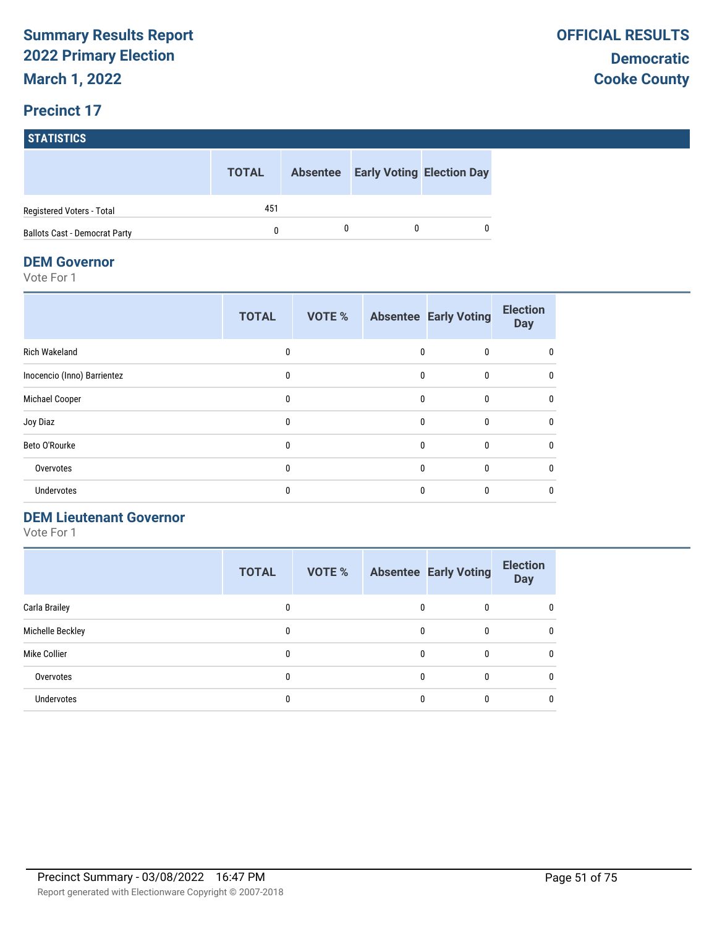## **STATISTICS TOTAL Absentee Early Voting Election Day** Registered Voters - Total 451 Ballots Cast - Democrat Party 0 0 0 0

#### **DEM Governor**

Vote For 1

|                             | <b>TOTAL</b> | <b>VOTE %</b> |              | <b>Absentee Early Voting</b> | <b>Election</b><br><b>Day</b> |
|-----------------------------|--------------|---------------|--------------|------------------------------|-------------------------------|
| <b>Rich Wakeland</b>        | 0            |               | 0            | $\mathbf{0}$                 | 0                             |
| Inocencio (Inno) Barrientez | $\mathbf{0}$ |               | $\Omega$     | $\mathbf{0}$                 | 0                             |
| Michael Cooper              | 0            |               | $\mathbf{0}$ | $\mathbf{0}$                 | 0                             |
| Joy Diaz                    | $\mathbf{0}$ |               | $\mathbf{0}$ | $\mathbf{0}$                 | $\mathbf{0}$                  |
| Beto O'Rourke               | $\mathbf{0}$ |               | $\Omega$     | $\mathbf{0}$                 | $\mathbf{0}$                  |
| Overvotes                   | 0            |               | $\Omega$     | $\Omega$                     | $\mathbf{0}$                  |
| Undervotes                  | 0            |               | $\Omega$     | 0                            | 0                             |

#### **DEM Lieutenant Governor**

|                   | <b>TOTAL</b> | <b>VOTE %</b> |   | <b>Absentee Early Voting</b> | <b>Election</b><br><b>Day</b> |
|-------------------|--------------|---------------|---|------------------------------|-------------------------------|
| Carla Brailey     | 0            |               | 0 | 0                            | 0                             |
| Michelle Beckley  | 0            |               | 0 | 0                            | $\mathbf{0}$                  |
| Mike Collier      | 0            |               | 0 | 0                            | 0                             |
| Overvotes         | 0            |               | 0 | 0                            | 0                             |
| <b>Undervotes</b> | 0            |               |   |                              | 0                             |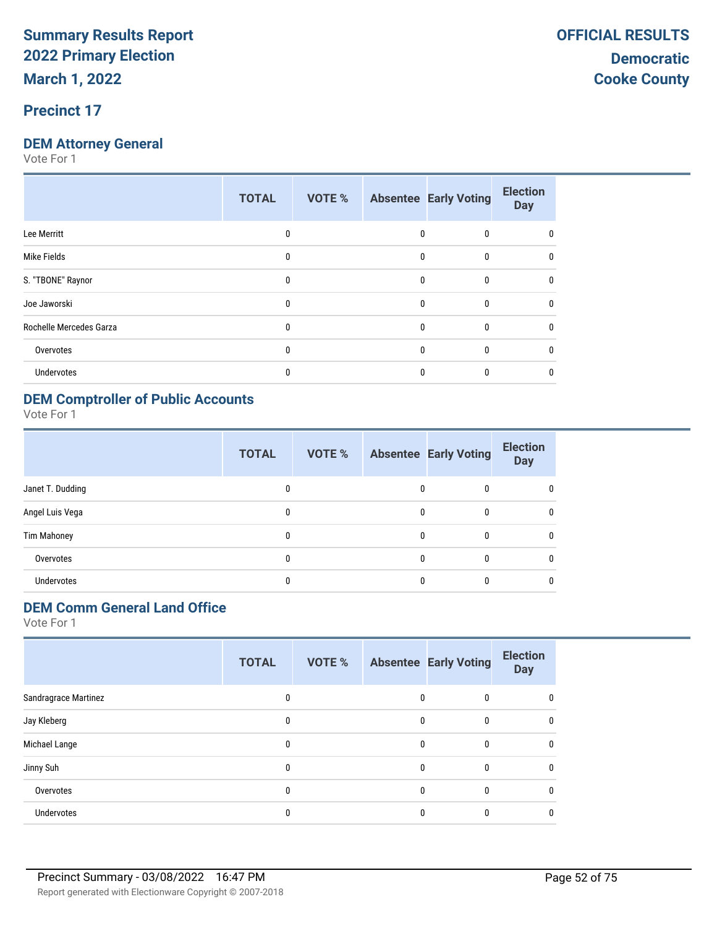### **DEM Attorney General**

Vote For 1

|                         | <b>TOTAL</b> | <b>VOTE %</b> |   | <b>Absentee Early Voting</b> | <b>Election</b><br><b>Day</b> |
|-------------------------|--------------|---------------|---|------------------------------|-------------------------------|
| Lee Merritt             | 0            |               | 0 | 0                            | 0                             |
| Mike Fields             | $\mathbf{0}$ |               | 0 | $\mathbf{0}$                 | 0                             |
| S. "TBONE" Raynor       | $\mathbf{0}$ |               | 0 | $\mathbf{0}$                 | $\mathbf{0}$                  |
| Joe Jaworski            | $\mathbf{0}$ |               | 0 | $\mathbf{0}$                 | $\mathbf{0}$                  |
| Rochelle Mercedes Garza | $\mathbf{0}$ |               | 0 | $\mathbf{0}$                 | $\mathbf{0}$                  |
| Overvotes               | $\Omega$     |               | 0 | $\mathbf{0}$                 | $\Omega$                      |
| Undervotes              | $\Omega$     |               | 0 | 0                            | 0                             |
|                         |              |               |   |                              |                               |

### **DEM Comptroller of Public Accounts**

Vote For 1

|                    | <b>TOTAL</b> | VOTE % |              | <b>Absentee Early Voting</b> | <b>Election</b><br><b>Day</b> |
|--------------------|--------------|--------|--------------|------------------------------|-------------------------------|
| Janet T. Dudding   | 0            |        | $\mathbf{0}$ | $\bf{0}$                     | 0                             |
| Angel Luis Vega    | 0            |        | 0            | 0                            | 0                             |
| <b>Tim Mahoney</b> | 0            |        | $\Omega$     | $\mathbf{0}$                 | $\mathbf{0}$                  |
| Overvotes          | 0            |        | $\Omega$     | $\mathbf{0}$                 | $\mathbf{0}$                  |
| Undervotes         | 0            |        | 0            | $\mathbf{0}$                 | 0                             |

### **DEM Comm General Land Office**

|                      | <b>TOTAL</b> | VOTE % |              | <b>Absentee Early Voting</b> | <b>Election</b><br><b>Day</b> |
|----------------------|--------------|--------|--------------|------------------------------|-------------------------------|
| Sandragrace Martinez | 0            |        | 0            | 0                            | 0                             |
| Jay Kleberg          | 0            |        | 0            | $\mathbf{0}$                 | $\mathbf{0}$                  |
| Michael Lange        | 0            |        | 0            | $\mathbf{0}$                 | $\mathbf{0}$                  |
| Jinny Suh            | 0            |        | 0            | 0                            | 0                             |
| Overvotes            | 0            |        | $\mathbf{0}$ | $\mathbf{0}$                 | $\mathbf{0}$                  |
| <b>Undervotes</b>    | 0            |        | 0            | 0                            | 0                             |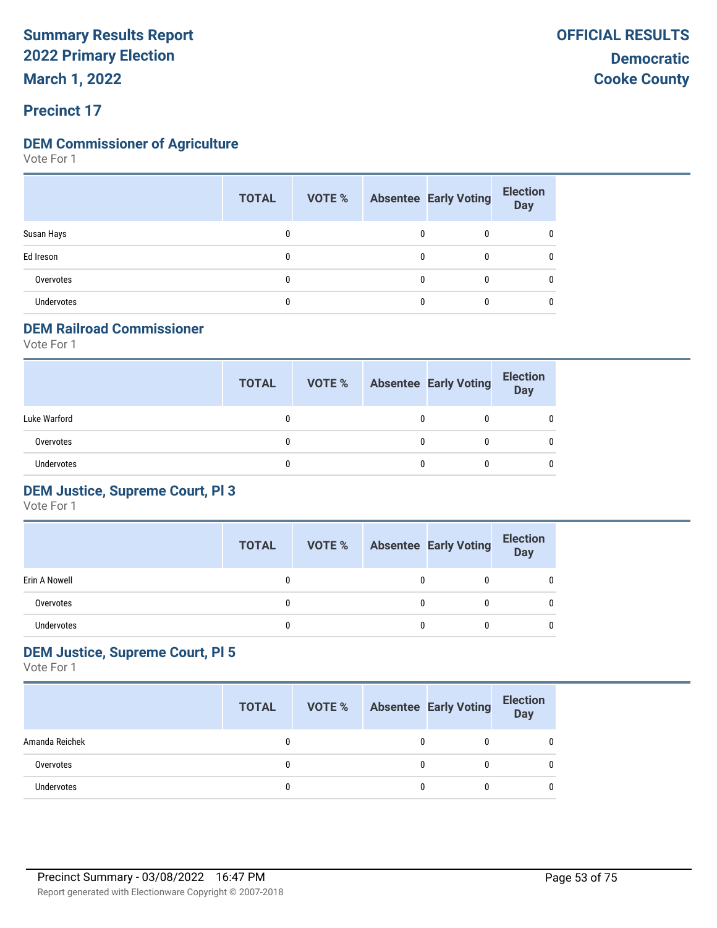**March 1, 2022**

#### **Precinct 17**

#### **DEM Commissioner of Agriculture**

Vote For 1

|                   | <b>TOTAL</b> |   | <b>VOTE %</b> Absentee Early Voting | <b>Election</b><br>Day |
|-------------------|--------------|---|-------------------------------------|------------------------|
| Susan Hays        | 0            | 0 | 0                                   | 0                      |
| Ed Ireson         | 0            | 0 | 0                                   | 0                      |
| Overvotes         | 0            | 0 | 0                                   | 0                      |
| <b>Undervotes</b> | 0            | 0 | 0                                   | 0                      |

#### **DEM Railroad Commissioner**

Vote For 1

|                   | <b>TOTAL</b> | VOTE % |   | <b>Absentee Early Voting</b> | <b>Election</b><br>Day |
|-------------------|--------------|--------|---|------------------------------|------------------------|
| Luke Warford      |              |        | 0 |                              | 0                      |
| Overvotes         |              |        | 0 |                              | 0                      |
| <b>Undervotes</b> |              |        | 0 |                              | 0                      |

#### **DEM Justice, Supreme Court, Pl 3**

Vote For 1

|               | <b>TOTAL</b> | VOTE % |   | <b>Absentee Early Voting</b> | <b>Election</b><br>Day |
|---------------|--------------|--------|---|------------------------------|------------------------|
| Erin A Nowell |              |        |   |                              | 0                      |
| Overvotes     |              |        | 0 |                              | 0                      |
| Undervotes    |              |        | 0 |                              | 0                      |

#### **DEM Justice, Supreme Court, Pl 5**

|                   | <b>TOTAL</b> | VOTE % |   | <b>Absentee Early Voting</b> | <b>Election</b><br>Day |
|-------------------|--------------|--------|---|------------------------------|------------------------|
| Amanda Reichek    |              |        | 0 |                              |                        |
| Overvotes         |              |        | 0 |                              | <sup>0</sup>           |
| <b>Undervotes</b> |              |        | 0 |                              |                        |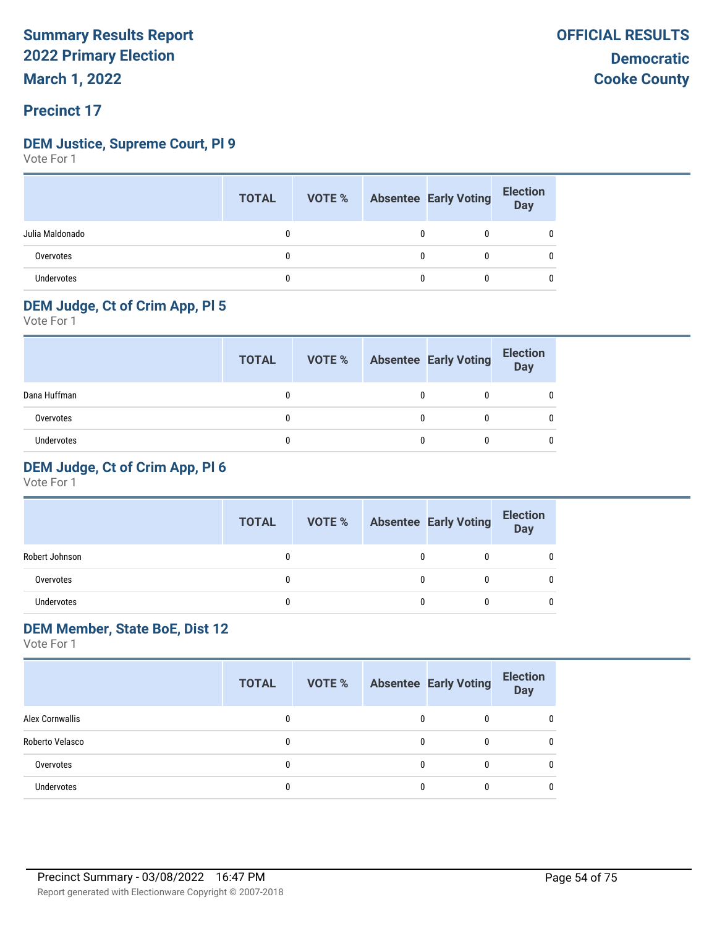#### **DEM Justice, Supreme Court, Pl 9**

Vote For 1

|                   | <b>TOTAL</b> |  | <b>VOTE %</b> Absentee Early Voting | <b>Election</b><br>Day |
|-------------------|--------------|--|-------------------------------------|------------------------|
| Julia Maldonado   |              |  | 0                                   | 0                      |
| Overvotes         |              |  | 0                                   | 0                      |
| <b>Undervotes</b> |              |  | 0                                   | 0                      |

#### **DEM Judge, Ct of Crim App, Pl 5**

Vote For 1

|              | <b>TOTAL</b> | VOTE % | <b>Absentee Early Voting</b> | <b>Election</b><br>Day |
|--------------|--------------|--------|------------------------------|------------------------|
| Dana Huffman |              |        |                              |                        |
| Overvotes    |              |        |                              |                        |
| Undervotes   |              |        |                              |                        |

#### **DEM Judge, Ct of Crim App, Pl 6**

Vote For 1

|                | <b>TOTAL</b> | VOTE % | <b>Absentee Early Voting</b> | <b>Election</b><br>Day |
|----------------|--------------|--------|------------------------------|------------------------|
| Robert Johnson |              |        | 0                            |                        |
| Overvotes      |              |        |                              |                        |
| Undervotes     |              |        | 0                            |                        |

#### **DEM Member, State BoE, Dist 12**

|                   | <b>TOTAL</b> | VOTE % |   | <b>Absentee Early Voting</b> | <b>Election</b><br><b>Day</b> |
|-------------------|--------------|--------|---|------------------------------|-------------------------------|
| Alex Cornwallis   |              |        | 0 |                              |                               |
| Roberto Velasco   | 0            |        | 0 |                              | 0                             |
| Overvotes         | 0            |        | 0 |                              | 0                             |
| <b>Undervotes</b> |              |        | 0 |                              | 0                             |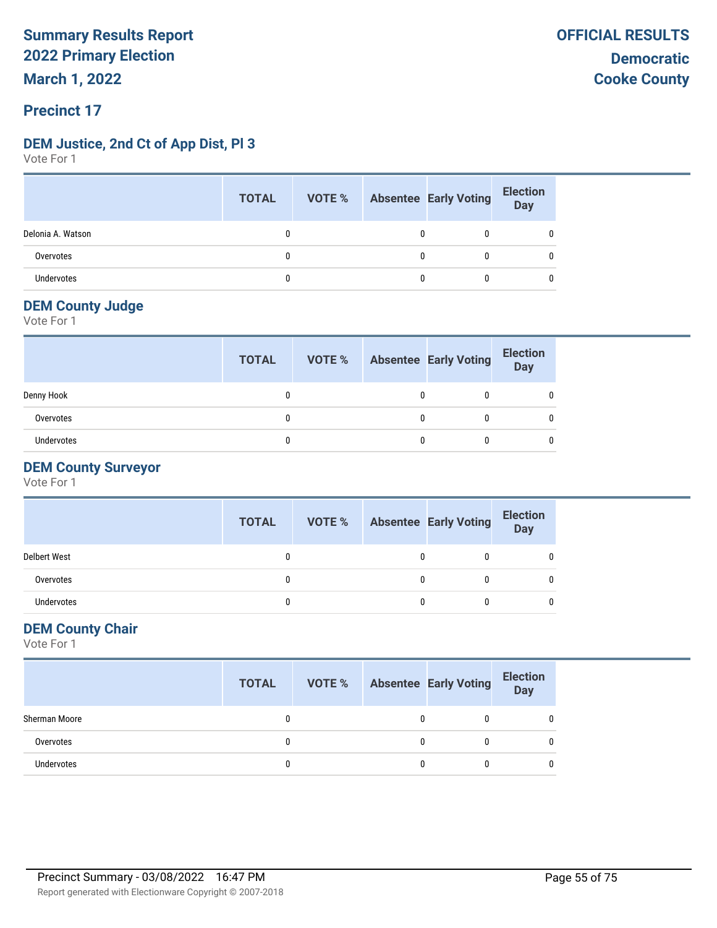#### **Precinct 17**

#### **DEM Justice, 2nd Ct of App Dist, Pl 3**

Vote For 1

|                   | <b>TOTAL</b> |   | VOTE % Absentee Early Voting | <b>Election</b><br>Day |
|-------------------|--------------|---|------------------------------|------------------------|
| Delonia A. Watson |              | 0 | 0                            |                        |
| Overvotes         |              | 0 |                              |                        |
| <b>Undervotes</b> |              | 0 |                              |                        |

#### **DEM County Judge**

Vote For 1

|            | <b>TOTAL</b> |   | <b>VOTE %</b> Absentee Early Voting | <b>Election</b><br><b>Day</b> |
|------------|--------------|---|-------------------------------------|-------------------------------|
| Denny Hook |              |   |                                     |                               |
| Overvotes  |              | 0 |                                     |                               |
| Undervotes |              |   |                                     |                               |

#### **DEM County Surveyor**

Vote For 1

|                     | <b>TOTAL</b> |   | <b>VOTE %</b> Absentee Early Voting | <b>Election</b><br>Day |
|---------------------|--------------|---|-------------------------------------|------------------------|
| <b>Delbert West</b> |              |   |                                     |                        |
| Overvotes           |              | 0 |                                     |                        |
| Undervotes          |              | 0 |                                     |                        |

#### **DEM County Chair**

|               | <b>TOTAL</b> | VOTE % Absentee Early Voting |  | <b>Election</b><br>Day |
|---------------|--------------|------------------------------|--|------------------------|
| Sherman Moore |              |                              |  | 0                      |
| Overvotes     |              |                              |  | 0                      |
| Undervotes    |              |                              |  | 0                      |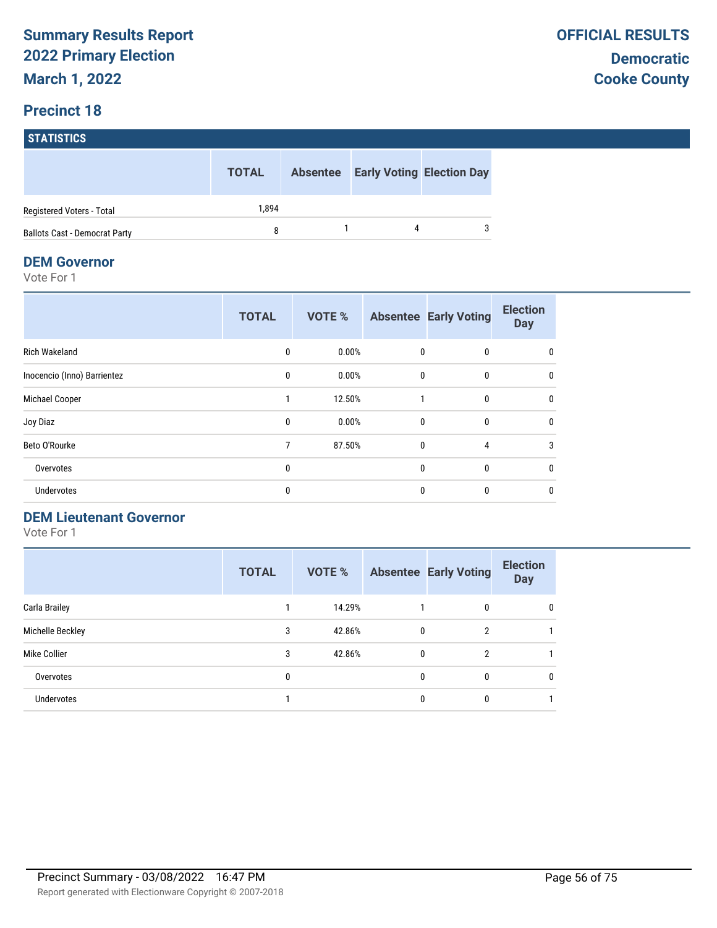#### **STATISTICS**

|                                      | <b>TOTAL</b> | <b>Absentee</b> | <b>Early Voting Election Day</b> |
|--------------------------------------|--------------|-----------------|----------------------------------|
| Registered Voters - Total            | 1.894        |                 |                                  |
| <b>Ballots Cast - Democrat Party</b> | 8            |                 | 3                                |

#### **DEM Governor**

Vote For 1

|                             | <b>TOTAL</b> | <b>VOTE %</b> |              | <b>Absentee Early Voting</b> | <b>Election</b><br><b>Day</b> |
|-----------------------------|--------------|---------------|--------------|------------------------------|-------------------------------|
| <b>Rich Wakeland</b>        | 0            | 0.00%         | 0            | 0                            | 0                             |
| Inocencio (Inno) Barrientez | $\mathbf{0}$ | 0.00%         | $\mathbf{0}$ | $\mathbf{0}$                 | 0                             |
| Michael Cooper              |              | 12.50%        |              | 0                            | 0                             |
| Joy Diaz                    | 0            | 0.00%         | $\mathbf{0}$ | $\mathbf{0}$                 | 0                             |
| Beto O'Rourke               | 7            | 87.50%        | $\mathbf{0}$ | 4                            | 3                             |
| Overvotes                   | $\mathbf{0}$ |               | $\mathbf{0}$ | $\mathbf{0}$                 | 0                             |
| Undervotes                  | 0            |               | 0            | $\mathbf{0}$                 | 0                             |

#### **DEM Lieutenant Governor**

|                   | <b>TOTAL</b> | VOTE % |   | <b>Absentee Early Voting</b> | <b>Election</b><br><b>Day</b> |
|-------------------|--------------|--------|---|------------------------------|-------------------------------|
| Carla Brailey     |              | 14.29% |   | 0                            | 0                             |
| Michelle Beckley  | 3            | 42.86% | 0 | 2                            |                               |
| Mike Collier      | 3            | 42.86% | 0 | 2                            |                               |
| Overvotes         | 0            |        | 0 | 0                            | 0                             |
| <b>Undervotes</b> |              |        | 0 | 0                            |                               |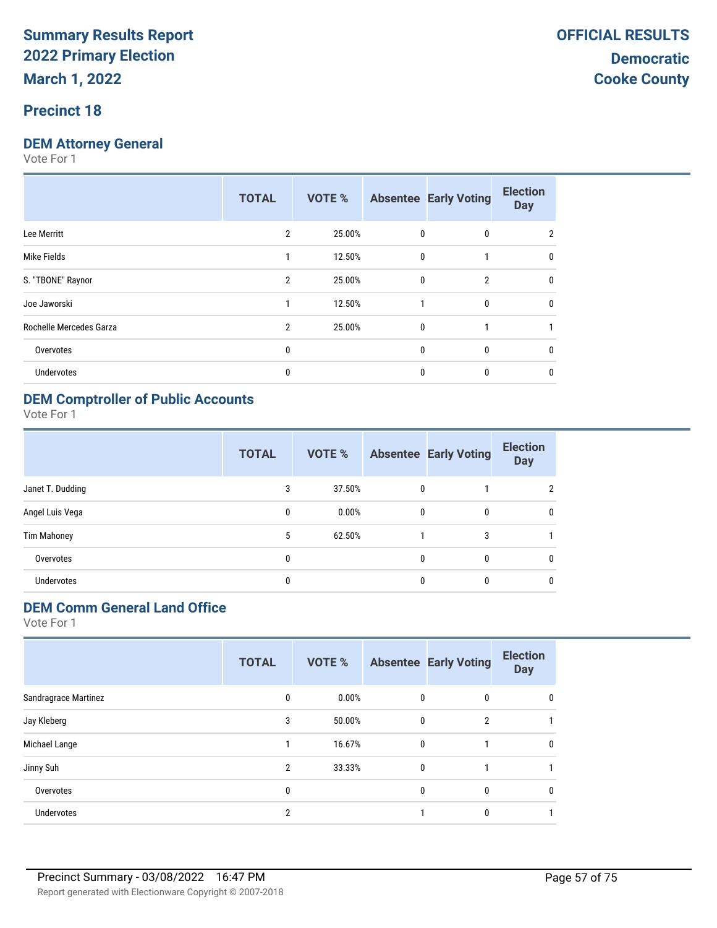#### **Precinct 18**

### **DEM Attorney General**

Vote For 1

|                         | <b>TOTAL</b>   | <b>VOTE %</b> |              | <b>Absentee Early Voting</b> | <b>Election</b><br><b>Day</b> |
|-------------------------|----------------|---------------|--------------|------------------------------|-------------------------------|
| Lee Merritt             | 2              | 25.00%        | 0            | 0                            | 2                             |
| Mike Fields             |                | 12.50%        | $\mathbf{0}$ |                              | 0                             |
| S. "TBONE" Raynor       | $\overline{2}$ | 25.00%        | 0            | $\overline{2}$               | 0                             |
| Joe Jaworski            |                | 12.50%        | 1            | $\mathbf{0}$                 | 0                             |
| Rochelle Mercedes Garza | $\mathfrak{p}$ | 25.00%        | 0            |                              |                               |
| Overvotes               | 0              |               | 0            | 0                            | 0                             |
| Undervotes              | 0              |               | 0            | 0                            | 0                             |
|                         |                |               |              |                              |                               |

#### **DEM Comptroller of Public Accounts**

Vote For 1

|                    | <b>TOTAL</b> | VOTE % |              | <b>Absentee Early Voting</b> | <b>Election</b><br><b>Day</b> |
|--------------------|--------------|--------|--------------|------------------------------|-------------------------------|
| Janet T. Dudding   | 3            | 37.50% | 0            |                              | 2                             |
| Angel Luis Vega    | 0            | 0.00%  | 0            | 0                            | 0                             |
| <b>Tim Mahoney</b> | 5            | 62.50% |              | 3                            |                               |
| Overvotes          | 0            |        | $\mathbf{0}$ | 0                            | 0                             |
| Undervotes         | 0            |        | 0            | 0                            | 0                             |

### **DEM Comm General Land Office**

|                      | <b>TOTAL</b>   | VOTE % |              | <b>Absentee Early Voting</b> | <b>Election</b><br><b>Day</b> |
|----------------------|----------------|--------|--------------|------------------------------|-------------------------------|
| Sandragrace Martinez | 0              | 0.00%  | 0            | 0                            | 0                             |
| Jay Kleberg          | 3              | 50.00% | $\mathbf{0}$ | $\overline{2}$               |                               |
| Michael Lange        |                | 16.67% | $\mathbf{0}$ |                              | 0                             |
| Jinny Suh            | 2              | 33.33% | $\mathbf{0}$ |                              |                               |
| Overvotes            | 0              |        | $\mathbf{0}$ | 0                            | 0                             |
| Undervotes           | $\overline{2}$ |        |              | 0                            |                               |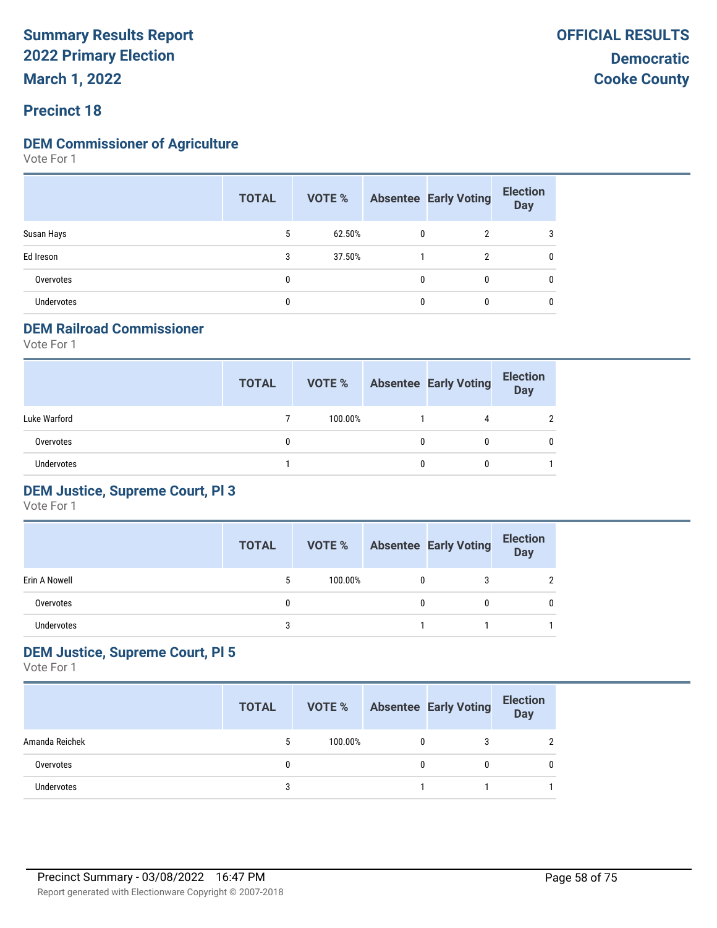**March 1, 2022**

#### **Precinct 18**

#### **DEM Commissioner of Agriculture**

Vote For 1

|                   | <b>TOTAL</b> | VOTE % |              | <b>Absentee Early Voting</b> | <b>Election</b><br><b>Day</b> |
|-------------------|--------------|--------|--------------|------------------------------|-------------------------------|
| Susan Hays        | 5            | 62.50% | 0            | $\overline{2}$               |                               |
| Ed Ireson         | 3            | 37.50% |              | 2                            |                               |
| Overvotes         | 0            |        | $\mathbf{0}$ | 0                            |                               |
| <b>Undervotes</b> | 0            |        | 0            | 0                            | C                             |

#### **DEM Railroad Commissioner**

Vote For 1

|                   | <b>TOTAL</b> | VOTE %  |   | <b>Absentee Early Voting</b> | <b>Election</b><br>Day |
|-------------------|--------------|---------|---|------------------------------|------------------------|
| Luke Warford      |              | 100.00% |   | 4                            | $\mathcal{P}$          |
| Overvotes         |              |         | 0 |                              | 0                      |
| <b>Undervotes</b> |              |         | 0 |                              |                        |

#### **DEM Justice, Supreme Court, Pl 3**

Vote For 1

|               | <b>TOTAL</b> | VOTE %  |   | <b>Absentee Early Voting</b> | <b>Election</b><br>Day |
|---------------|--------------|---------|---|------------------------------|------------------------|
| Erin A Nowell |              | 100.00% | 0 |                              |                        |
| Overvotes     |              |         | 0 |                              |                        |
| Undervotes    |              |         |   |                              |                        |

#### **DEM Justice, Supreme Court, Pl 5**

|                   | <b>TOTAL</b> | VOTE %  |   | <b>Absentee Early Voting</b> | <b>Election</b><br><b>Day</b> |
|-------------------|--------------|---------|---|------------------------------|-------------------------------|
| Amanda Reichek    |              | 100.00% | 0 |                              | <sup>2</sup>                  |
| Overvotes         |              |         | 0 |                              | 0                             |
| <b>Undervotes</b> |              |         |   |                              |                               |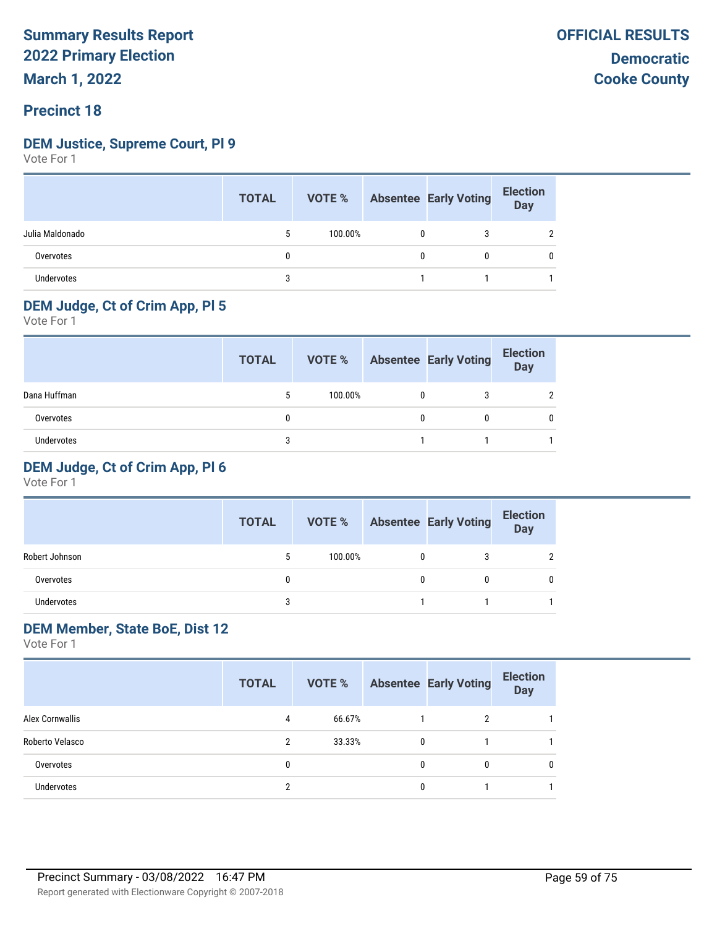#### **Precinct 18**

#### **DEM Justice, Supreme Court, Pl 9**

Vote For 1

|                   | <b>TOTAL</b> |         |             | VOTE % Absentee Early Voting | <b>Election</b><br>Day |
|-------------------|--------------|---------|-------------|------------------------------|------------------------|
| Julia Maldonado   |              | 100.00% | $\mathbf 0$ | 3                            |                        |
| Overvotes         | 0            |         | 0           | 0                            |                        |
| <b>Undervotes</b> | 3            |         |             |                              |                        |

### **DEM Judge, Ct of Crim App, Pl 5**

Vote For 1

|              | <b>TOTAL</b> | VOTE %  | <b>Absentee Early Voting</b> | <b>Election</b><br>Day |
|--------------|--------------|---------|------------------------------|------------------------|
| Dana Huffman | 5            | 100.00% |                              |                        |
| Overvotes    |              |         | 0                            |                        |
| Undervotes   |              |         |                              |                        |

#### **DEM Judge, Ct of Crim App, Pl 6**

Vote For 1

|                   | <b>TOTAL</b> | VOTE %  |   | <b>Absentee Early Voting</b> | <b>Election</b><br><b>Day</b> |
|-------------------|--------------|---------|---|------------------------------|-------------------------------|
| Robert Johnson    | 5            | 100.00% | 0 |                              |                               |
| Overvotes         |              |         | 0 |                              |                               |
| <b>Undervotes</b> |              |         |   |                              |                               |

#### **DEM Member, State BoE, Dist 12**

|                        | <b>TOTAL</b> | VOTE % |   | <b>Absentee Early Voting</b> | <b>Election</b><br><b>Day</b> |
|------------------------|--------------|--------|---|------------------------------|-------------------------------|
| <b>Alex Cornwallis</b> | 4            | 66.67% |   | 2                            |                               |
| Roberto Velasco        | 2            | 33.33% | 0 |                              |                               |
| Overvotes              | 0            |        | 0 | 0                            | 0                             |
| <b>Undervotes</b>      | າ            |        | 0 |                              |                               |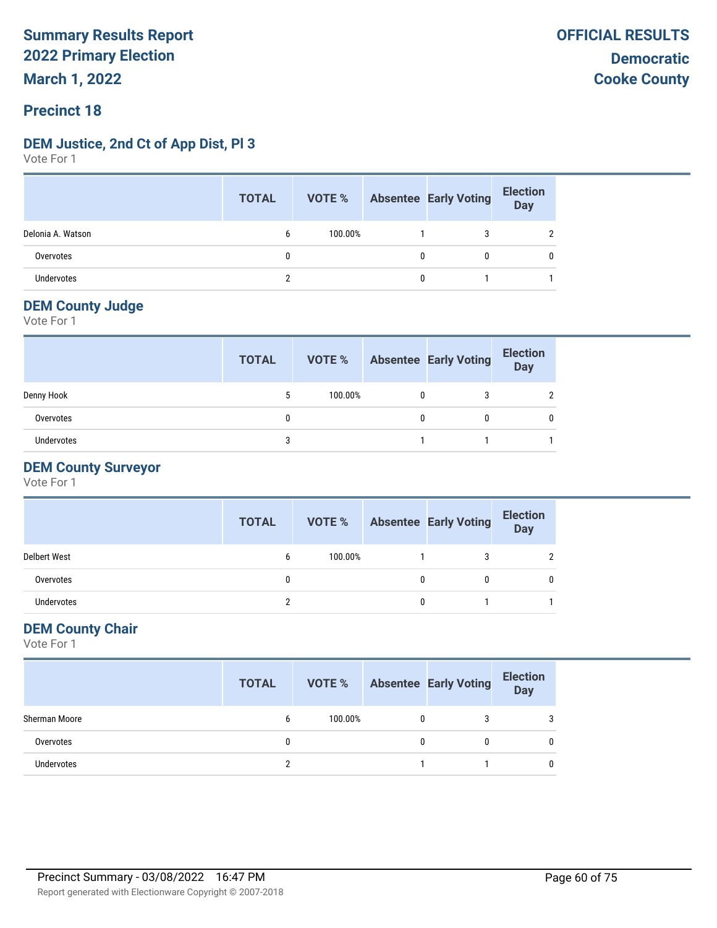#### **Precinct 18**

#### **DEM Justice, 2nd Ct of App Dist, Pl 3**

Vote For 1

|                   | <b>TOTAL</b> |         |              | <b>VOTE %</b> Absentee Early Voting | <b>Election</b><br>Day |
|-------------------|--------------|---------|--------------|-------------------------------------|------------------------|
| Delonia A. Watson | b            | 100.00% |              | 3                                   |                        |
| Overvotes         | 0            |         | 0            | 0                                   |                        |
| <b>Undervotes</b> | າ            |         | $\mathbf{0}$ |                                     |                        |

#### **DEM County Judge**

Vote For 1

|                   | <b>TOTAL</b> | VOTE %  | <b>Absentee Early Voting</b> | <b>Election</b><br><b>Day</b> |
|-------------------|--------------|---------|------------------------------|-------------------------------|
| Denny Hook        | 5            | 100.00% | 3                            |                               |
| Overvotes         | 0            |         | 0                            |                               |
| <b>Undervotes</b> | 3            |         |                              |                               |

#### **DEM County Surveyor**

Vote For 1

|                     | <b>TOTAL</b> | VOTE %  |   | <b>Absentee Early Voting</b> | <b>Election</b><br>Day |
|---------------------|--------------|---------|---|------------------------------|------------------------|
| <b>Delbert West</b> | 6            | 100.00% |   |                              |                        |
| Overvotes           | 0            |         |   | 0                            | 0                      |
| Undervotes          | າ            |         | 0 |                              |                        |

#### **DEM County Chair**

|               | <b>TOTAL</b> |         |   | <b>VOTE %</b> Absentee Early Voting | <b>Election</b><br>Day |
|---------------|--------------|---------|---|-------------------------------------|------------------------|
| Sherman Moore | b            | 100.00% | 0 | 3                                   | 3                      |
| Overvotes     |              |         | 0 | 0                                   | 0                      |
| Undervotes    |              |         |   |                                     | 0                      |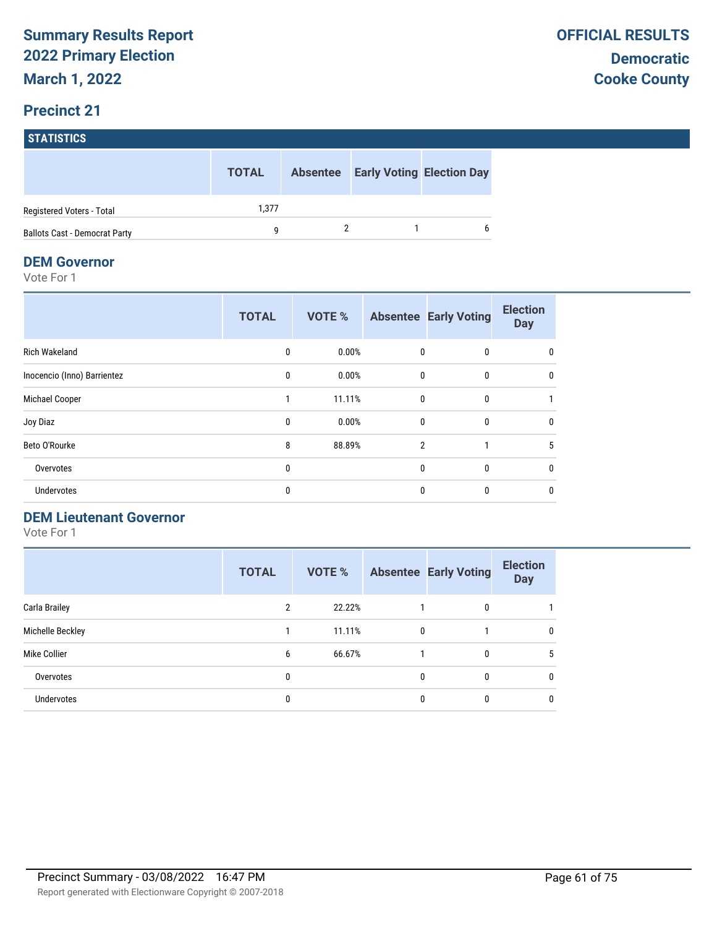### **STATISTICS**

|                                      | <b>TOTAL</b> | <b>Absentee</b> | <b>Early Voting Election Day</b> |
|--------------------------------------|--------------|-----------------|----------------------------------|
| Registered Voters - Total            | 1.377        |                 |                                  |
| <b>Ballots Cast - Democrat Party</b> | a            |                 |                                  |

#### **DEM Governor**

Vote For 1

|                             | <b>TOTAL</b> | <b>VOTE %</b> |                | <b>Absentee Early Voting</b> | <b>Election</b><br><b>Day</b> |
|-----------------------------|--------------|---------------|----------------|------------------------------|-------------------------------|
| <b>Rich Wakeland</b>        | 0            | 0.00%         | 0              | $\mathbf{0}$                 | 0                             |
| Inocencio (Inno) Barrientez | $\mathbf{0}$ | 0.00%         | $\mathbf{0}$   | $\mathbf{0}$                 | 0                             |
| Michael Cooper              |              | 11.11%        | $\mathbf 0$    | $\mathbf{0}$                 |                               |
| Joy Diaz                    | 0            | 0.00%         | $\mathbf{0}$   | $\mathbf{0}$                 | 0                             |
| Beto O'Rourke               | 8            | 88.89%        | $\overline{2}$ | 1                            | 5                             |
| Overvotes                   | 0            |               | $\mathbf{0}$   | $\mathbf{0}$                 | $\mathbf{0}$                  |
| Undervotes                  | 0            |               | 0              | $\Omega$                     | 0                             |

#### **DEM Lieutenant Governor**

|                  | <b>TOTAL</b>   | VOTE % |   | <b>Absentee Early Voting</b> | <b>Election</b><br><b>Day</b> |
|------------------|----------------|--------|---|------------------------------|-------------------------------|
| Carla Brailey    | $\overline{2}$ | 22.22% |   | 0                            |                               |
| Michelle Beckley |                | 11.11% | 0 |                              | $\mathbf{0}$                  |
| Mike Collier     | 6              | 66.67% |   | 0                            | 5                             |
| Overvotes        | 0              |        | 0 | 0                            | 0                             |
| Undervotes       | 0              |        | 0 | 0                            | 0                             |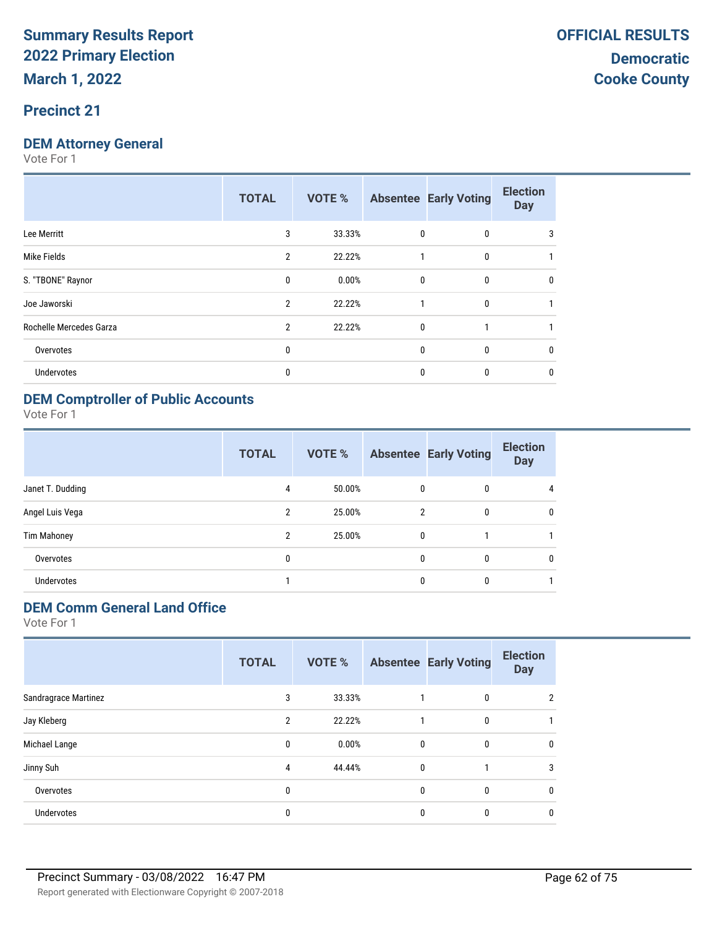#### **Precinct 21**

#### **DEM Attorney General**

Vote For 1

|                         | <b>TOTAL</b>   | <b>VOTE %</b> |              | <b>Absentee Early Voting</b> | <b>Election</b><br><b>Day</b> |
|-------------------------|----------------|---------------|--------------|------------------------------|-------------------------------|
| Lee Merritt             | 3              | 33.33%        | $\mathbf{0}$ | 0                            | 3                             |
| Mike Fields             | $\overline{2}$ | 22.22%        |              | $\mathbf{0}$                 |                               |
| S. "TBONE" Raynor       | 0              | 0.00%         | $\mathbf{0}$ | $\mathbf{0}$                 | 0                             |
| Joe Jaworski            | $\overline{2}$ | 22.22%        |              | 0                            |                               |
| Rochelle Mercedes Garza | $\overline{2}$ | 22.22%        | $\mathbf{0}$ |                              |                               |
| Overvotes               | 0              |               | $\mathbf{0}$ | 0                            | 0                             |
| <b>Undervotes</b>       | 0              |               | 0            | 0                            | 0                             |
|                         |                |               |              |                              |                               |

#### **DEM Comptroller of Public Accounts**

Vote For 1

|                    | <b>TOTAL</b>   | VOTE % |              | <b>Absentee Early Voting</b> | <b>Election</b><br><b>Day</b> |
|--------------------|----------------|--------|--------------|------------------------------|-------------------------------|
| Janet T. Dudding   | 4              | 50.00% | 0            | 0                            | 4                             |
| Angel Luis Vega    | 2              | 25.00% | 2            | 0                            | 0                             |
| <b>Tim Mahoney</b> | $\overline{2}$ | 25.00% | $\mathbf{0}$ |                              |                               |
| Overvotes          | 0              |        | $\mathbf{0}$ | 0                            | 0                             |
| Undervotes         |                |        | 0            | 0                            |                               |

### **DEM Comm General Land Office**

|                      | <b>TOTAL</b> | <b>VOTE %</b> |              | <b>Absentee Early Voting</b> | <b>Election</b><br><b>Day</b> |
|----------------------|--------------|---------------|--------------|------------------------------|-------------------------------|
| Sandragrace Martinez | 3            | 33.33%        |              | $\mathbf{0}$                 | 2                             |
| Jay Kleberg          | 2            | 22.22%        |              | $\mathbf{0}$                 |                               |
| Michael Lange        | $\mathbf{0}$ | 0.00%         | $\mathbf{0}$ | $\mathbf{0}$                 | 0                             |
| Jinny Suh            | 4            | 44.44%        | 0            |                              | 3                             |
| Overvotes            | 0            |               | 0            | $\mathbf{0}$                 | 0                             |
| Undervotes           | 0            |               | 0            | 0                            | 0                             |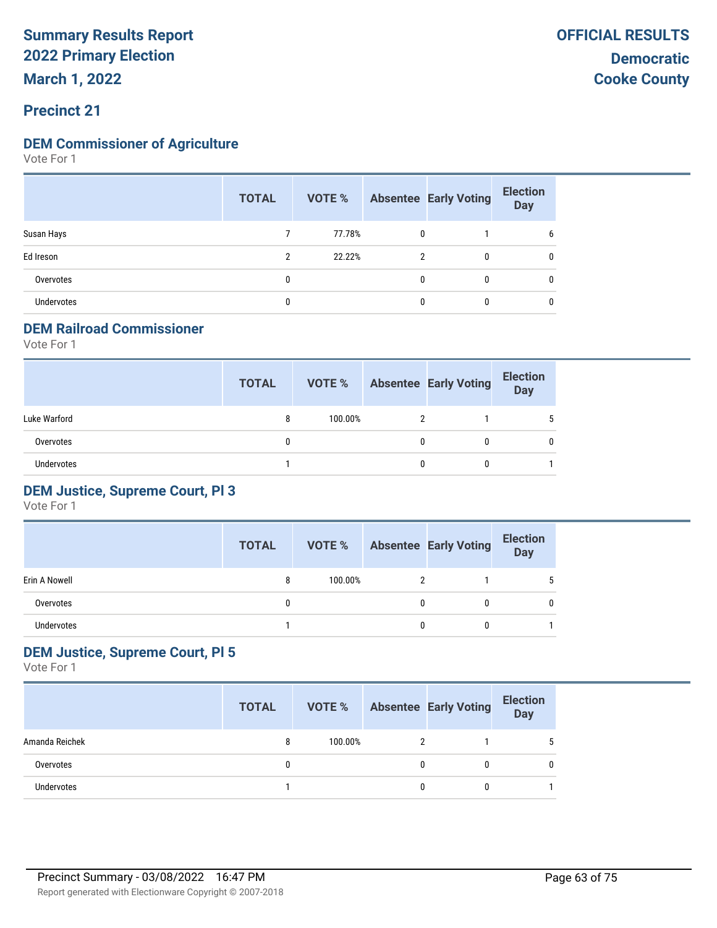### **Precinct 21**

#### **DEM Commissioner of Agriculture**

Vote For 1

|            | <b>TOTAL</b> | VOTE % |   | <b>Absentee Early Voting</b> | <b>Election</b><br><b>Day</b> |
|------------|--------------|--------|---|------------------------------|-------------------------------|
| Susan Hays |              | 77.78% | 0 |                              | b                             |
| Ed Ireson  | C.           | 22.22% | 2 | 0                            | 0                             |
| Overvotes  |              |        |   | $\mathbf{0}$                 | 0                             |
| Undervotes |              |        |   |                              | 0                             |

#### **DEM Railroad Commissioner**

Vote For 1

|                   | <b>TOTAL</b> | VOTE %  |   | <b>Absentee Early Voting</b> | <b>Election</b><br><b>Day</b> |
|-------------------|--------------|---------|---|------------------------------|-------------------------------|
| Luke Warford      | 8            | 100.00% |   |                              | 5                             |
| Overvotes         | 0            |         | 0 |                              | 0                             |
| <b>Undervotes</b> |              |         | 0 |                              |                               |

#### **DEM Justice, Supreme Court, Pl 3**

Vote For 1

|               | <b>TOTAL</b> | VOTE %  |   | <b>Absentee Early Voting</b> | <b>Election</b><br>Day |
|---------------|--------------|---------|---|------------------------------|------------------------|
| Erin A Nowell | 8            | 100.00% |   |                              |                        |
| Overvotes     |              |         | 0 |                              |                        |
| Undervotes    |              |         | 0 |                              |                        |

#### **DEM Justice, Supreme Court, Pl 5**

|                   | <b>TOTAL</b> | VOTE %  |   | <b>Absentee Early Voting</b> | <b>Election</b><br><b>Day</b> |
|-------------------|--------------|---------|---|------------------------------|-------------------------------|
| Amanda Reichek    | 8            | 100.00% |   |                              | -5                            |
| Overvotes         |              |         | 0 |                              | 0                             |
| <b>Undervotes</b> |              |         | 0 |                              |                               |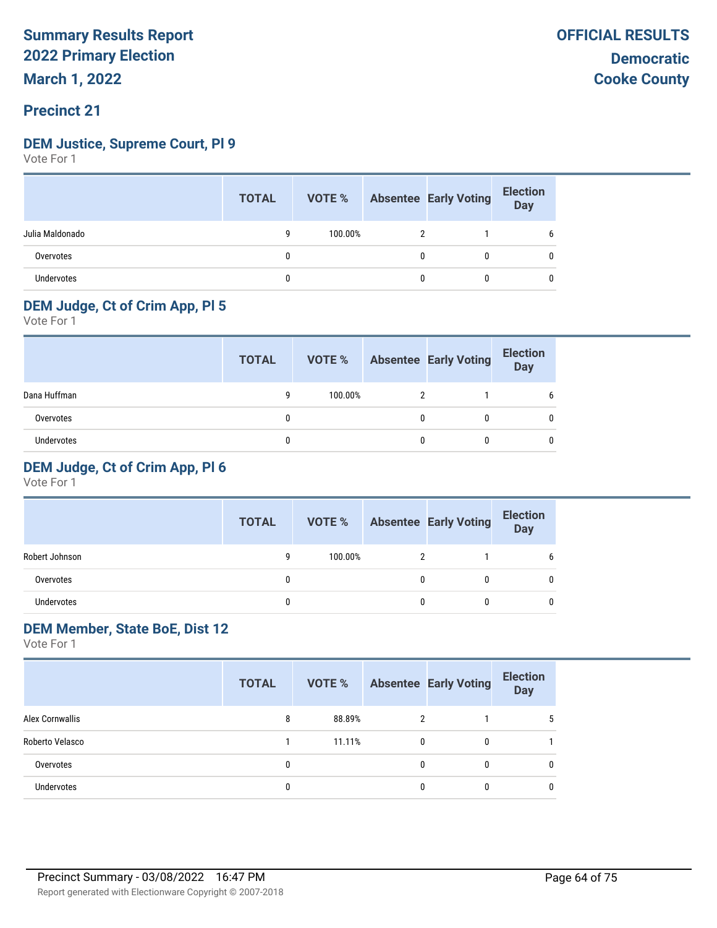#### **Precinct 21**

#### **DEM Justice, Supreme Court, Pl 9**

Vote For 1

|                   | <b>TOTAL</b> |         |   | <b>VOTE %</b> Absentee Early Voting | <b>Election</b><br>Day |
|-------------------|--------------|---------|---|-------------------------------------|------------------------|
| Julia Maldonado   |              | 100.00% |   |                                     | b                      |
| Overvotes         |              |         | 0 |                                     |                        |
| <b>Undervotes</b> |              |         | 0 |                                     |                        |

#### **DEM Judge, Ct of Crim App, Pl 5**

Vote For 1

|              | <b>TOTAL</b> | VOTE %  | <b>Absentee Early Voting</b> | <b>Election</b><br><b>Day</b> |
|--------------|--------------|---------|------------------------------|-------------------------------|
| Dana Huffman | g            | 100.00% |                              | b                             |
| Overvotes    |              |         | 0                            |                               |
| Undervotes   |              |         |                              |                               |

#### **DEM Judge, Ct of Crim App, Pl 6**

Vote For 1

|                | <b>TOTAL</b> | VOTE %  |   | <b>Absentee Early Voting</b> | <b>Election</b><br><b>Day</b> |
|----------------|--------------|---------|---|------------------------------|-------------------------------|
| Robert Johnson | q            | 100.00% | າ |                              | b                             |
| Overvotes      | 0            |         | 0 |                              |                               |
| Undervotes     | 0            |         | 0 |                              |                               |

#### **DEM Member, State BoE, Dist 12**

| Alex Cornwallis<br>88.89%<br>5<br>8<br>2<br>Roberto Velasco<br>11.11%<br>0<br>0<br>0<br>$\mathbf{0}$<br>Overvotes<br>0<br>0 |            | <b>TOTAL</b> |   | <b>VOTE %</b> Absentee Early Voting | <b>Election</b><br><b>Day</b> |
|-----------------------------------------------------------------------------------------------------------------------------|------------|--------------|---|-------------------------------------|-------------------------------|
|                                                                                                                             |            |              |   |                                     |                               |
|                                                                                                                             |            |              |   |                                     |                               |
|                                                                                                                             |            |              |   |                                     |                               |
|                                                                                                                             | Undervotes | 0            | 0 | 0                                   | 0                             |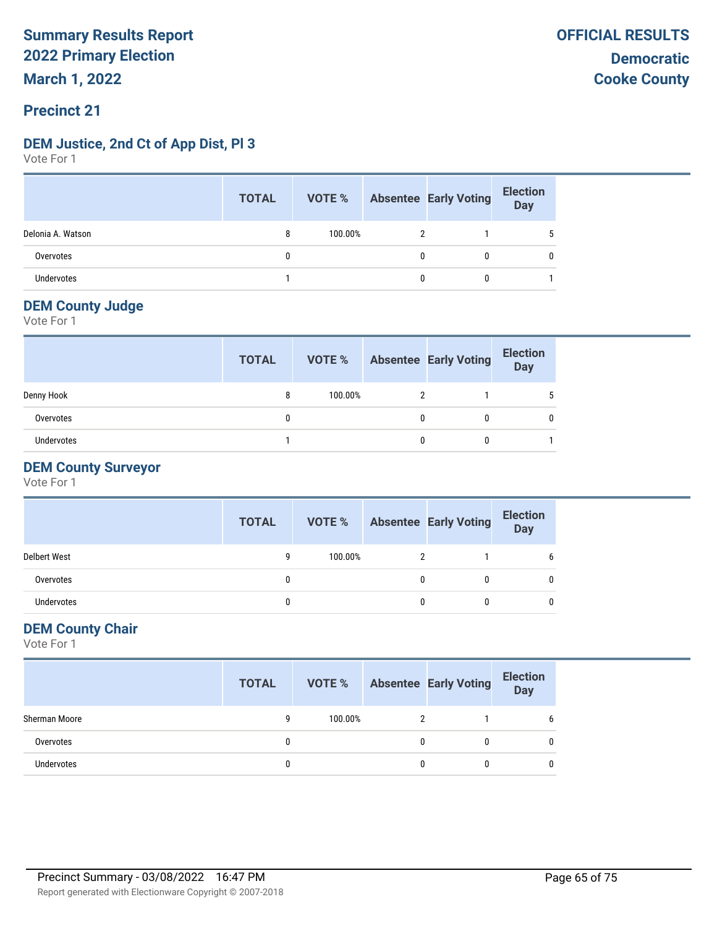### **DEM Justice, 2nd Ct of App Dist, Pl 3**

Vote For 1

|                   | <b>TOTAL</b> | <b>VOTE %</b> Absentee Early Voting |              | <b>Election</b><br>Day |
|-------------------|--------------|-------------------------------------|--------------|------------------------|
| Delonia A. Watson |              | 100.00%                             |              |                        |
| Overvotes         |              |                                     | 0            | 0                      |
| Undervotes        |              |                                     | $\mathbf{0}$ |                        |

#### **DEM County Judge**

Vote For 1

|            | <b>TOTAL</b> | VOTE %  | <b>Absentee Early Voting</b> | <b>Election</b><br><b>Day</b> |
|------------|--------------|---------|------------------------------|-------------------------------|
| Denny Hook | 8            | 100.00% |                              |                               |
| Overvotes  | 0            |         | 0                            |                               |
| Undervotes |              |         | 0                            |                               |

#### **DEM County Surveyor**

Vote For 1

|                     | <b>TOTAL</b> | VOTE %  | <b>Absentee Early Voting</b> | <b>Election</b><br><b>Day</b> |
|---------------------|--------------|---------|------------------------------|-------------------------------|
| <b>Delbert West</b> | q            | 100.00% |                              |                               |
| Overvotes           |              |         | 0                            |                               |
| Undervotes          |              |         | 0                            |                               |

#### **DEM County Chair**

|               | <b>TOTAL</b> |         | <b>VOTE %</b> Absentee Early Voting | <b>Election</b><br>Day |
|---------------|--------------|---------|-------------------------------------|------------------------|
| Sherman Moore | q            | 100.00% |                                     | b                      |
| Overvotes     |              |         |                                     | 0                      |
| Undervotes    | 0            |         |                                     | 0                      |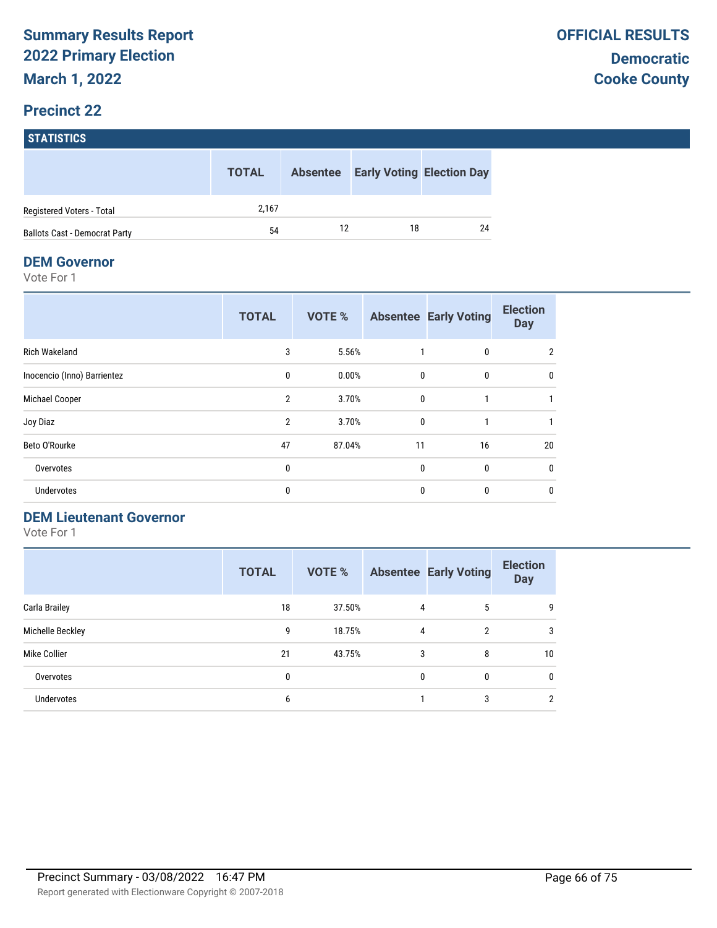|                                      | <b>TOTAL</b> | <b>Absentee</b> |    | <b>Early Voting Election Day</b> |
|--------------------------------------|--------------|-----------------|----|----------------------------------|
| Registered Voters - Total            | 2.167        |                 |    |                                  |
| <b>Ballots Cast - Democrat Party</b> | 54           | 12              | 18 | 24                               |

#### **DEM Governor**

Vote For 1

|                             | <b>TOTAL</b>   | <b>VOTE %</b> |              | <b>Absentee Early Voting</b> | <b>Election</b><br><b>Day</b> |
|-----------------------------|----------------|---------------|--------------|------------------------------|-------------------------------|
| Rich Wakeland               | 3              | 5.56%         |              | 0                            | 2                             |
| Inocencio (Inno) Barrientez | 0              | 0.00%         | $\mathbf{0}$ | 0                            | 0                             |
| Michael Cooper              | $\overline{2}$ | 3.70%         | $\mathbf 0$  |                              |                               |
| Joy Diaz                    | $\overline{2}$ | 3.70%         | $\mathbf{0}$ | 1                            |                               |
| Beto O'Rourke               | 47             | 87.04%        | 11           | 16                           | 20                            |
| Overvotes                   | 0              |               | $\mathbf{0}$ | $\mathbf{0}$                 | $\mathbf{0}$                  |
| <b>Undervotes</b>           | 0              |               | $\mathbf{0}$ | 0                            | 0                             |

#### **DEM Lieutenant Governor**

|                   | <b>TOTAL</b> | <b>VOTE %</b> |   | <b>Absentee Early Voting</b> | <b>Election</b><br><b>Day</b> |
|-------------------|--------------|---------------|---|------------------------------|-------------------------------|
| Carla Brailey     | 18           | 37.50%        | 4 | 5                            | 9                             |
| Michelle Beckley  | 9            | 18.75%        | 4 | $\overline{2}$               | 3                             |
| Mike Collier      | 21           | 43.75%        | 3 | 8                            | 10                            |
| Overvotes         | 0            |               | 0 | 0                            | 0                             |
| <b>Undervotes</b> | 6            |               |   | 3                            | 2                             |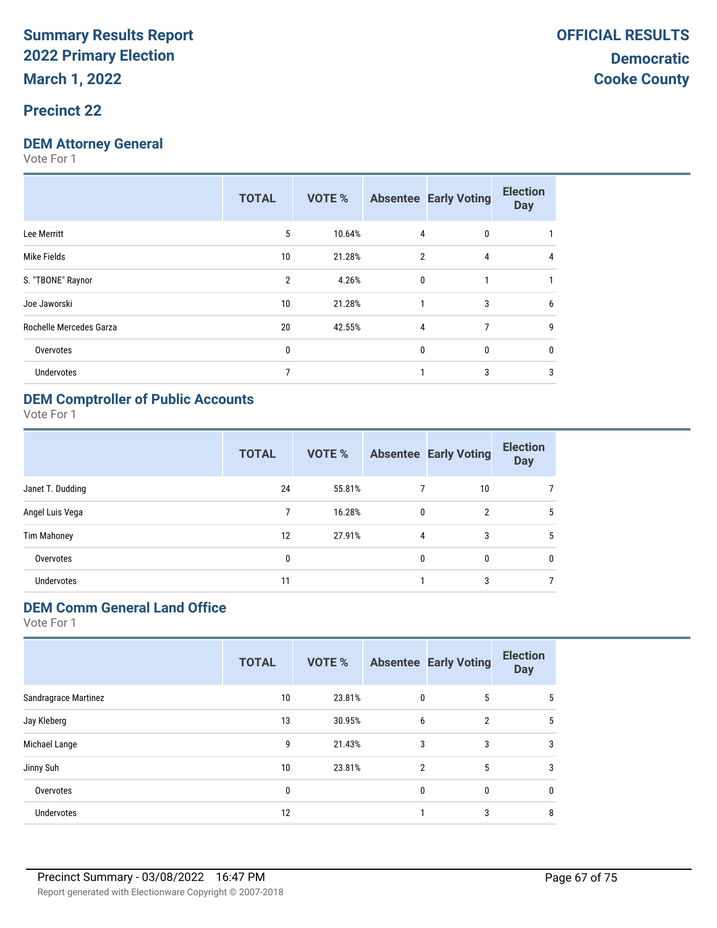#### **Precinct 22**

#### **DEM Attorney General**

Vote For 1

| 5<br>10.64%<br>4<br>0<br>Lee Merritt<br>Mike Fields<br>21.28%<br>$\overline{2}$<br>4<br>10<br>4<br>S. "TBONE" Raynor<br>$\overline{2}$<br>4.26%<br>$\mathbf{0}$<br>Joe Jaworski<br>21.28%<br>3<br>10<br>6<br>Rochelle Mercedes Garza<br>20<br>7<br>42.55%<br>4<br>9<br>0<br>0<br>0<br>Overvotes<br>0<br>3<br>7<br>3<br>Undervotes | <b>TOTAL</b> | VOTE % | <b>Absentee Early Voting</b> | <b>Election</b><br><b>Day</b> |
|-----------------------------------------------------------------------------------------------------------------------------------------------------------------------------------------------------------------------------------------------------------------------------------------------------------------------------------|--------------|--------|------------------------------|-------------------------------|
|                                                                                                                                                                                                                                                                                                                                   |              |        |                              |                               |
|                                                                                                                                                                                                                                                                                                                                   |              |        |                              |                               |
|                                                                                                                                                                                                                                                                                                                                   |              |        |                              |                               |
|                                                                                                                                                                                                                                                                                                                                   |              |        |                              |                               |
|                                                                                                                                                                                                                                                                                                                                   |              |        |                              |                               |
|                                                                                                                                                                                                                                                                                                                                   |              |        |                              |                               |
|                                                                                                                                                                                                                                                                                                                                   |              |        |                              |                               |

#### **DEM Comptroller of Public Accounts**

Vote For 1

|                    | <b>TOTAL</b> | VOTE % |              | <b>Absentee Early Voting</b> | <b>Election</b><br><b>Day</b> |
|--------------------|--------------|--------|--------------|------------------------------|-------------------------------|
| Janet T. Dudding   | 24           | 55.81% | 7            | 10                           |                               |
| Angel Luis Vega    | 7            | 16.28% | 0            | $\overline{2}$               | 5                             |
| <b>Tim Mahoney</b> | 12           | 27.91% | 4            | 3                            | 5                             |
| Overvotes          | 0            |        | $\mathbf{0}$ | 0                            | $\mathbf{0}$                  |
| Undervotes         | 11           |        |              | 3                            |                               |

### **DEM Comm General Land Office**

|                             | <b>TOTAL</b> | <b>VOTE %</b> |                | <b>Absentee Early Voting</b> | <b>Election</b><br><b>Day</b> |
|-----------------------------|--------------|---------------|----------------|------------------------------|-------------------------------|
| <b>Sandragrace Martinez</b> | 10           | 23.81%        | 0              | 5                            | 5                             |
| Jay Kleberg                 | 13           | 30.95%        | 6              | $\overline{2}$               | 5                             |
| Michael Lange               | 9            | 21.43%        | 3              | 3                            | 3                             |
| Jinny Suh                   | 10           | 23.81%        | $\overline{2}$ | 5                            | 3                             |
| Overvotes                   | 0            |               | $\mathbf{0}$   | 0                            | 0                             |
| Undervotes                  | 12           |               |                | 3                            | 8                             |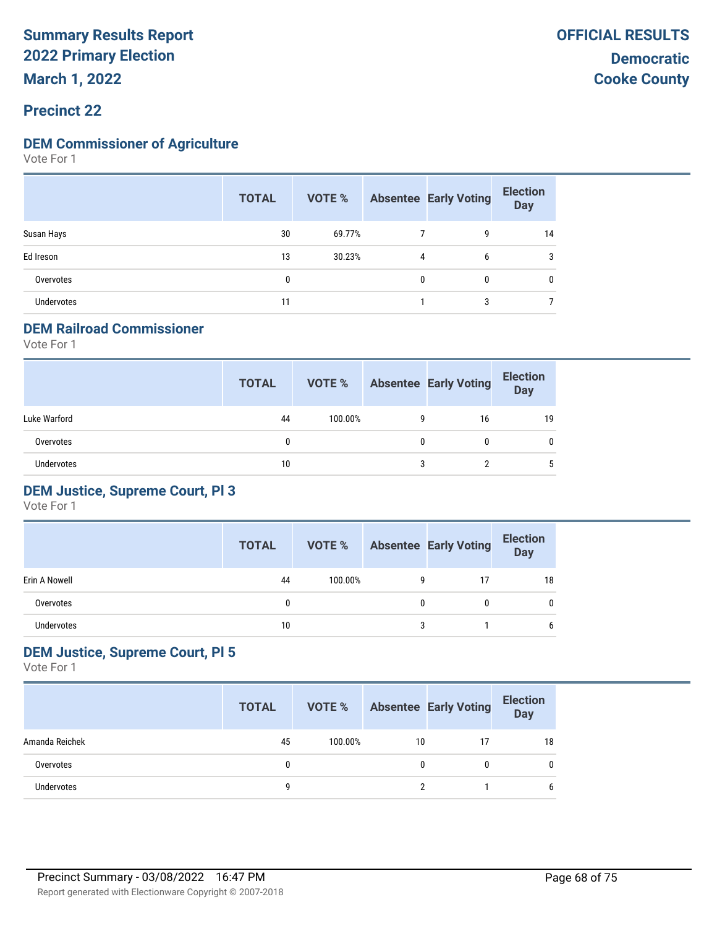**March 1, 2022**

#### **Precinct 22**

#### **DEM Commissioner of Agriculture**

Vote For 1

|                   | <b>TOTAL</b> |        |   | <b>VOTE %</b> Absentee Early Voting | <b>Election</b><br><b>Day</b> |
|-------------------|--------------|--------|---|-------------------------------------|-------------------------------|
| Susan Hays        | 30           | 69.77% |   | 9                                   | 14                            |
| Ed Ireson         | 13           | 30.23% | 4 | 6                                   | 3                             |
| Overvotes         | 0            |        | 0 | 0                                   | 0                             |
| <b>Undervotes</b> | 11           |        |   | 3                                   |                               |

#### **DEM Railroad Commissioner**

Vote For 1

|                   | <b>TOTAL</b> | VOTE %  |   | <b>Absentee Early Voting</b> | <b>Election</b><br><b>Day</b> |
|-------------------|--------------|---------|---|------------------------------|-------------------------------|
| Luke Warford      | 44           | 100.00% | 9 | 16                           | 19                            |
| Overvotes         | 0            |         | 0 |                              | 0                             |
| <b>Undervotes</b> | 10           |         | 3 |                              | 5                             |

#### **DEM Justice, Supreme Court, Pl 3**

Vote For 1

|               | <b>TOTAL</b> | VOTE %  |   | <b>Absentee Early Voting</b> | <b>Election</b><br>Day |
|---------------|--------------|---------|---|------------------------------|------------------------|
| Erin A Nowell | 44           | 100.00% | 9 |                              | 18                     |
| Overvotes     |              |         | 0 | $\Omega$                     | 0                      |
| Undervotes    | 10           |         | 3 |                              | 6                      |

#### **DEM Justice, Supreme Court, Pl 5**

|                   | <b>TOTAL</b> | VOTE %  |    | <b>Absentee Early Voting</b> | <b>Election</b><br><b>Day</b> |
|-------------------|--------------|---------|----|------------------------------|-------------------------------|
| Amanda Reichek    | 45           | 100.00% | 10 |                              | 18                            |
| Overvotes         |              |         | 0  |                              | 0                             |
| <b>Undervotes</b> | a            |         | າ  |                              | 6                             |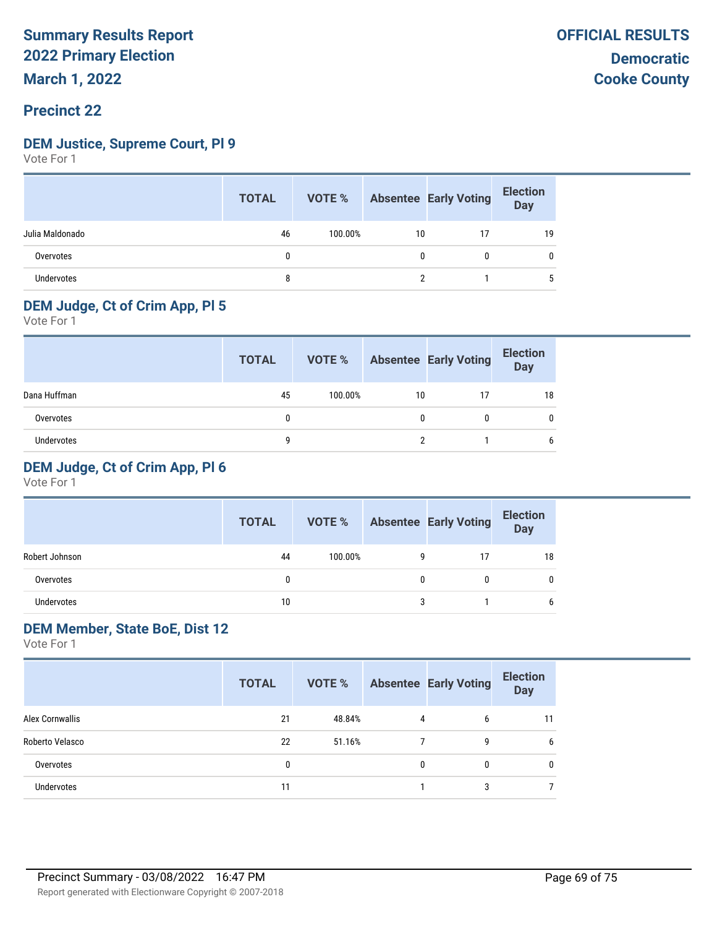#### **Precinct 22**

#### **DEM Justice, Supreme Court, Pl 9**

Vote For 1

|                 | <b>TOTAL</b> |         |    | <b>VOTE %</b> Absentee Early Voting | <b>Election</b><br>Day |
|-----------------|--------------|---------|----|-------------------------------------|------------------------|
| Julia Maldonado | 46           | 100.00% | 10 |                                     | 19                     |
| Overvotes       |              |         |    |                                     |                        |
| Undervotes      | 8            |         |    |                                     | 5                      |

### **DEM Judge, Ct of Crim App, Pl 5**

Vote For 1

|              | <b>TOTAL</b> | VOTE %  |    | <b>Absentee Early Voting</b> | <b>Election</b><br>Day |
|--------------|--------------|---------|----|------------------------------|------------------------|
| Dana Huffman | 45           | 100.00% | 10 | 17                           | 18                     |
| Overvotes    |              |         |    |                              |                        |
| Undervotes   | q            |         |    |                              | b                      |

#### **DEM Judge, Ct of Crim App, Pl 6**

Vote For 1

|                | <b>TOTAL</b> | VOTE %  |    | <b>Absentee Early Voting</b> | <b>Election</b><br><b>Day</b> |
|----------------|--------------|---------|----|------------------------------|-------------------------------|
| Robert Johnson | 44           | 100.00% | g  | 17                           | 18                            |
| Overvotes      |              |         |    | 0                            |                               |
| Undervotes     | 10           |         | ্ব |                              |                               |

#### **DEM Member, State BoE, Dist 12**

|                   | <b>TOTAL</b> | VOTE % |   | <b>Absentee Early Voting</b> | <b>Election</b><br><b>Day</b> |
|-------------------|--------------|--------|---|------------------------------|-------------------------------|
| Alex Cornwallis   | 21           | 48.84% | 4 | 6                            | 11                            |
| Roberto Velasco   | 22           | 51.16% |   | 9                            | 6                             |
| Overvotes         | 0            |        | 0 | 0                            | 0                             |
| <b>Undervotes</b> | 11           |        |   | 3                            | ⇁                             |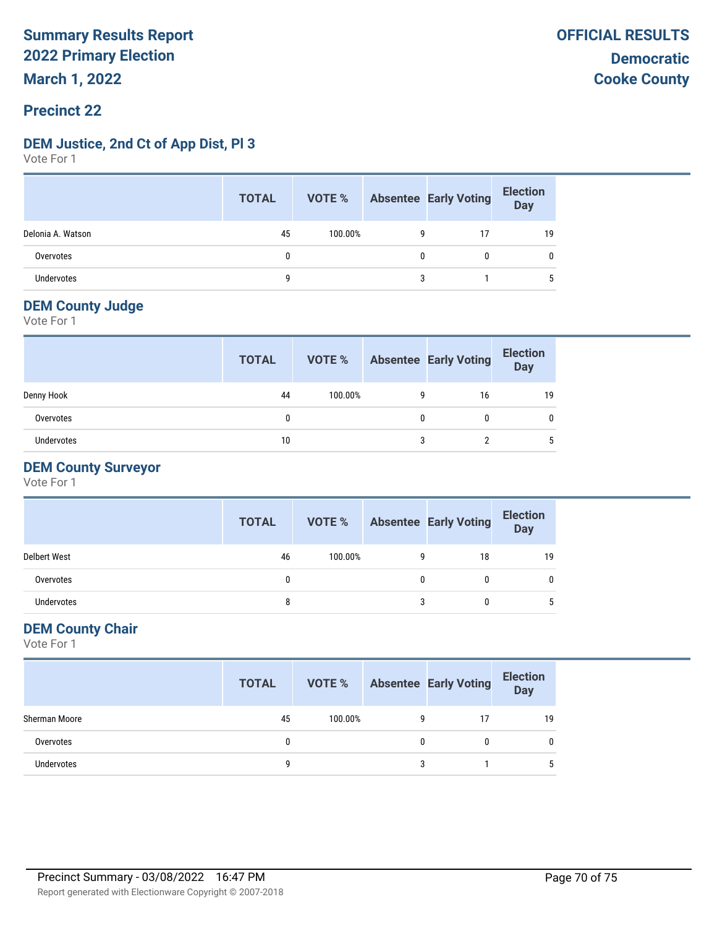#### **Precinct 22**

#### **DEM Justice, 2nd Ct of App Dist, Pl 3**

Vote For 1

|                   | <b>TOTAL</b> | <b>VOTE %</b> |   | Absentee Early Voting | <b>Election</b><br>Day |
|-------------------|--------------|---------------|---|-----------------------|------------------------|
| Delonia A. Watson | 45           | 100.00%       | 9 |                       | 19                     |
| Overvotes         | 0            |               | 0 |                       | 0                      |
| <b>Undervotes</b> | Q            |               | 3 |                       |                        |

#### **DEM County Judge**

Vote For 1

|            | <b>TOTAL</b> | VOTE %  |   | <b>Absentee Early Voting</b> | <b>Election</b><br><b>Day</b> |
|------------|--------------|---------|---|------------------------------|-------------------------------|
| Denny Hook | 44           | 100.00% | 9 | 16                           | 19                            |
| Overvotes  | $\mathbf{0}$ |         | 0 |                              |                               |
| Undervotes | 10           |         | 3 |                              |                               |

#### **DEM County Surveyor**

Vote For 1

|                     | <b>TOTAL</b> | VOTE %  | <b>Absentee Early Voting</b> | <b>Election</b><br><b>Day</b> |
|---------------------|--------------|---------|------------------------------|-------------------------------|
| <b>Delbert West</b> | 46           | 100.00% | 18                           | 19                            |
| Overvotes           |              |         | 0                            |                               |
| <b>Undervotes</b>   | 8            |         | 0                            |                               |

#### **DEM County Chair**

|               | <b>TOTAL</b> |         |   | <b>VOTE %</b> Absentee Early Voting | <b>Election</b><br>Day |
|---------------|--------------|---------|---|-------------------------------------|------------------------|
| Sherman Moore | 45           | 100.00% | g | 17                                  | 19                     |
| Overvotes     |              |         | 0 |                                     |                        |
| Undervotes    | q            |         | 3 |                                     |                        |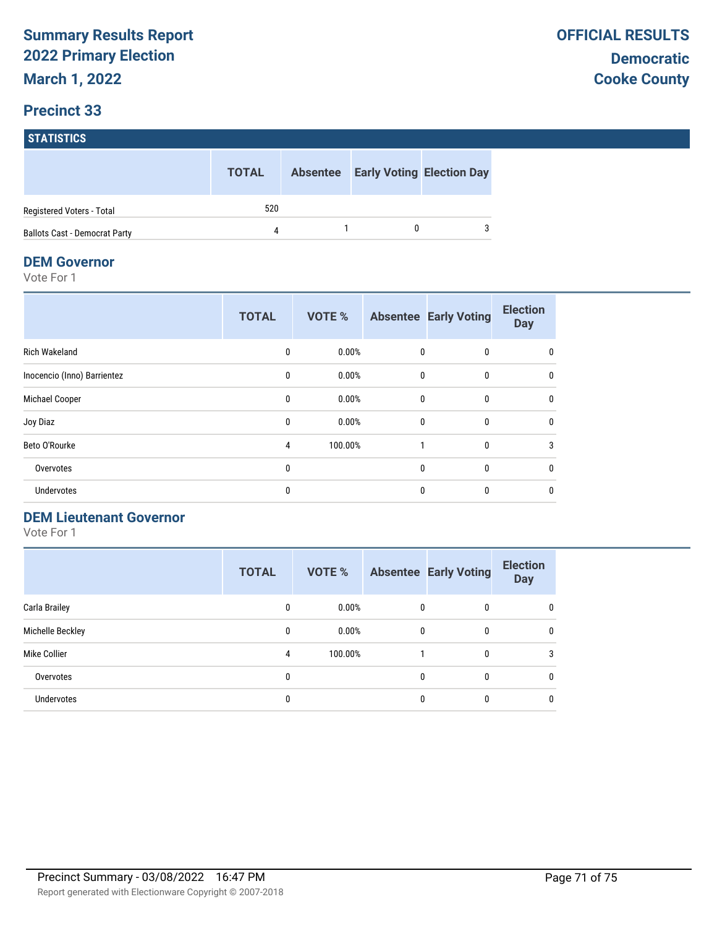|                                      | <b>TOTAL</b> | <b>Absentee</b> | <b>Early Voting Election Day</b> |
|--------------------------------------|--------------|-----------------|----------------------------------|
| Registered Voters - Total            | 520          |                 |                                  |
| <b>Ballots Cast - Democrat Party</b> | 4            |                 |                                  |

#### **DEM Governor**

Vote For 1

|                             | <b>TOTAL</b> | <b>VOTE %</b> |              | <b>Absentee Early Voting</b> | <b>Election</b><br><b>Day</b> |
|-----------------------------|--------------|---------------|--------------|------------------------------|-------------------------------|
| <b>Rich Wakeland</b>        | $\mathbf{0}$ | 0.00%         | $\mathbf{0}$ | $\mathbf{0}$                 | 0                             |
| Inocencio (Inno) Barrientez | 0            | 0.00%         | 0            | 0                            | 0                             |
| Michael Cooper              | 0            | 0.00%         | 0            | $\mathbf{0}$                 | 0                             |
| Joy Diaz                    | $\mathbf{0}$ | 0.00%         | $\mathbf{0}$ | $\mathbf{0}$                 | 0                             |
| Beto O'Rourke               | 4            | 100.00%       | $\mathbf{1}$ | $\mathbf 0$                  | 3                             |
| Overvotes                   | 0            |               | $\mathbf{0}$ | $\mathbf{0}$                 | 0                             |
| Undervotes                  | 0            |               | $\mathbf{0}$ | 0                            | 0                             |

#### **DEM Lieutenant Governor**

|                   | <b>TOTAL</b> | <b>VOTE %</b> |   | <b>Absentee Early Voting</b> | <b>Election</b><br><b>Day</b> |
|-------------------|--------------|---------------|---|------------------------------|-------------------------------|
| Carla Brailey     | 0            | 0.00%         | 0 | 0                            | 0                             |
| Michelle Beckley  | 0            | 0.00%         | 0 | $\mathbf{0}$                 | $\mathbf{0}$                  |
| Mike Collier      | 4            | 100.00%       |   | 0                            | 3                             |
| Overvotes         | 0            |               | 0 | 0                            | 0                             |
| <b>Undervotes</b> | 0            |               | 0 | 0                            | 0                             |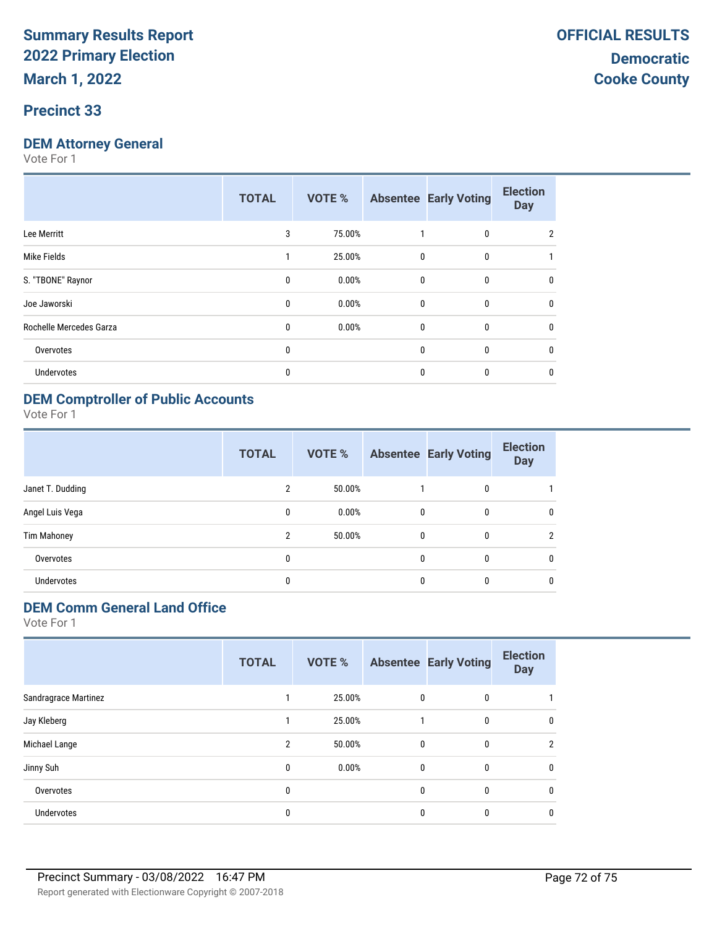#### **Precinct 33**

### **DEM Attorney General**

Vote For 1

|              | <b>VOTE %</b> |   | <b>Absentee Early Voting</b> | <b>Election</b><br><b>Day</b>                                              |
|--------------|---------------|---|------------------------------|----------------------------------------------------------------------------|
| 3            | 75.00%        |   | 0                            | 2                                                                          |
| 1            | 25.00%        |   | 0                            |                                                                            |
| $\mathbf{0}$ | 0.00%         |   | $\mathbf{0}$                 | 0                                                                          |
| 0            | 0.00%         |   | $\mathbf{0}$                 | 0                                                                          |
| 0            | 0.00%         |   | 0                            | 0                                                                          |
| 0            |               |   | 0                            | 0                                                                          |
| 0            |               | 0 | 0                            | 0                                                                          |
|              | <b>TOTAL</b>  |   |                              | $\mathbf 0$<br>$\mathbf{0}$<br>$\mathbf{0}$<br>$\mathbf 0$<br>$\mathbf{0}$ |

### **DEM Comptroller of Public Accounts**

Vote For 1

|                    | <b>TOTAL</b>   | VOTE % |              | <b>Absentee Early Voting</b> | <b>Election</b><br><b>Day</b> |
|--------------------|----------------|--------|--------------|------------------------------|-------------------------------|
| Janet T. Dudding   | 2              | 50.00% |              | 0                            |                               |
| Angel Luis Vega    | 0              | 0.00%  | 0            | 0                            | 0                             |
| <b>Tim Mahoney</b> | $\overline{2}$ | 50.00% | $\mathbf{0}$ | $\mathbf{0}$                 | $\mathfrak{p}$                |
| Overvotes          | 0              |        | $\mathbf{0}$ | 0                            | $\mathbf{0}$                  |
| Undervotes         | 0              |        | 0            | 0                            | 0                             |

### **DEM Comm General Land Office**

|                      | <b>TOTAL</b>   | <b>VOTE %</b> |   | <b>Absentee Early Voting</b> | <b>Election</b><br><b>Day</b> |
|----------------------|----------------|---------------|---|------------------------------|-------------------------------|
| Sandragrace Martinez |                | 25.00%        | 0 | 0                            |                               |
| Jay Kleberg          |                | 25.00%        |   | 0                            | 0                             |
| Michael Lange        | $\overline{2}$ | 50.00%        | 0 | 0                            | 2                             |
| Jinny Suh            | $\mathbf{0}$   | 0.00%         | 0 | 0                            | 0                             |
| Overvotes            | $\mathbf{0}$   |               | 0 | 0                            | $\Omega$                      |
| Undervotes           | 0              |               | 0 | 0                            | 0                             |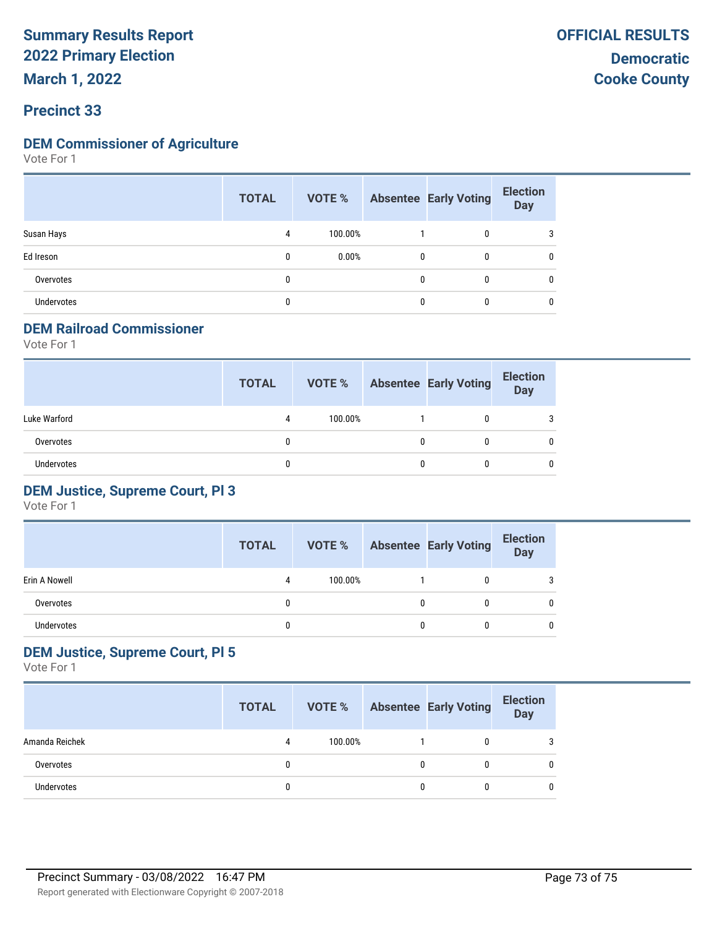# **Summary Results Report 2022 Primary Election**

**March 1, 2022**

## **Precinct 33**

### **DEM Commissioner of Agriculture**

Vote For 1

|                   | <b>TOTAL</b> | VOTE %  |              | <b>Absentee Early Voting</b> | <b>Election</b><br><b>Day</b> |
|-------------------|--------------|---------|--------------|------------------------------|-------------------------------|
| Susan Hays        | 4            | 100.00% |              | 0                            | 3                             |
| Ed Ireson         | 0            | 0.00%   | $\mathbf{0}$ | $\mathbf{0}$                 | 0                             |
| Overvotes         | $\mathbf{0}$ |         | $\mathbf{0}$ | 0                            | 0                             |
| <b>Undervotes</b> | $\mathbf{0}$ |         | 0            | 0                            | 0                             |

### **DEM Railroad Commissioner**

Vote For 1

|                   | <b>TOTAL</b> | VOTE %  |   | <b>Absentee Early Voting</b> | <b>Election</b><br><b>Day</b> |
|-------------------|--------------|---------|---|------------------------------|-------------------------------|
| Luke Warford      | 4            | 100.00% |   |                              | 3                             |
| Overvotes         |              |         | 0 |                              | 0                             |
| <b>Undervotes</b> |              |         | 0 |                              | 0                             |

### **DEM Justice, Supreme Court, Pl 3**

Vote For 1

|               | <b>TOTAL</b> | VOTE %  |   | <b>Absentee Early Voting</b> | <b>Election</b><br>Day |
|---------------|--------------|---------|---|------------------------------|------------------------|
| Erin A Nowell | 4            | 100.00% |   |                              |                        |
| Overvotes     |              |         | 0 |                              |                        |
| Undervotes    |              |         | 0 |                              | 0                      |

# **DEM Justice, Supreme Court, Pl 5**

Vote For 1

|                | <b>TOTAL</b> | <b>VOTE %</b> |   | <b>Absentee Early Voting</b> | <b>Election</b><br><b>Day</b> |
|----------------|--------------|---------------|---|------------------------------|-------------------------------|
| Amanda Reichek | 4            | 100.00%       |   |                              | 3                             |
| Overvotes      |              |               | 0 |                              | 0                             |
| Undervotes     |              |               | 0 |                              | 0                             |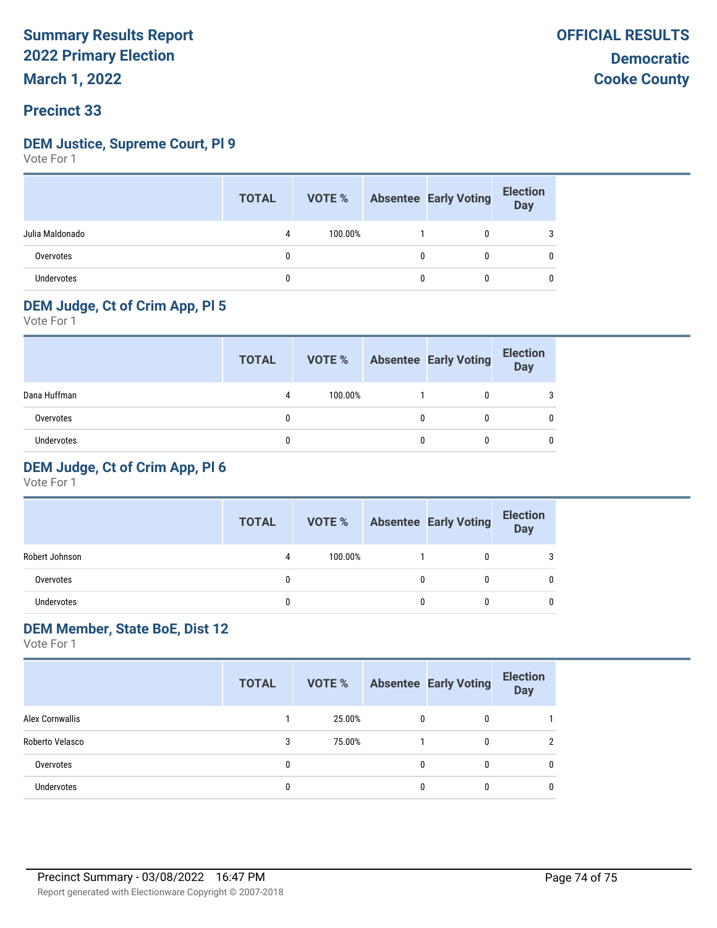# **Summary Results Report 2022 Primary Election**

# **Precinct 33**

### **DEM Justice, Supreme Court, Pl 9**

Vote For 1

|                   | <b>TOTAL</b> |         |   | <b>VOTE %</b> Absentee Early Voting | <b>Election</b><br>Day |
|-------------------|--------------|---------|---|-------------------------------------|------------------------|
| Julia Maldonado   |              | 100.00% |   | 0                                   |                        |
| Overvotes         |              |         | 0 | 0                                   |                        |
| <b>Undervotes</b> |              |         | 0 | 0                                   |                        |

# **DEM Judge, Ct of Crim App, Pl 5**

Vote For 1

|              | <b>TOTAL</b> | VOTE %  |   | <b>Absentee Early Voting</b> | <b>Election</b><br>Day |
|--------------|--------------|---------|---|------------------------------|------------------------|
| Dana Huffman | 4            | 100.00% |   |                              |                        |
| Overvotes    |              |         | 0 |                              |                        |
| Undervotes   |              |         |   |                              |                        |

# **DEM Judge, Ct of Crim App, Pl 6**

Vote For 1

|                | <b>TOTAL</b> | VOTE %  |   | <b>Absentee Early Voting</b> | <b>Election</b><br><b>Day</b> |
|----------------|--------------|---------|---|------------------------------|-------------------------------|
| Robert Johnson | 4            | 100.00% |   | 0                            |                               |
| Overvotes      |              |         |   | 0                            |                               |
| Undervotes     | 0            |         | U | 0                            |                               |

## **DEM Member, State BoE, Dist 12**

Vote For 1

|                   | <b>TOTAL</b> |        |              | <b>VOTE %</b> Absentee Early Voting | <b>Election</b><br>Day |
|-------------------|--------------|--------|--------------|-------------------------------------|------------------------|
| Alex Cornwallis   |              | 25.00% | $\mathbf{0}$ | 0                                   |                        |
| Roberto Velasco   | 3            | 75.00% |              | 0                                   | າ                      |
| Overvotes         | 0            |        | 0            | 0                                   | 0                      |
| <b>Undervotes</b> | 0            |        | 0            | 0                                   | 0                      |